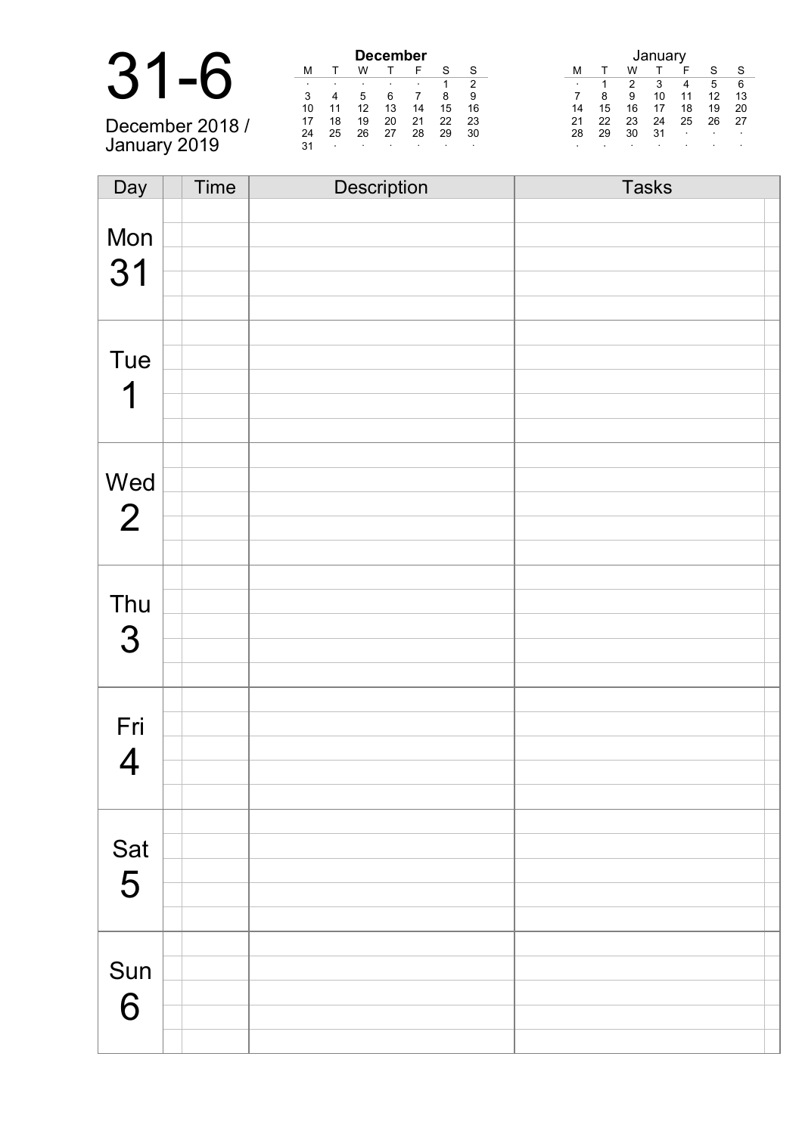|  | $31 - 6$                                  |
|--|-------------------------------------------|
|  | $\sim$ $\sim$ $\sim$ $\sim$ $\sim$ $\sim$ |

December 2018 / January 2019

| <b>December</b> |    |    |    |    |    |    |  |  |  |  |
|-----------------|----|----|----|----|----|----|--|--|--|--|
| м               |    | w  |    | F  | S  | S  |  |  |  |  |
| ٠               | ٠  | ٠  |    |    |    | 2  |  |  |  |  |
| 3               |    | 5  | 6  |    | 8  | я  |  |  |  |  |
| 10              | 11 | 12 | 13 | 14 | 15 | 16 |  |  |  |  |
| 17              | 18 | 19 | 20 | 21 | 22 | 23 |  |  |  |  |
| 24              | 25 | 26 | 27 | 28 | 29 | 30 |  |  |  |  |
| 31              | ٠  | ٠  | ٠  |    |    | ٠  |  |  |  |  |

| January |    |    |    |    |    |    |  |  |  |
|---------|----|----|----|----|----|----|--|--|--|
| М       |    | w  |    | F  | S  | S  |  |  |  |
| ٠       |    | 2  | 3  |    | 5  | 6  |  |  |  |
|         | 8  | 9  | 10 | 11 | 12 | 13 |  |  |  |
| 14      | 15 | 16 | 17 | 18 | 19 | 20 |  |  |  |
| 21      | 22 | 23 | 24 | 25 | 26 | 27 |  |  |  |
| 28      | 29 | 30 | 31 | ٠  | ٠  |    |  |  |  |
|         |    |    |    |    | ٠  |    |  |  |  |

| Day            | Time | Description | <b>Tasks</b> |
|----------------|------|-------------|--------------|
|                |      |             |              |
| Mon            |      |             |              |
|                |      |             |              |
| 31             |      |             |              |
|                |      |             |              |
|                |      |             |              |
| Tue            |      |             |              |
|                |      |             |              |
| 1              |      |             |              |
|                |      |             |              |
|                |      |             |              |
|                |      |             |              |
| Wed            |      |             |              |
| $\overline{2}$ |      |             |              |
|                |      |             |              |
|                |      |             |              |
|                |      |             |              |
| Thu            |      |             |              |
| 3              |      |             |              |
|                |      |             |              |
|                |      |             |              |
|                |      |             |              |
| Fri            |      |             |              |
|                |      |             |              |
| $\overline{4}$ |      |             |              |
|                |      |             |              |
|                |      |             |              |
| Sat<br>5       |      |             |              |
|                |      |             |              |
|                |      |             |              |
|                |      |             |              |
|                |      |             |              |
| Sun            |      |             |              |
|                |      |             |              |
| 6              |      |             |              |
|                |      |             |              |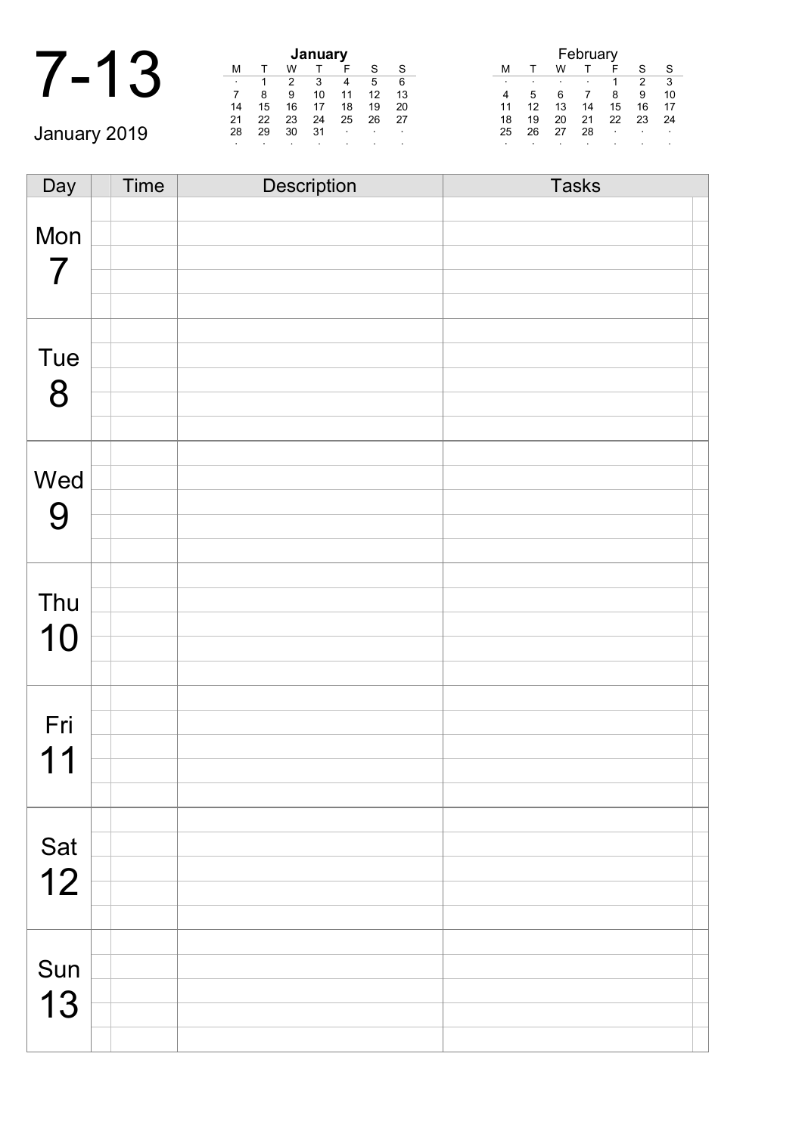| ◢ |                |               |               | January       |        |
|---|----------------|---------------|---------------|---------------|--------|
|   |                |               |               |               |        |
|   | ٠              |               |               | ว             |        |
|   |                |               | 9             | 10            | 1      |
|   | 14             | 15            | 16            | 17            | 1      |
|   | $\sim$ $\cdot$ | $\sim$ $\sim$ | $\sim$ $\sim$ | $\sim$ $\sim$ | $\sim$ |

January 2019

|    | January |    |    |    |    |    |  |  |  |  |
|----|---------|----|----|----|----|----|--|--|--|--|
| М  |         | w  |    | F  | S  | S  |  |  |  |  |
| ٠  |         | 2  | 3  |    | 5  | 6  |  |  |  |  |
|    | 8       | 9  | 10 | 11 | 12 | 13 |  |  |  |  |
| 14 | 15      | 16 | 17 | 18 | 19 | 20 |  |  |  |  |
| 21 | 22      | 23 | 24 | 25 | 26 | 27 |  |  |  |  |
| 28 | 29      | 30 | 31 |    |    |    |  |  |  |  |
| ٠  |         |    |    |    |    |    |  |  |  |  |

|    | February |    |    |    |    |    |  |  |  |  |
|----|----------|----|----|----|----|----|--|--|--|--|
| м  |          | w  |    |    | S  | S  |  |  |  |  |
|    |          |    |    |    | 2  | 3  |  |  |  |  |
| 4  | 5        | 6  |    | 8  | 9  | 10 |  |  |  |  |
| 11 | 12       | 13 | 14 | 15 | 16 | 17 |  |  |  |  |
| 18 | 19       | 20 | 21 | 22 | 23 | 24 |  |  |  |  |
| 25 | 26       | 27 | 28 | ٠  |    |    |  |  |  |  |
|    |          |    |    |    |    |    |  |  |  |  |

Day Time Description Tasks Mon 7 Tue 8 Wed 9 Thu 10 Fri 11 Sat 12 Sun 13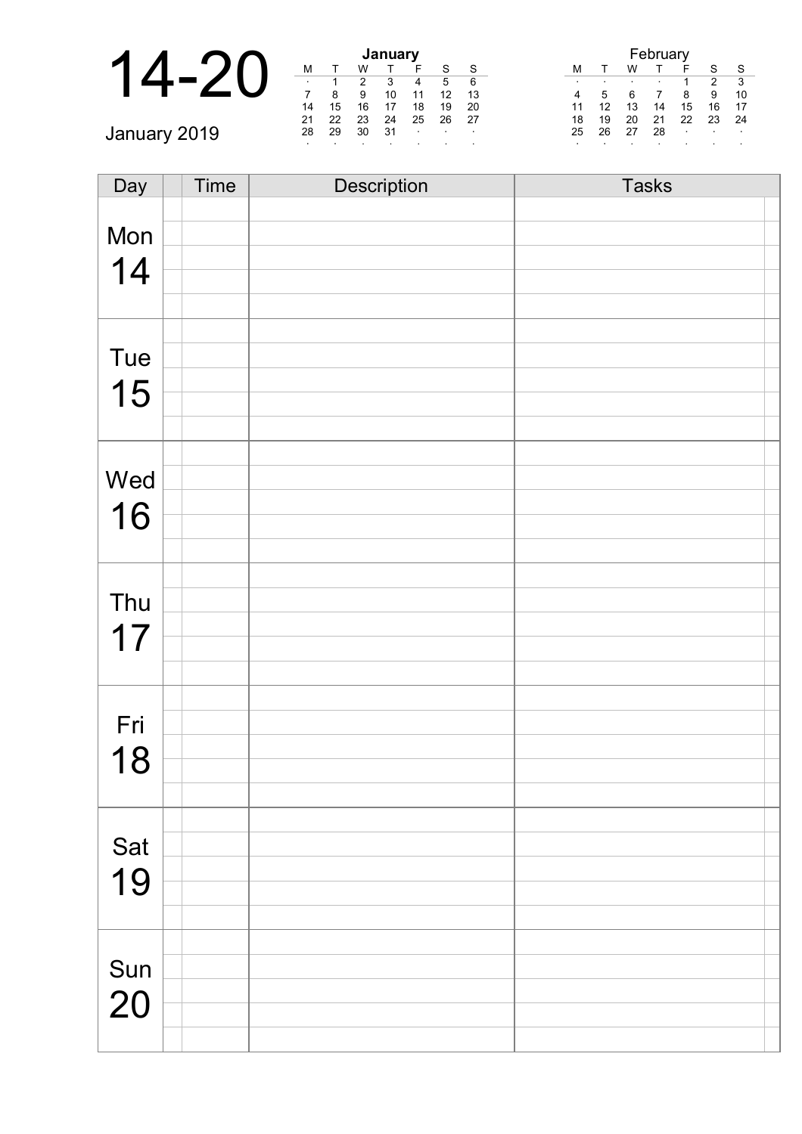|              |         |    |    | January |        |        |        |    |    |    |    |        |        |                  |
|--------------|---------|----|----|---------|--------|--------|--------|----|----|----|----|--------|--------|------------------|
|              | M       |    |    |         |        | c      | S      | М  |    | w  |    |        | S      | S                |
|              | $\cdot$ |    | າ  | 3       | 4      | 5      | 6      |    |    |    |    |        | ົ      | ີ                |
|              |         |    |    | 10      |        | 12     | 13     |    |    |    |    | 8      | 9      | 10               |
|              | 14      | 15 | 16 |         | 18     | 19     | -20    |    |    | 13 | 14 | 15     | 16     | 17               |
|              | 21      | 22 | 23 | 24      | 25     | 26     | -27    | 18 | 19 | 20 | 21 | 22     | 23     | -24              |
| January 2019 | 28      | 29 | 30 | -31     | $\sim$ | $\sim$ | $\sim$ | 25 | 26 | 27 | 28 | $\sim$ | $\sim$ | $\sim$ 100 $\pm$ |
|              |         |    |    |         |        |        |        |    |    |    |    |        |        |                  |

| Day       | Time | Description | <b>Tasks</b> |
|-----------|------|-------------|--------------|
|           |      |             |              |
| Mon       |      |             |              |
| 14        |      |             |              |
|           |      |             |              |
|           |      |             |              |
|           |      |             |              |
| Tue       |      |             |              |
| 15        |      |             |              |
|           |      |             |              |
|           |      |             |              |
|           |      |             |              |
| Wed       |      |             |              |
| 16        |      |             |              |
|           |      |             |              |
|           |      |             |              |
|           |      |             |              |
| Thu       |      |             |              |
| 17        |      |             |              |
|           |      |             |              |
|           |      |             |              |
|           |      |             |              |
| Fri       |      |             |              |
| 18        |      |             |              |
|           |      |             |              |
|           |      |             |              |
|           |      |             |              |
| Sat       |      |             |              |
| 19        |      |             |              |
|           |      |             |              |
|           |      |             |              |
|           |      |             |              |
| Sun<br>20 |      |             |              |
|           |      |             |              |
|           |      |             |              |
|           |      |             |              |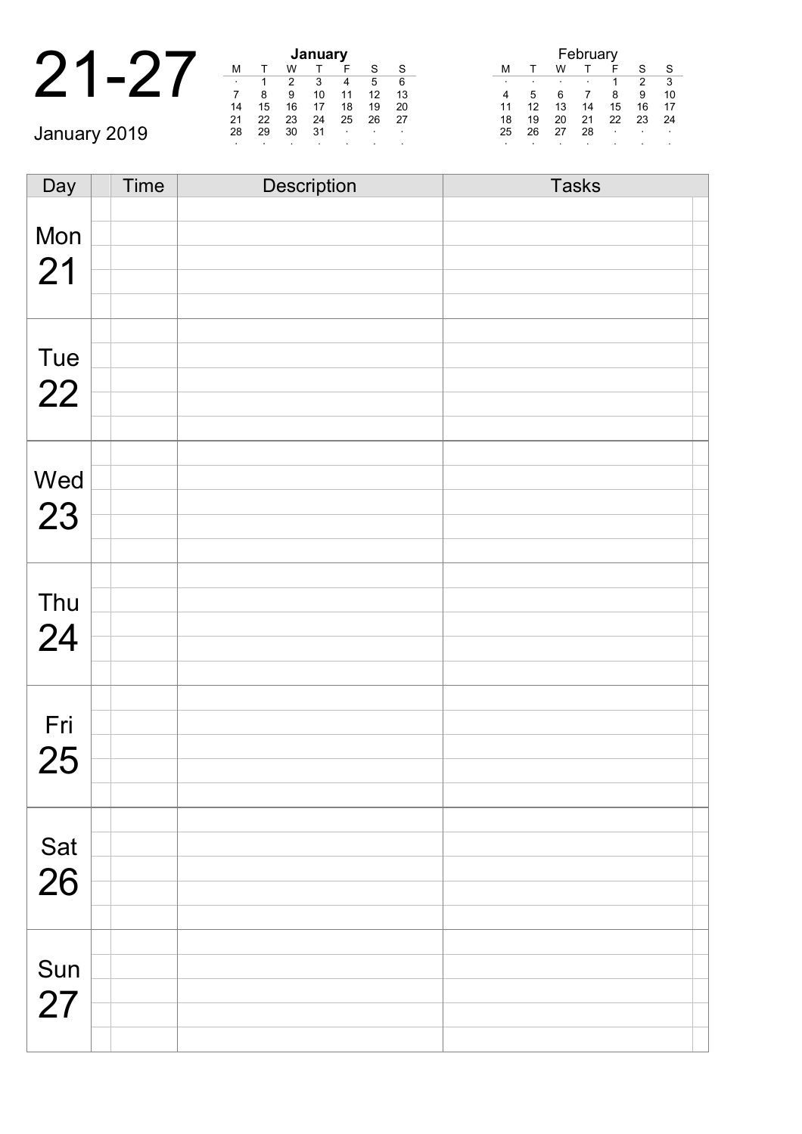|              |         |    | January |    |                |  |
|--------------|---------|----|---------|----|----------------|--|
|              | м       |    | W       |    |                |  |
|              | $\cdot$ |    |         |    |                |  |
|              |         |    | 9       | 10 |                |  |
|              | 14      | 15 | 16      | 17 | 1              |  |
|              | 21      | 22 | 23      | 24 | $\overline{2}$ |  |
| January 2019 | 28      | 29 | 30      | 31 |                |  |
|              |         |    |         |    |                |  |

| January |    |    |    |    |    |    |  |  |  |
|---------|----|----|----|----|----|----|--|--|--|
| М       |    | w  |    | F  | S  | S  |  |  |  |
|         |    | 2  | 3  |    | 5  | 6  |  |  |  |
|         | 8  | 9  | 10 | 11 | 12 | 13 |  |  |  |
| 14      | 15 | 16 | 17 | 18 | 19 | 20 |  |  |  |
| 21      | 22 | 23 | 24 | 25 | 26 | 27 |  |  |  |
| 28      | 29 | 30 | 31 | ٠  |    | ٠  |  |  |  |
|         |    |    |    |    |    |    |  |  |  |

| February |    |    |    |    |    |    |  |  |
|----------|----|----|----|----|----|----|--|--|
| м        |    | w  |    |    | S  | S  |  |  |
|          |    |    |    |    | 2  | 3  |  |  |
|          | 5  | 6  |    | 8  | 9  | 10 |  |  |
| 11       | 12 | 13 | 14 | 15 | 16 | 17 |  |  |
| 18       | 19 | 20 | 21 | 22 | 23 | 24 |  |  |
| 25       | 26 | 27 | 28 | ٠  | ٠  | ٠  |  |  |
| ٠        |    |    |    |    |    |    |  |  |

| Day | <b>Time</b> | Description | <b>Tasks</b> |
|-----|-------------|-------------|--------------|
|     |             |             |              |
| Mon |             |             |              |
| 21  |             |             |              |
|     |             |             |              |
|     |             |             |              |
|     |             |             |              |
| Tue |             |             |              |
| 22  |             |             |              |
|     |             |             |              |
|     |             |             |              |
|     |             |             |              |
| Wed |             |             |              |
| 23  |             |             |              |
|     |             |             |              |
|     |             |             |              |
|     |             |             |              |
| Thu |             |             |              |
| 24  |             |             |              |
|     |             |             |              |
|     |             |             |              |
|     |             |             |              |
| Fri |             |             |              |
| 25  |             |             |              |
|     |             |             |              |
|     |             |             |              |
|     |             |             |              |
| Sat |             |             |              |
| 26  |             |             |              |
|     |             |             |              |
|     |             |             |              |
|     |             |             |              |
| Sun |             |             |              |
| 27  |             |             |              |
|     |             |             |              |
|     |             |             |              |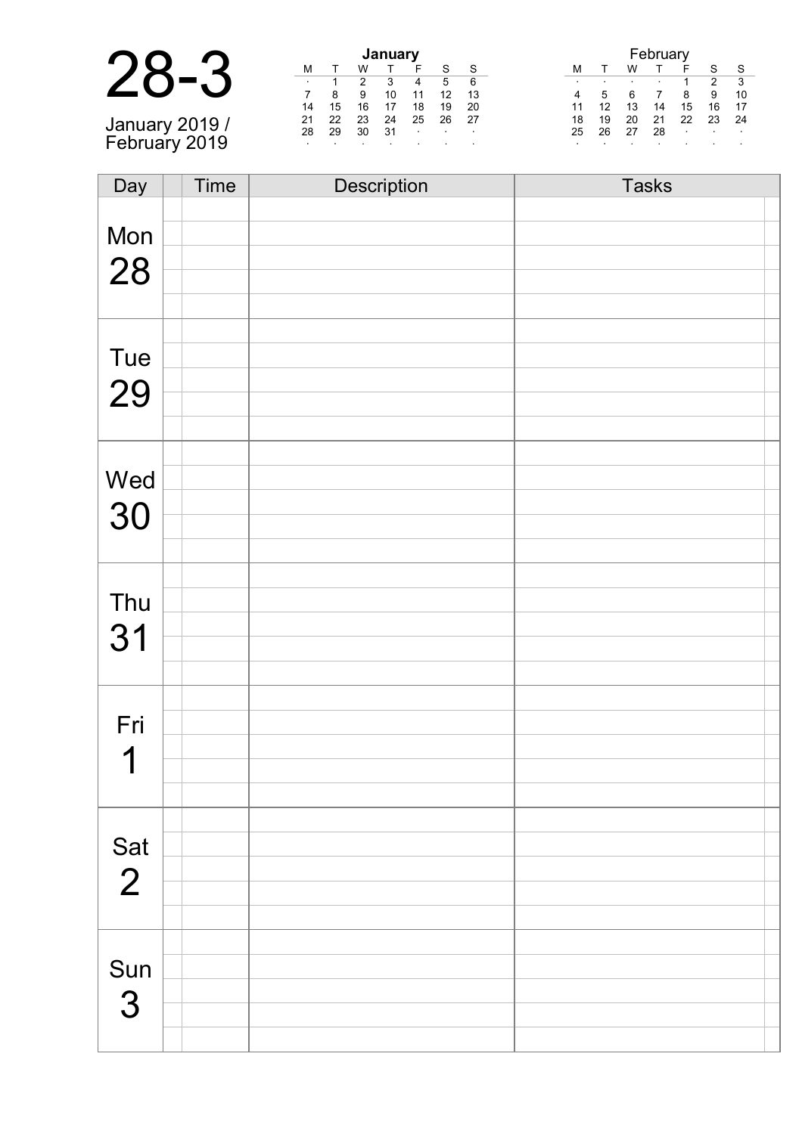| January 2019 /<br>February 2019 |  |
|---------------------------------|--|

| <b>January</b> |    |    |    |    |    |    |  |  |
|----------------|----|----|----|----|----|----|--|--|
| м              |    | w  |    | F  | S  | S  |  |  |
| ٠              |    | 2  | 3  |    | 5  | 6  |  |  |
|                | 8  | 9  | 10 | 11 | 12 | 13 |  |  |
| 14             | 15 | 16 | 17 | 18 | 19 | 20 |  |  |
| 21             | 22 | 23 | 24 | 25 | 26 | 27 |  |  |
| 28             | 29 | 30 | 31 | ٠  | ٠  | ٠  |  |  |
|                |    | ٠  |    |    | ٠  | ٠  |  |  |

| February |    |    |    |    |    |    |  |  |
|----------|----|----|----|----|----|----|--|--|
| М        |    | w  |    | F  | S  | S  |  |  |
| ٠        |    | ٠  |    |    | 2  | 3  |  |  |
| 4        | 5  | 6  |    | 8  | 9  | 10 |  |  |
| 11       | 12 | 13 | 14 | 15 | 16 | 17 |  |  |
| 18       | 19 | 20 | 21 | 22 | 23 | 24 |  |  |
| 25       | 26 | 27 | 28 |    |    | ٠  |  |  |
|          |    |    |    |    |    |    |  |  |

| Day      | <b>Time</b> | <b>Description</b> | <b>Tasks</b> |
|----------|-------------|--------------------|--------------|
|          |             |                    |              |
| Mon      |             |                    |              |
|          |             |                    |              |
| 28       |             |                    |              |
|          |             |                    |              |
|          |             |                    |              |
| Tue      |             |                    |              |
|          |             |                    |              |
| 29       |             |                    |              |
|          |             |                    |              |
|          |             |                    |              |
| Wed      |             |                    |              |
|          |             |                    |              |
| 30       |             |                    |              |
|          |             |                    |              |
|          |             |                    |              |
| Thu      |             |                    |              |
|          |             |                    |              |
| 31       |             |                    |              |
|          |             |                    |              |
|          |             |                    |              |
| Fri      |             |                    |              |
| 1        |             |                    |              |
|          |             |                    |              |
|          |             |                    |              |
|          |             |                    |              |
| Sat<br>2 |             |                    |              |
|          |             |                    |              |
|          |             |                    |              |
|          |             |                    |              |
|          |             |                    |              |
| Sun      |             |                    |              |
| 3        |             |                    |              |
|          |             |                    |              |
|          |             |                    |              |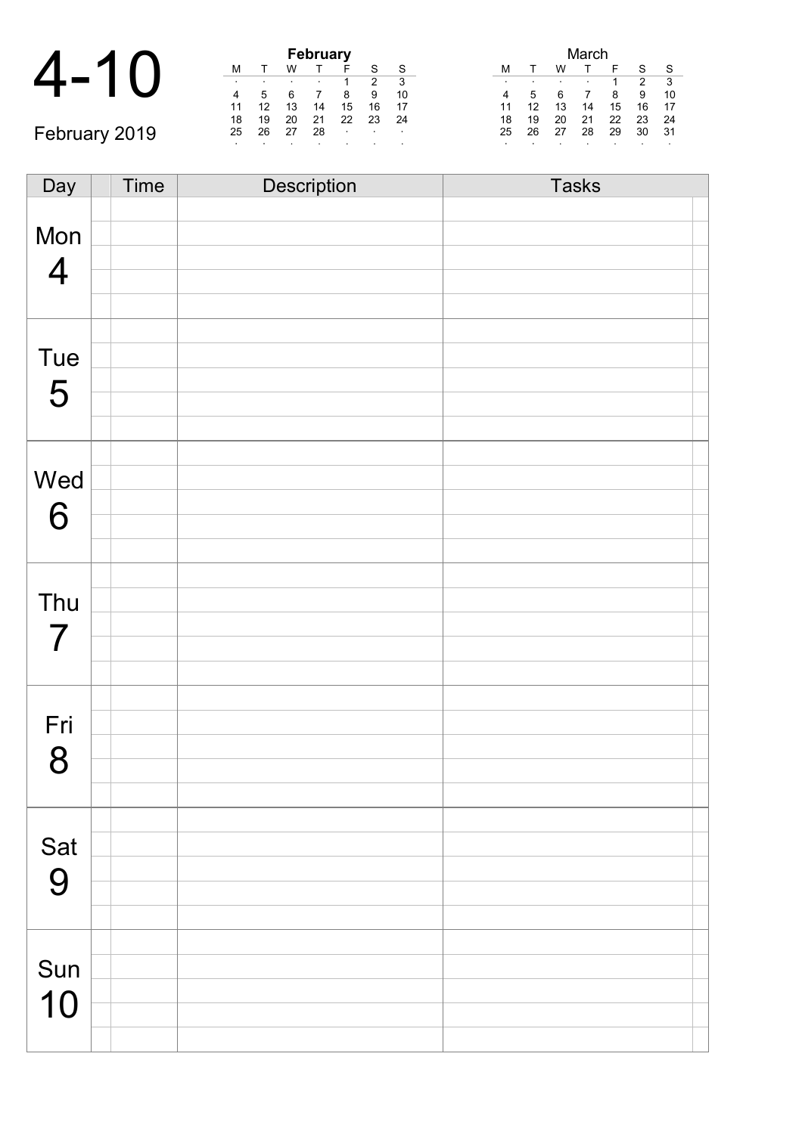|                                |   |   |    | February |    |
|--------------------------------|---|---|----|----------|----|
| $\boldsymbol{\varDelta}$<br>10 |   |   |    |          |    |
|                                | ٠ | ٠ |    | ۰        |    |
|                                |   |   |    |          | 8  |
|                                |   |   | 13 | 14       | 15 |

February 2019

| <b>February</b> |    |    |    |    |    |    |  |  |
|-----------------|----|----|----|----|----|----|--|--|
| м               |    |    |    | F  | S  | S  |  |  |
| ٠               | ٠  |    |    |    | 2  | 3  |  |  |
|                 | 5  | 6  |    | 8  | 9  | 10 |  |  |
| 11              | 12 | 13 | 14 | 15 | 16 | 17 |  |  |
| 18              | 19 | 20 | 21 | 22 | 23 | 24 |  |  |
| 25              | 26 | 27 | 28 | ٠  | ٠  | ٠  |  |  |
| ٠               | ٠  |    |    |    |    |    |  |  |

| March |    |    |    |    |    |    |  |  |
|-------|----|----|----|----|----|----|--|--|
| м     |    | w  |    | F  | S  | S  |  |  |
| ٠     | ٠  | ٠  | ٠  |    | 2  | 3  |  |  |
|       | 5  | 6  |    | 8  | 9  | 10 |  |  |
| 11    | 12 | 13 | 14 | 15 | 16 | 17 |  |  |
| 18    | 19 | 20 | 21 | 22 | 23 | 24 |  |  |
| 25    | 26 | 27 | 28 | 29 | 30 | 31 |  |  |
| ٠     |    |    |    |    |    |    |  |  |

| Day            | Time | Description | <b>Tasks</b> |
|----------------|------|-------------|--------------|
|                |      |             |              |
| Mon            |      |             |              |
|                |      |             |              |
| $\overline{4}$ |      |             |              |
|                |      |             |              |
|                |      |             |              |
| Tue            |      |             |              |
|                |      |             |              |
| 5              |      |             |              |
|                |      |             |              |
|                |      |             |              |
| Wed            |      |             |              |
| 6              |      |             |              |
|                |      |             |              |
|                |      |             |              |
|                |      |             |              |
| Thu            |      |             |              |
| $\overline{7}$ |      |             |              |
|                |      |             |              |
|                |      |             |              |
|                |      |             |              |
| Fri            |      |             |              |
| 8              |      |             |              |
|                |      |             |              |
|                |      |             |              |
|                |      |             |              |
| Sat            |      |             |              |
| 9              |      |             |              |
|                |      |             |              |
|                |      |             |              |
|                |      |             |              |
| Sun            |      |             |              |
| 10             |      |             |              |
|                |      |             |              |
|                |      |             |              |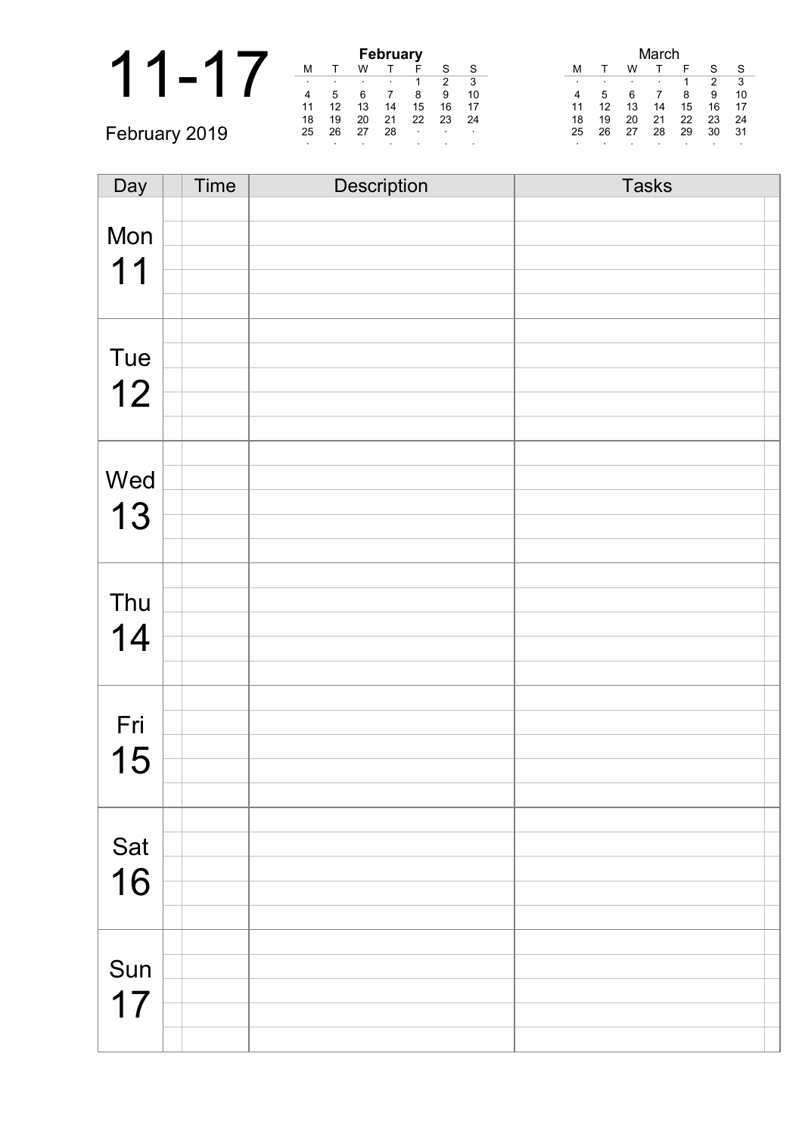|               | <b>February</b> |    |    |    |         |        |         | √lareh                     |    |     |  |  |
|---------------|-----------------|----|----|----|---------|--------|---------|----------------------------|----|-----|--|--|
|               | M               |    | W  |    |         | S      | S       | W<br>м                     | c  | S   |  |  |
|               | $\cdot$         |    |    |    |         | ◠      | 3       |                            |    | ີ   |  |  |
|               | 4               |    |    |    | 8       | 9      | 10      | 8                          | 9  | 10  |  |  |
|               |                 | 12 |    | 14 | 15      | 16     | 17      | 12<br>15<br>13<br>14       | 16 | 17  |  |  |
|               | 18              | 19 | 20 | 21 | 22      | 23     | -24     | 21<br>22<br>19<br>20<br>18 | 23 | 24  |  |  |
| February 2019 | 25              | 26 | 27 | 28 | $\cdot$ | $\sim$ | $\sim$  | 26<br>27<br>28<br>29<br>25 | 30 | -31 |  |  |
|               |                 |    |    |    |         |        | $\cdot$ |                            |    |     |  |  |

| Day       | Time | Description | <b>Tasks</b> |
|-----------|------|-------------|--------------|
|           |      |             |              |
| Mon       |      |             |              |
| 11        |      |             |              |
|           |      |             |              |
|           |      |             |              |
|           |      |             |              |
| Tue       |      |             |              |
| 12        |      |             |              |
|           |      |             |              |
|           |      |             |              |
|           |      |             |              |
| Wed       |      |             |              |
| 13        |      |             |              |
|           |      |             |              |
|           |      |             |              |
|           |      |             |              |
| Thu       |      |             |              |
| 14        |      |             |              |
|           |      |             |              |
|           |      |             |              |
|           |      |             |              |
| Fri       |      |             |              |
| 15        |      |             |              |
|           |      |             |              |
|           |      |             |              |
|           |      |             |              |
| Sat<br>16 |      |             |              |
|           |      |             |              |
|           |      |             |              |
|           |      |             |              |
|           |      |             |              |
| Sun       |      |             |              |
| 17        |      |             |              |
|           |      |             |              |
|           |      |             |              |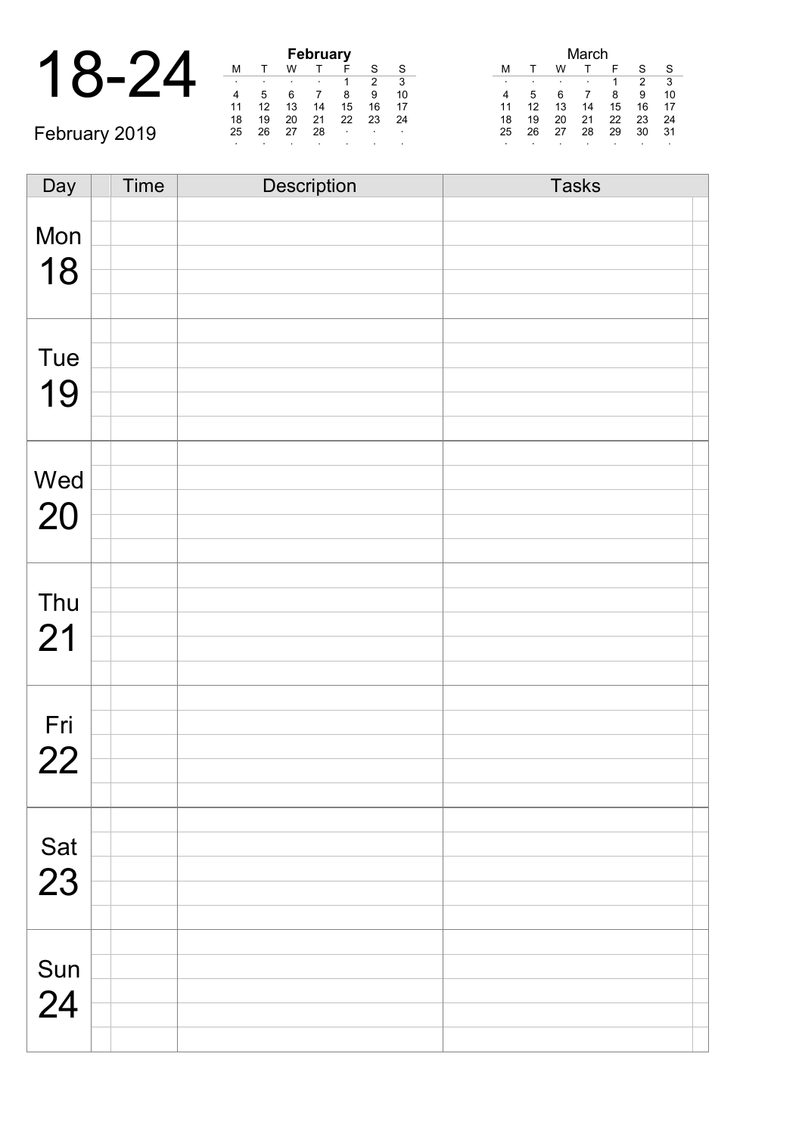|               |    | February |    |    |         |  |  |
|---------------|----|----------|----|----|---------|--|--|
|               |    |          |    |    |         |  |  |
|               |    |          |    |    |         |  |  |
|               |    |          |    |    | 8       |  |  |
|               | 11 | 12       | 13 | 14 | 15      |  |  |
|               | 18 | 19       | 20 | 21 | 22      |  |  |
| February 2019 | 25 | 26       | 27 | 28 | $\cdot$ |  |  |
|               |    |          |    |    |         |  |  |

| <b>February</b> |    |    |    |    |    |    |  |  |  |  |  |
|-----------------|----|----|----|----|----|----|--|--|--|--|--|
| М               |    | w  |    |    | S  | S  |  |  |  |  |  |
|                 |    |    |    |    | 2  | 3  |  |  |  |  |  |
|                 | 5  | 6  |    | 8  | 9  | 10 |  |  |  |  |  |
| 11              | 12 | 13 | 14 | 15 | 16 | 17 |  |  |  |  |  |
| 18              | 19 | 20 | 21 | 22 | 23 | 24 |  |  |  |  |  |
| 25              | 26 | 27 | 28 |    |    |    |  |  |  |  |  |
|                 |    |    |    |    |    |    |  |  |  |  |  |

| March |    |    |    |    |    |    |  |  |  |  |
|-------|----|----|----|----|----|----|--|--|--|--|
| м     |    | w  |    | F  | S  | S  |  |  |  |  |
| ٠     | ٠  | ٠  |    | 1  | 2  | 3  |  |  |  |  |
| 4     | 5  | 6  |    | 8  | 9  | 10 |  |  |  |  |
| 11    | 12 | 13 | 14 | 15 | 16 | 17 |  |  |  |  |
| 18    | 19 | 20 | 21 | 22 | 23 | 24 |  |  |  |  |
| 25    | 26 | 27 | 28 | 29 | 30 | 31 |  |  |  |  |
| ٠     | ٠  | ٠  |    |    |    | ٠  |  |  |  |  |

| Day         | <b>Time</b> | Description | <b>Tasks</b> |
|-------------|-------------|-------------|--------------|
|             |             |             |              |
| Mon         |             |             |              |
|             |             |             |              |
| 18          |             |             |              |
|             |             |             |              |
|             |             |             |              |
|             |             |             |              |
| Tue         |             |             |              |
|             |             |             |              |
| 19          |             |             |              |
|             |             |             |              |
|             |             |             |              |
|             |             |             |              |
| Wed         |             |             |              |
| 20          |             |             |              |
|             |             |             |              |
|             |             |             |              |
|             |             |             |              |
| Thu         |             |             |              |
|             |             |             |              |
| 21          |             |             |              |
|             |             |             |              |
|             |             |             |              |
|             |             |             |              |
| Fri         |             |             |              |
| 22          |             |             |              |
|             |             |             |              |
|             |             |             |              |
|             |             |             |              |
| Sat         |             |             |              |
|             |             |             |              |
| 23          |             |             |              |
|             |             |             |              |
|             |             |             |              |
|             |             |             |              |
| Sun<br>$24$ |             |             |              |
|             |             |             |              |
|             |             |             |              |
|             |             |             |              |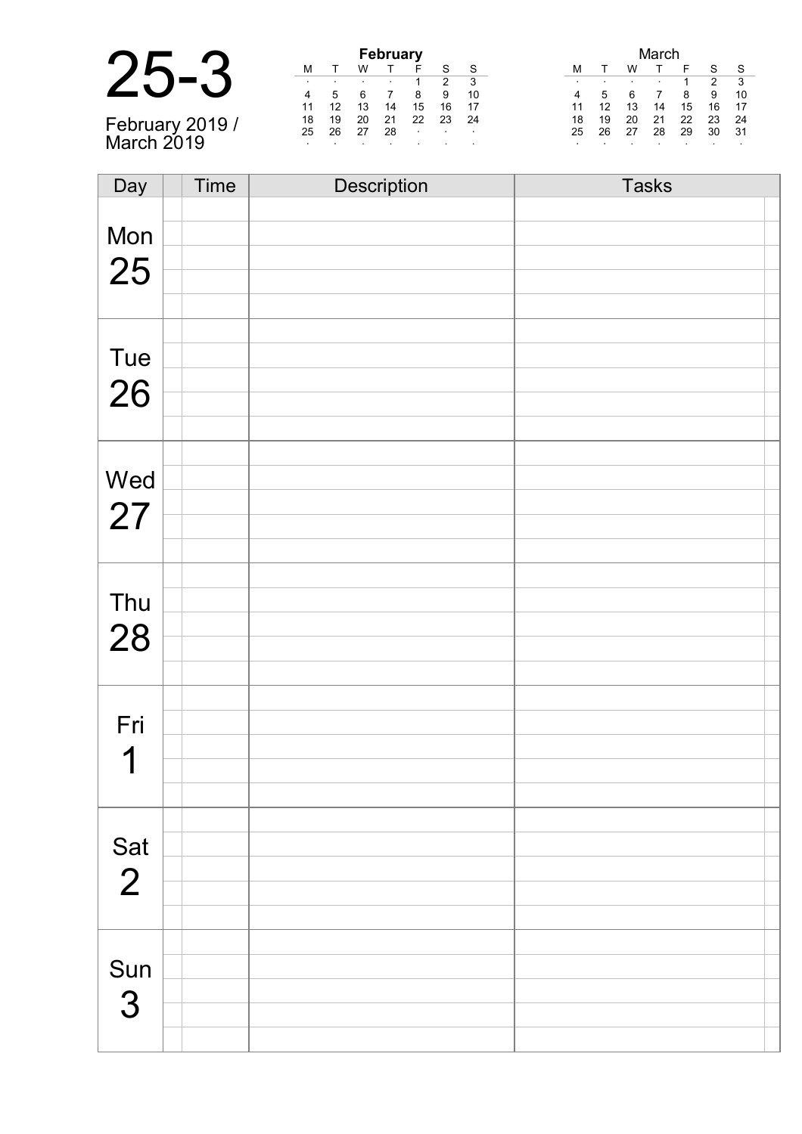| February 2019 /<br>March 2019 |  |
|-------------------------------|--|

| <b>February</b> |    |    |    |    |    |    |  |  |  |  |  |  |
|-----------------|----|----|----|----|----|----|--|--|--|--|--|--|
| м               |    | w  |    | F  | S  | S  |  |  |  |  |  |  |
|                 | ٠  |    |    | 1  | 2  | 3  |  |  |  |  |  |  |
|                 | 5  | 6  |    | 8  | 9  | 10 |  |  |  |  |  |  |
| 11              | 12 | 13 | 14 | 15 | 16 | 17 |  |  |  |  |  |  |
| 18              | 19 | 20 | 21 | 22 | 23 | 24 |  |  |  |  |  |  |
| 25              | 26 | 27 | 28 |    |    |    |  |  |  |  |  |  |
|                 |    |    | ٠  |    |    |    |  |  |  |  |  |  |

| March |    |    |    |    |    |    |  |  |  |  |
|-------|----|----|----|----|----|----|--|--|--|--|
| М     |    | w  |    | F  | S  | S  |  |  |  |  |
| ٠     | ٠  | ٠  | ٠  | 1  | 2  | 3  |  |  |  |  |
|       | 5  | 6  |    | 8  | 9  | 10 |  |  |  |  |
| 11    | 12 | 13 | 14 | 15 | 16 | 17 |  |  |  |  |
| 18    | 19 | 20 | 21 | 22 | 23 | 24 |  |  |  |  |
| 25    | 26 | 27 | 28 | 29 | 30 | 31 |  |  |  |  |
| ٠     |    | ٠  |    |    |    | ٠  |  |  |  |  |

| Day            | Time | Description | <b>Tasks</b> |
|----------------|------|-------------|--------------|
|                |      |             |              |
| Mon            |      |             |              |
|                |      |             |              |
| 25             |      |             |              |
|                |      |             |              |
|                |      |             |              |
| Tue            |      |             |              |
|                |      |             |              |
| 26             |      |             |              |
|                |      |             |              |
|                |      |             |              |
| Wed            |      |             |              |
|                |      |             |              |
| 27             |      |             |              |
|                |      |             |              |
|                |      |             |              |
| Thu            |      |             |              |
|                |      |             |              |
| 28             |      |             |              |
|                |      |             |              |
|                |      |             |              |
| Fri            |      |             |              |
|                |      |             |              |
| 1              |      |             |              |
|                |      |             |              |
|                |      |             |              |
| Sat            |      |             |              |
|                |      |             |              |
| $\overline{2}$ |      |             |              |
|                |      |             |              |
|                |      |             |              |
| Sun            |      |             |              |
|                |      |             |              |
| 3              |      |             |              |
|                |      |             |              |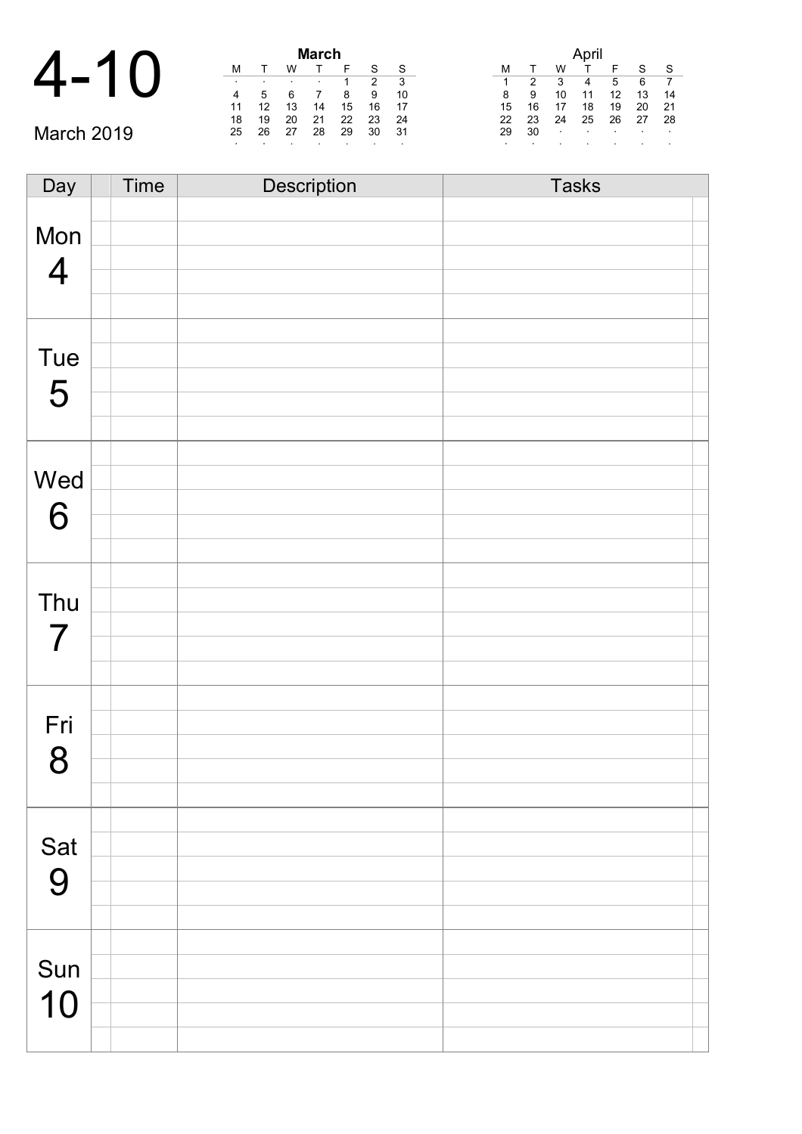|    |           |    |    | <b>March</b> |         |         |           |                                                   |
|----|-----------|----|----|--------------|---------|---------|-----------|---------------------------------------------------|
|    | M         |    | W  |              |         | c       | S         | W<br>М<br>S.<br>c                                 |
|    | $\bullet$ |    |    |              |         |         | - 3       | 2<br>6<br>5<br>3<br>1<br>4                        |
|    | 4         | 5  |    |              | 8       | 9       | 10        | 13<br>14<br>9<br>8<br>12<br>10<br>11              |
|    | 11        | 12 | 13 | 14           | 15      | 16      | - 17      | 16<br>20<br>19<br>21<br>18<br>15                  |
|    | 18        | 19 | 20 | 21           | 22      | 23      | -24       | 23<br>25<br>27<br>28<br>22<br>24<br>26            |
| Ma | 25        | 26 | 27 | 28           | 29      | 30      | - 31      | 30<br>29<br>$\sim$<br>$\sim$<br>$\sim$<br>$\cdot$ |
|    |           |    |    |              | $\cdot$ | $\cdot$ | $\cdot$ . |                                                   |

| Day            | Time | Description | <b>Tasks</b> |
|----------------|------|-------------|--------------|
|                |      |             |              |
| Mon            |      |             |              |
|                |      |             |              |
| $\overline{4}$ |      |             |              |
|                |      |             |              |
|                |      |             |              |
| Tue            |      |             |              |
|                |      |             |              |
| 5              |      |             |              |
|                |      |             |              |
|                |      |             |              |
| Wed            |      |             |              |
|                |      |             |              |
| 6              |      |             |              |
|                |      |             |              |
|                |      |             |              |
|                |      |             |              |
| Thu            |      |             |              |
| $\overline{7}$ |      |             |              |
|                |      |             |              |
|                |      |             |              |
|                |      |             |              |
| Fri            |      |             |              |
| 8              |      |             |              |
|                |      |             |              |
|                |      |             |              |
|                |      |             |              |
| Sat            |      |             |              |
| 9              |      |             |              |
|                |      |             |              |
|                |      |             |              |
|                |      |             |              |
| Sun            |      |             |              |
| 10             |      |             |              |
|                |      |             |              |
|                |      |             |              |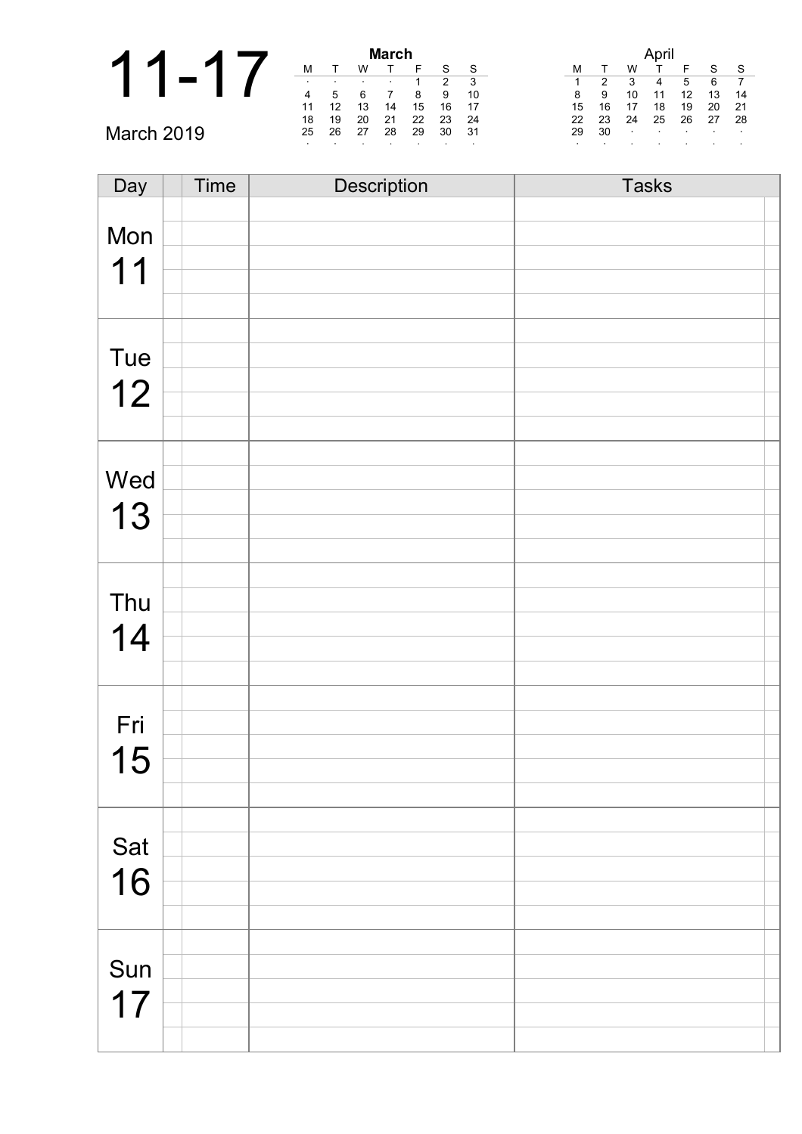|                  | March |    |    |    |         |         |         |  |
|------------------|-------|----|----|----|---------|---------|---------|--|
|                  | M     |    | W  |    |         |         | S       |  |
|                  |       |    |    |    |         | າ       | 3       |  |
|                  | 4     | 5  |    |    | 8       | 9       | 10      |  |
|                  | 11    | 12 |    | 14 | 15      | 16      | 17      |  |
|                  | 18    | 19 | 20 | 21 | 22      | 23      | 24      |  |
| µrrh 2N19د<br>Ma | 25    | 26 | 27 | 28 | 29      | 30      | -31     |  |
|                  |       |    |    |    | $\cdot$ | $\cdot$ | $\cdot$ |  |

| Day       | Time | Description | <b>Tasks</b> |
|-----------|------|-------------|--------------|
|           |      |             |              |
| Mon       |      |             |              |
| 11        |      |             |              |
|           |      |             |              |
|           |      |             |              |
|           |      |             |              |
| Tue       |      |             |              |
|           |      |             |              |
| 12        |      |             |              |
|           |      |             |              |
|           |      |             |              |
| Wed       |      |             |              |
|           |      |             |              |
| 13        |      |             |              |
|           |      |             |              |
|           |      |             |              |
| Thu       |      |             |              |
|           |      |             |              |
| 14        |      |             |              |
|           |      |             |              |
|           |      |             |              |
| Fri       |      |             |              |
|           |      |             |              |
| 15        |      |             |              |
|           |      |             |              |
|           |      |             |              |
|           |      |             |              |
| Sat<br>16 |      |             |              |
|           |      |             |              |
|           |      |             |              |
|           |      |             |              |
| Sun       |      |             |              |
|           |      |             |              |
| 17        |      |             |              |
|           |      |             |              |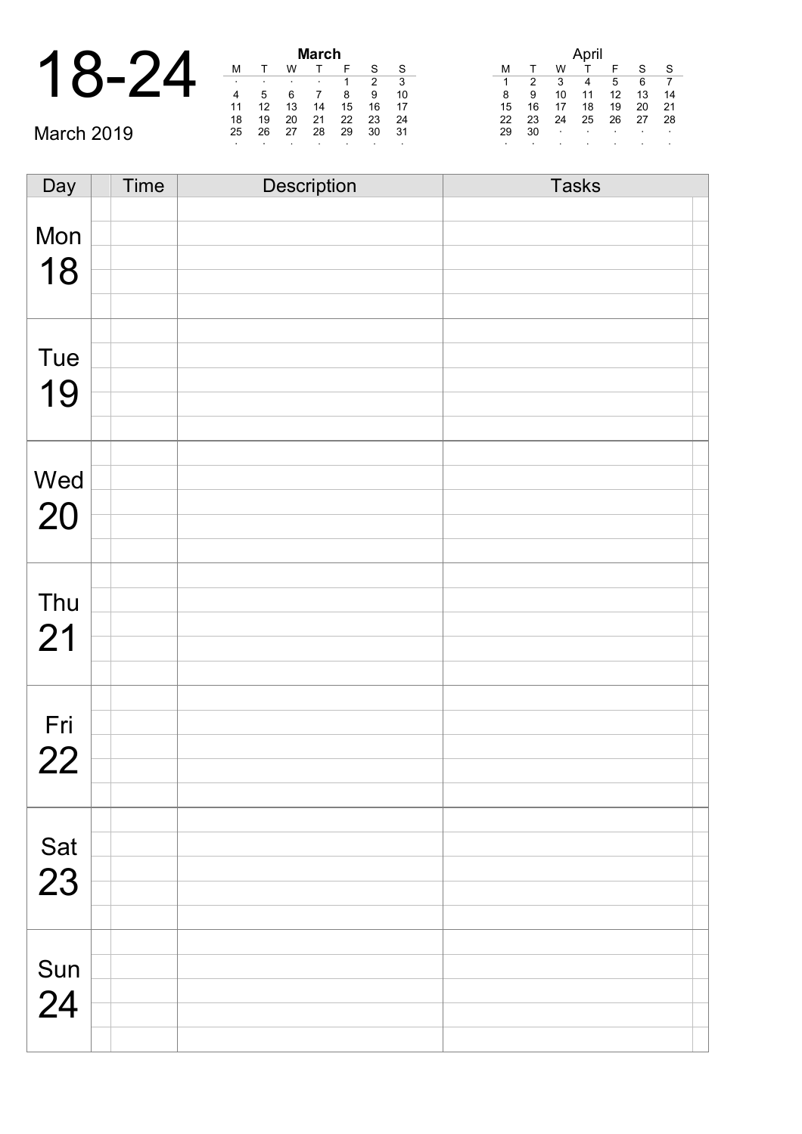| $\boldsymbol{A}$ |              |          |        |        |     | <b>March</b> |  |
|------------------|--------------|----------|--------|--------|-----|--------------|--|
|                  | $\mathbf{Q}$ | $\Delta$ |        |        |     |              |  |
| $\blacksquare$   |              |          | ٠      |        |     | ٠            |  |
|                  |              |          |        |        |     |              |  |
|                  |              |          |        |        | 13  | 14           |  |
|                  |              |          | $\sim$ | $\sim$ | - - | - -          |  |

March 2019

| March |    |    |    |    |    |    |  |
|-------|----|----|----|----|----|----|--|
| М     |    | w  |    | F  | S  | S  |  |
| ٠     | ٠  | ٠  | ٠  |    | 2  | 3  |  |
| 4     | 5  | 6  |    | 8  | 9  | 10 |  |
| 11    | 12 | 13 | 14 | 15 | 16 | 17 |  |
| 18    | 19 | 20 | 21 | 22 | 23 | 24 |  |
| 25    | 26 | 27 | 28 | 29 | 30 | 31 |  |
| ٠     | ٠  |    | ٠  |    |    |    |  |

|    |    |    | April |    |    |    |
|----|----|----|-------|----|----|----|
| м  |    | w  |       | F  | S  | S  |
| 1  | 2  | 3  |       | 5  | 6  | 7  |
| 8  | 9  | 10 | 11    | 12 | 13 | 14 |
| 15 | 16 | 17 | 18    | 19 | 20 | 21 |
| 22 | 23 | 24 | 25    | 26 | 27 | 28 |
| 29 | 30 | ٠  | ٠     | ٠  | ٠  | ۰  |
| ٠  |    | ٠  |       |    |    | ٠  |

| Day         | <b>Time</b> | Description | <b>Tasks</b> |
|-------------|-------------|-------------|--------------|
|             |             |             |              |
| Mon         |             |             |              |
|             |             |             |              |
| 18          |             |             |              |
|             |             |             |              |
|             |             |             |              |
| Tue         |             |             |              |
|             |             |             |              |
| 19          |             |             |              |
|             |             |             |              |
|             |             |             |              |
| Wed         |             |             |              |
|             |             |             |              |
| 20          |             |             |              |
|             |             |             |              |
|             |             |             |              |
|             |             |             |              |
| Thu         |             |             |              |
| 21          |             |             |              |
|             |             |             |              |
|             |             |             |              |
|             |             |             |              |
| Fri         |             |             |              |
| 22          |             |             |              |
|             |             |             |              |
|             |             |             |              |
|             |             |             |              |
| Sat         |             |             |              |
| 23          |             |             |              |
|             |             |             |              |
|             |             |             |              |
|             |             |             |              |
| Sun<br>$24$ |             |             |              |
|             |             |             |              |
|             |             |             |              |
|             |             |             |              |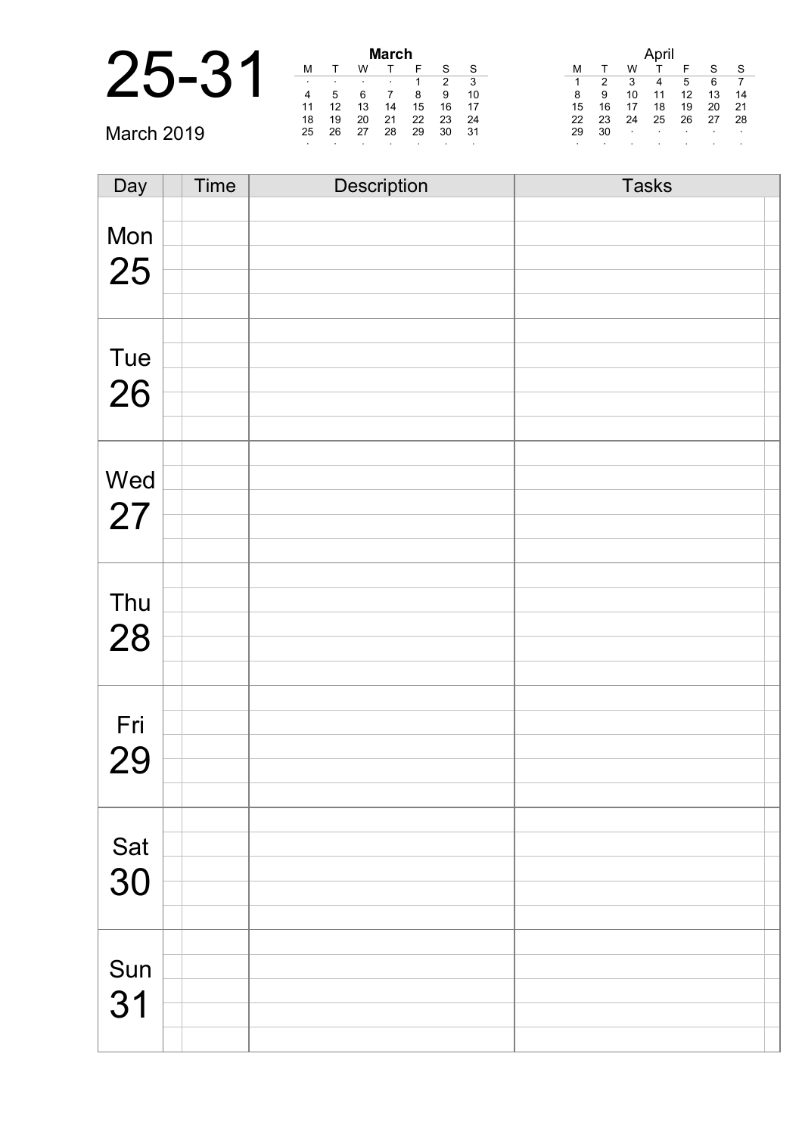|            |    |    |    | March |         |         |         |    |    |        |    |         |         |                |
|------------|----|----|----|-------|---------|---------|---------|----|----|--------|----|---------|---------|----------------|
|            | M  |    | W  |       |         |         | S       | м  |    | W      |    |         | $\sim$  |                |
|            |    |    |    |       |         |         |         |    |    |        |    |         | 6       | $\overline{7}$ |
|            | 4  |    |    |       | 8       | 9       | 10      | 8  | 9  | 10     |    | 12      | 13      |                |
|            |    |    | 13 | 14    | 15      | 16      | -17     | 15 | 16 |        | 18 | 19      | 20      | 21             |
|            | 18 | 19 | 20 | 21    | 22      | 23      | 24      | 22 | 23 | 24     | 25 | 26      | 27      | -28            |
| March 2019 | 25 | 26 | 27 | 28    | 29      | 30      | -31     | 29 | 30 | $\sim$ |    | $\cdot$ | $\cdot$ |                |
|            |    |    |    |       | $\cdot$ | $\cdot$ | $\cdot$ |    |    |        |    |         |         |                |

| Day       | Time | Description | <b>Tasks</b> |
|-----------|------|-------------|--------------|
|           |      |             |              |
| Mon       |      |             |              |
|           |      |             |              |
| 25        |      |             |              |
|           |      |             |              |
|           |      |             |              |
| Tue       |      |             |              |
| 26        |      |             |              |
|           |      |             |              |
|           |      |             |              |
|           |      |             |              |
| Wed       |      |             |              |
| 27        |      |             |              |
|           |      |             |              |
|           |      |             |              |
|           |      |             |              |
| Thu       |      |             |              |
| 28        |      |             |              |
|           |      |             |              |
|           |      |             |              |
|           |      |             |              |
| Fri       |      |             |              |
| 29        |      |             |              |
|           |      |             |              |
|           |      |             |              |
|           |      |             |              |
| Sat<br>30 |      |             |              |
|           |      |             |              |
|           |      |             |              |
|           |      |             |              |
|           |      |             |              |
| Sun       |      |             |              |
| 31        |      |             |              |
|           |      |             |              |
|           |      |             |              |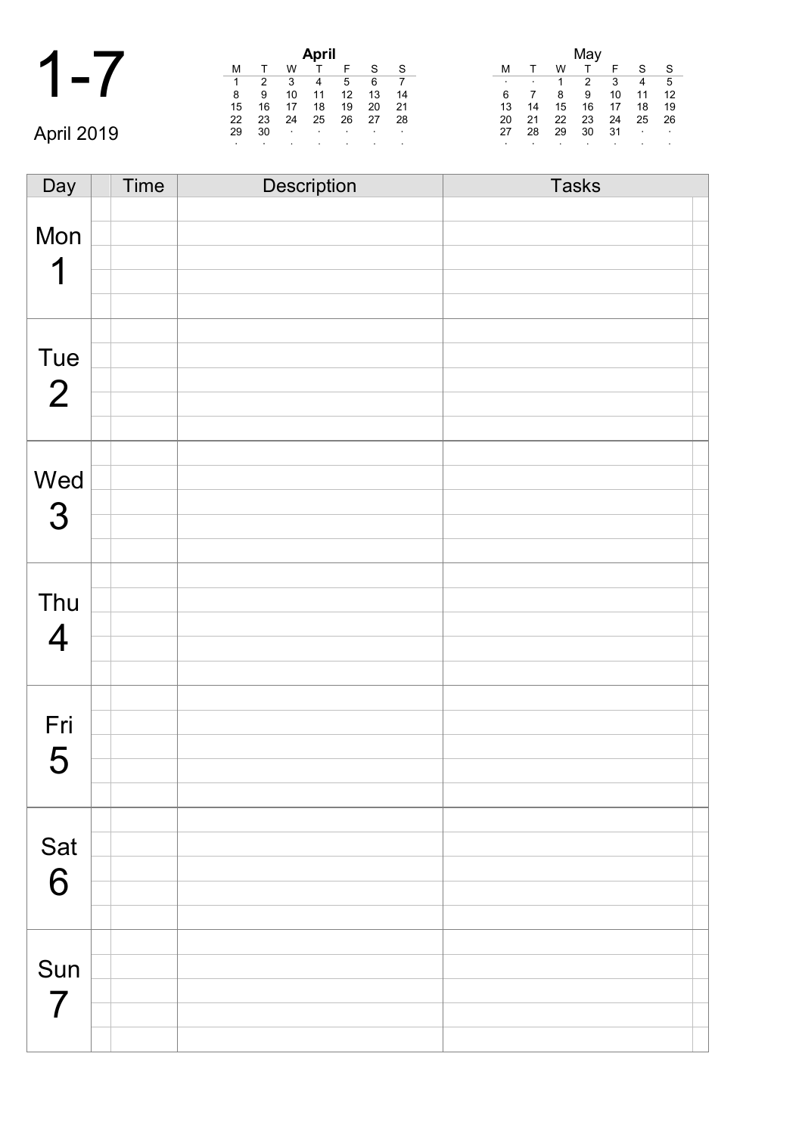|            |    |    |        | April            |        |               |         |                             |                           |
|------------|----|----|--------|------------------|--------|---------------|---------|-----------------------------|---------------------------|
|            |    |    | w      |                  |        |               | - S     | W<br>M                      | c<br>-S                   |
|            |    | 2  | 3      | 4                | 5      | 6             |         | 2<br>3<br>$\cdot$<br>$\sim$ | -5<br>$\overline{4}$      |
|            | 8  | 9  | 10     | 11               | 12     | 13            | -14     | 9<br>10<br>8<br>6           | 12<br>11                  |
|            | 15 | 16 |        | 18               | 19     | 20            | -21     | 15<br>16<br>14<br>13<br>17  | 18<br>-19                 |
|            | 22 | 23 | 24     | 25               | 26     | 27            | -28     | 22<br>23<br>21<br>24<br>20  | - 26<br>25                |
| April 2019 | 29 | 30 | $\sim$ | $\sim$ 100 $\pm$ | $\sim$ | $\sim$ $\sim$ | $\cdot$ | 28<br>29<br>30<br>-31<br>27 | <b>Contract</b><br>$\sim$ |
|            |    |    |        |                  |        |               |         |                             |                           |

| Day            | Time | Description | <b>Tasks</b> |
|----------------|------|-------------|--------------|
|                |      |             |              |
| Mon            |      |             |              |
|                |      |             |              |
| 1              |      |             |              |
|                |      |             |              |
|                |      |             |              |
|                |      |             |              |
| Tue            |      |             |              |
| $\overline{2}$ |      |             |              |
|                |      |             |              |
|                |      |             |              |
|                |      |             |              |
| Wed            |      |             |              |
|                |      |             |              |
| 3              |      |             |              |
|                |      |             |              |
|                |      |             |              |
| Thu            |      |             |              |
|                |      |             |              |
| $\overline{4}$ |      |             |              |
|                |      |             |              |
|                |      |             |              |
|                |      |             |              |
| Fri            |      |             |              |
| 5              |      |             |              |
|                |      |             |              |
|                |      |             |              |
|                |      |             |              |
| Sat            |      |             |              |
|                |      |             |              |
| 6              |      |             |              |
|                |      |             |              |
|                |      |             |              |
|                |      |             |              |
| Sun            |      |             |              |
| 7              |      |             |              |
|                |      |             |              |
|                |      |             |              |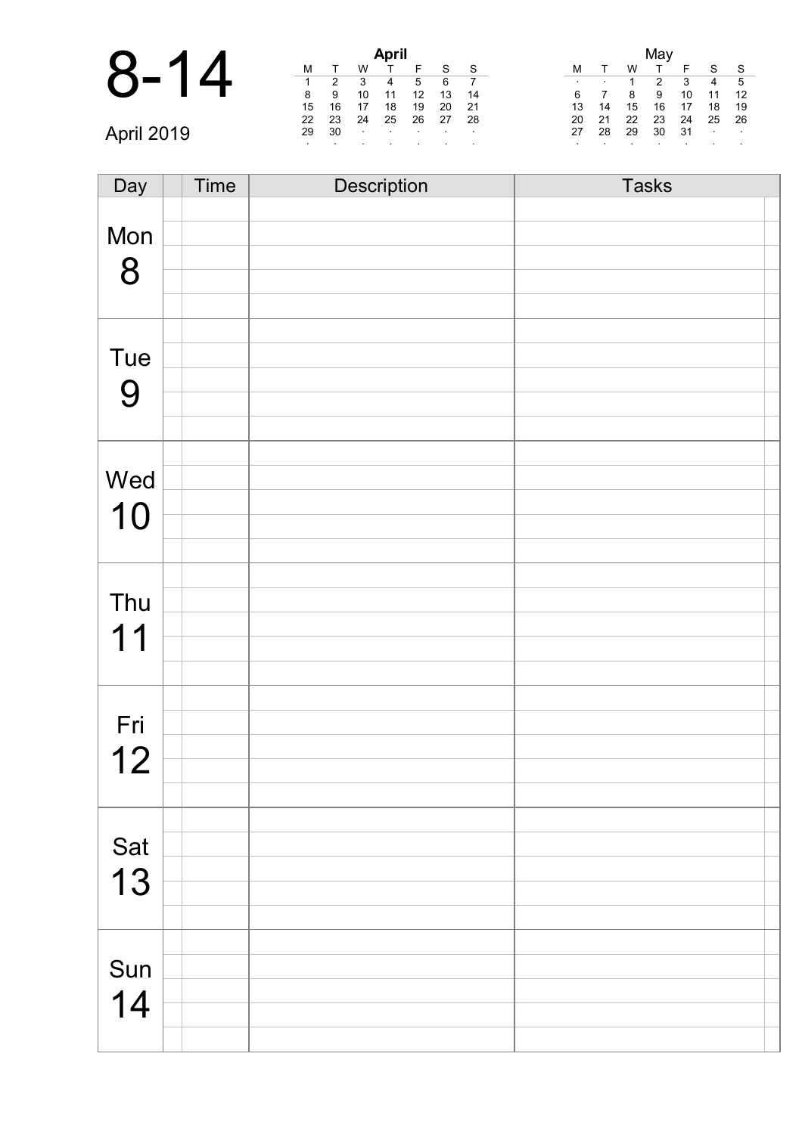|          |        |        |               | <b>April</b>  |  |
|----------|--------|--------|---------------|---------------|--|
| $8 - 14$ |        |        |               |               |  |
|          |        |        |               |               |  |
|          | 8      |        | 10            | 11            |  |
|          | 15     | 16     | 17            | 18            |  |
|          | $\sim$ | $\sim$ | $\sim$ $\sim$ | $\sim$ $\sim$ |  |

|    |    |    | April |    |    |    |
|----|----|----|-------|----|----|----|
| м  | т  | w  |       | F  | S  | S  |
| 1  | 2  | 3  | 4     | 5  | 6  |    |
| 8  | 9  | 10 | 11    | 12 | 13 | 14 |
| 15 | 16 | 17 | 18    | 19 | 20 | 21 |
| 22 | 23 | 24 | 25    | 26 | 27 | 28 |
| 29 | 30 | ٠  |       |    |    |    |
| ٠  |    |    |       | ٠  |    |    |

|    |    |    | May |    |    |    |
|----|----|----|-----|----|----|----|
| М  |    | W  |     | F  | S  | S  |
| ٠  |    | 1  | 2   | 3  | 4  | 5  |
| 6  |    | 8  | 9   | 10 | 11 | 12 |
| 13 | 14 | 15 | 16  | 17 | 18 | 19 |
| 20 | 21 | 22 | 23  | 24 | 25 | 26 |
| 27 | 28 | 29 | 30  | 31 | ٠  | ۰  |
| ٠  |    |    |     |    |    | ٠  |

| Day | <b>Time</b> | Description | <b>Tasks</b> |
|-----|-------------|-------------|--------------|
|     |             |             |              |
| Mon |             |             |              |
|     |             |             |              |
| 8   |             |             |              |
|     |             |             |              |
|     |             |             |              |
|     |             |             |              |
| Tue |             |             |              |
| 9   |             |             |              |
|     |             |             |              |
|     |             |             |              |
|     |             |             |              |
| Wed |             |             |              |
|     |             |             |              |
| 10  |             |             |              |
|     |             |             |              |
|     |             |             |              |
|     |             |             |              |
| Thu |             |             |              |
| 11  |             |             |              |
|     |             |             |              |
|     |             |             |              |
|     |             |             |              |
| Fri |             |             |              |
|     |             |             |              |
| 12  |             |             |              |
|     |             |             |              |
|     |             |             |              |
|     |             |             |              |
| Sat |             |             |              |
| 13  |             |             |              |
|     |             |             |              |
|     |             |             |              |
|     |             |             |              |
| Sun |             |             |              |
|     |             |             |              |
| 14  |             |             |              |
|     |             |             |              |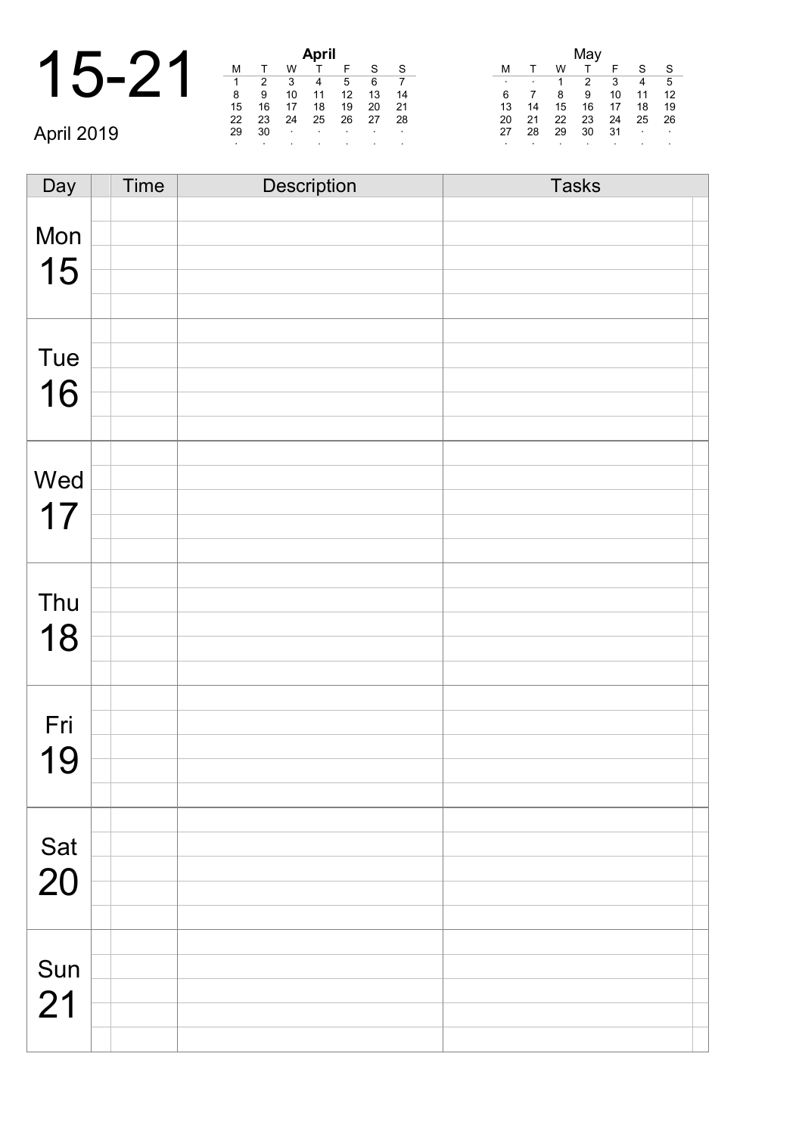| $\curvearrowright$ |    |    |    | <b>April</b> |  |
|--------------------|----|----|----|--------------|--|
| イム                 |    |    |    |              |  |
| $\mathbf{I}$       |    |    | 3  |              |  |
|                    | 8  |    | 10 | 11           |  |
|                    | 15 | 16 | 17 | 18           |  |
|                    |    |    |    |              |  |

April 2019

| April |    |    |    |    |    |    |  |  |  |
|-------|----|----|----|----|----|----|--|--|--|
| М     |    | W  |    | F  | S  | S  |  |  |  |
| 1     | 2  | 3  |    | 5  | 6  |    |  |  |  |
| 8     | 9  | 10 | 11 | 12 | 13 | 14 |  |  |  |
| 15    | 16 | 17 | 18 | 19 | 20 | 21 |  |  |  |
| 22    | 23 | 24 | 25 | 26 | 27 | 28 |  |  |  |
| 29    | 30 | ٠  | ٠  | ٠  | ٠  | ٠  |  |  |  |
| ٠     |    |    | ٠  | ٠  |    | ٠  |  |  |  |

|    |    |    | May |    |    |    |
|----|----|----|-----|----|----|----|
| м  |    | w  |     | F  | S  | S  |
| ٠  |    | 1  | 2   | 3  |    | 5  |
| 6  |    | 8  | 9   | 10 | 11 | 12 |
| 13 | 14 | 15 | 16  | 17 | 18 | 19 |
| 20 | 21 | 22 | 23  | 24 | 25 | 26 |
| 27 | 28 | 29 | 30  | 31 | ٠  | ٠  |
| ٠  |    |    |     | ٠  |    | ٠  |

Day Time Description Tasks Mon 15 Tue 16 Wed 17 Thu 18 Fri 19 Sat 20 Sun 21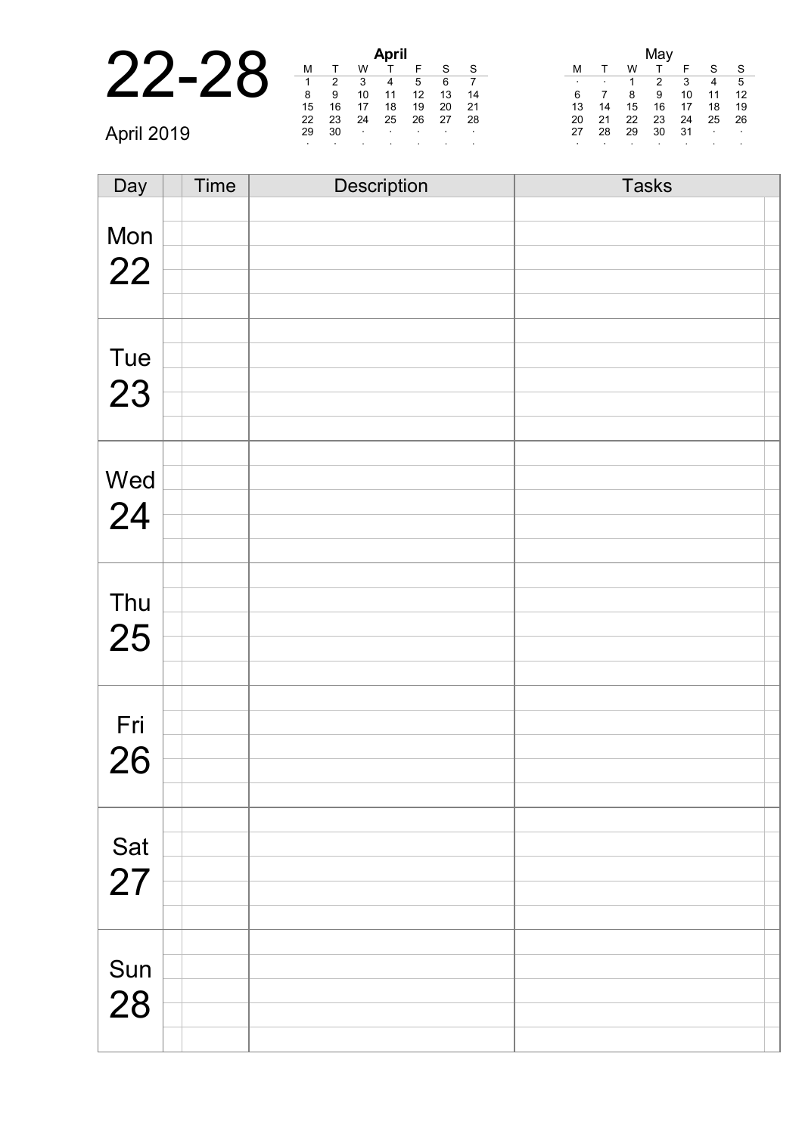|            | April |      |                  |                   |                        |    |     |  |         |    |    |               |     |                 |                  |
|------------|-------|------|------------------|-------------------|------------------------|----|-----|--|---------|----|----|---------------|-----|-----------------|------------------|
|            | M     |      | W                |                   |                        | S  | S.  |  |         |    | w  |               |     | S.              | -S               |
|            |       | 2    | 3                | 4                 | 5                      | 6  |     |  | $\cdot$ |    |    | $\mathcal{P}$ | 3   | $\overline{4}$  | $-5$             |
|            | 8     | 9    | 10               | 11                | 12                     | 13 | -14 |  | 6       |    |    | 9             | 10  | 11              | -12              |
|            | 15    | 16   |                  | 18                | 19                     | 20 | -21 |  | 13      | 14 | 15 | 16            | 17  | 18              | - 19             |
|            | 22    | 23   | 24               | 25                | 26                     | 27 | -28 |  | 20      | 21 | 22 | 23            | -24 | 25 26           |                  |
| April 2019 | 29    | - 30 | $\sim$ 100 $\pm$ | <b>Contractor</b> | and the company of the |    |     |  | 27      | 28 | 29 | 30            | 31  | <b>Contract</b> | $\sim 100$ $\mu$ |
|            |       |      |                  |                   |                        |    |     |  |         |    |    |               |     |                 |                  |

| Day       | Time | Description | <b>Tasks</b> |
|-----------|------|-------------|--------------|
|           |      |             |              |
| Mon       |      |             |              |
| 22        |      |             |              |
|           |      |             |              |
|           |      |             |              |
|           |      |             |              |
| Tue       |      |             |              |
| 23        |      |             |              |
|           |      |             |              |
|           |      |             |              |
|           |      |             |              |
| Wed       |      |             |              |
| 24        |      |             |              |
|           |      |             |              |
|           |      |             |              |
|           |      |             |              |
| Thu       |      |             |              |
| 25        |      |             |              |
|           |      |             |              |
|           |      |             |              |
|           |      |             |              |
| Fri       |      |             |              |
| 26        |      |             |              |
|           |      |             |              |
|           |      |             |              |
|           |      |             |              |
| Sat<br>27 |      |             |              |
|           |      |             |              |
|           |      |             |              |
|           |      |             |              |
|           |      |             |              |
| Sun       |      |             |              |
| 28        |      |             |              |
|           |      |             |              |
|           |      |             |              |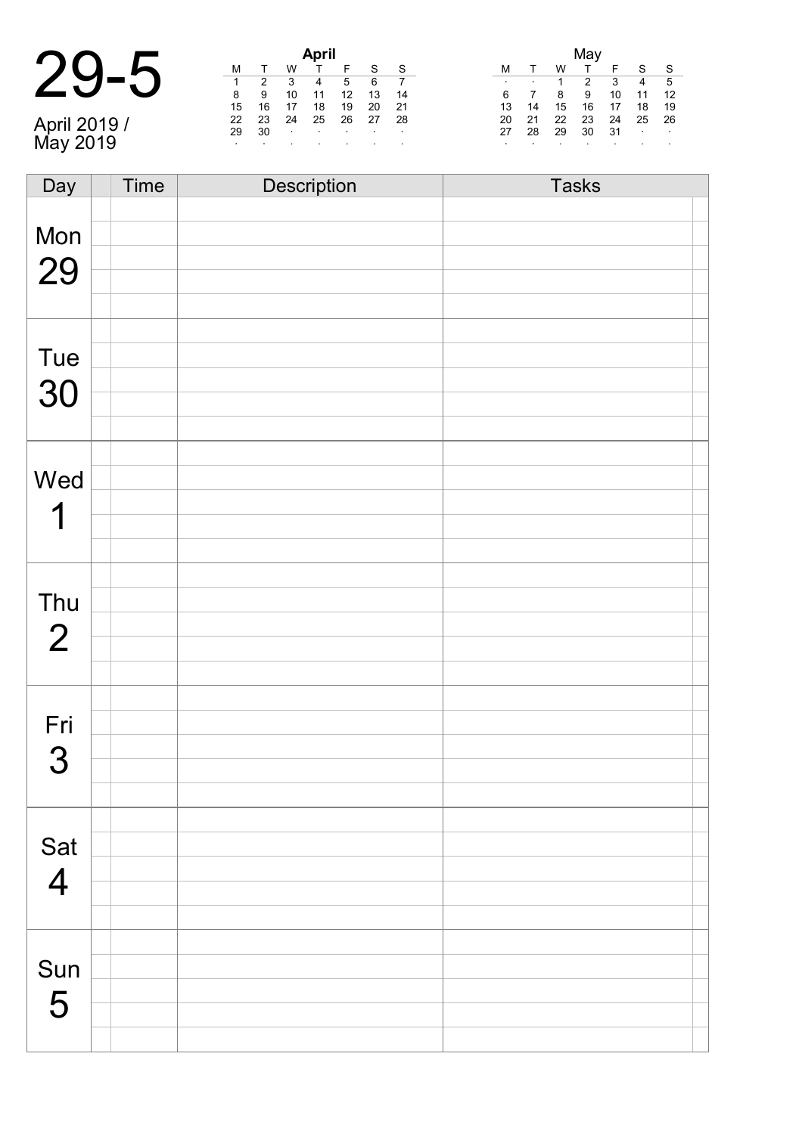|                          |    | <b>April</b> |        |        |                          |                          |      | May     |        |    |    |            |                |                  |
|--------------------------|----|--------------|--------|--------|--------------------------|--------------------------|------|---------|--------|----|----|------------|----------------|------------------|
|                          |    |              | W      |        |                          | S                        | - S  |         |        | W  |    |            | S.             | $\mathbf{s}$     |
|                          |    |              |        | 4      | 5                        | 6                        |      | $\cdot$ | $\sim$ |    | 2  | 3          | $\overline{4}$ | - 5              |
|                          | 8  | 9            | 10     | 11     | 12                       | 13                       | -14  | 6       |        | -8 | 9  | 10         | 11             | $-12$            |
|                          | 15 | 16           | 17     | 18     | 19                       | 20                       | - 21 | 13      | 14     | 15 | 16 | 17         | 18             | 19               |
|                          | 22 | 23           | 24     | 25     | 26                       | 27                       | -28  | 20      | 21     | 22 | 23 | 24         | 25             | -26              |
|                          | 29 | 30           | $\sim$ | $\sim$ | <b>Contract Contract</b> | <b>Contract Contract</b> |      | 27      | 28     | 29 | 30 | $31 \cdot$ |                | $\sim$ 100 $\mu$ |
| April 2019 /<br>May 2019 |    |              |        |        |                          |                          |      |         |        |    |    |            |                | $\cdot$          |

| Day            | <b>Time</b> | Description | <b>Tasks</b> |
|----------------|-------------|-------------|--------------|
|                |             |             |              |
| Mon            |             |             |              |
|                |             |             |              |
| 29             |             |             |              |
|                |             |             |              |
|                |             |             |              |
|                |             |             |              |
| Tue            |             |             |              |
| 30             |             |             |              |
|                |             |             |              |
|                |             |             |              |
|                |             |             |              |
| Wed            |             |             |              |
| 1              |             |             |              |
|                |             |             |              |
|                |             |             |              |
|                |             |             |              |
| Thu            |             |             |              |
|                |             |             |              |
| $\overline{2}$ |             |             |              |
|                |             |             |              |
|                |             |             |              |
|                |             |             |              |
| Fri            |             |             |              |
| 3              |             |             |              |
|                |             |             |              |
|                |             |             |              |
|                |             |             |              |
| Sat            |             |             |              |
| $\overline{4}$ |             |             |              |
|                |             |             |              |
|                |             |             |              |
|                |             |             |              |
| Sun            |             |             |              |
|                |             |             |              |
| 5              |             |             |              |
|                |             |             |              |
|                |             |             |              |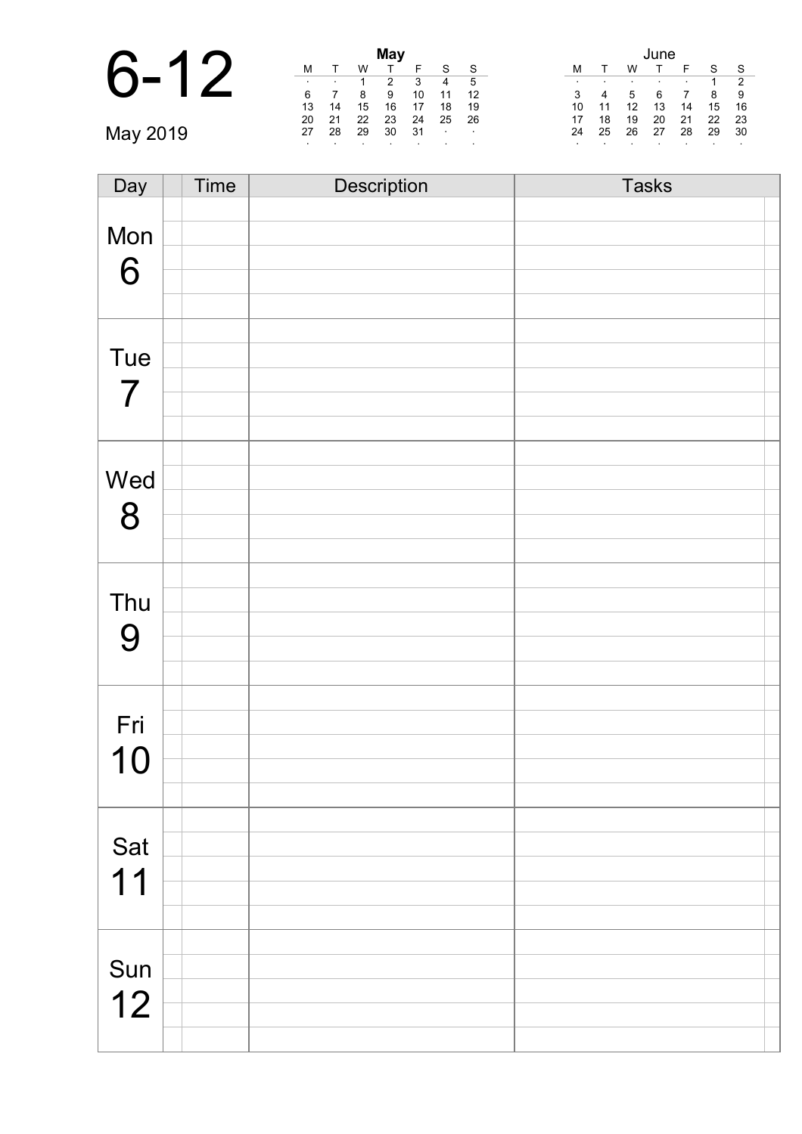|          | М  |    | W  | May    |
|----------|----|----|----|--------|
|          | 6  | ٠  | 8  | 2<br>9 |
|          | 13 | 14 | 15 | 16     |
|          | 20 | 21 | 22 | 23     |
| May 2019 | 27 | 28 | 29 | 30     |
|          |    |    |    | ٠      |

|    |    |    | мау |    |    |    |
|----|----|----|-----|----|----|----|
| м  | т  | W  |     | F  | S  | S  |
|    |    |    | 2   | 3  | 4  | 5  |
| 6  |    | 8  | 9   | 10 | 11 | 12 |
| 13 | 14 | 15 | 16  | 17 | 18 | 19 |
| 20 | 21 | 22 | 23  | 24 | 25 | 26 |
| 27 | 28 | 29 | 30  | 31 | ٠  |    |
| ٠  |    |    |     |    |    |    |

|        |    |    | June |    |    |    |
|--------|----|----|------|----|----|----|
| М      |    | w  |      | F  | S  | S  |
| ٠      | ٠  | ٠  |      | ٠  | 1  | 2  |
| 3      |    | 5  | 6    |    | 8  | 9  |
| 10     | 11 | 12 | 13   | 14 | 15 | 16 |
| 17     | 18 | 19 | 20   | 21 | 22 | 23 |
| 24     | 25 | 26 | 27   | 28 | 29 | 30 |
| $\sim$ |    | ٠  | ٠    | ٠  | ٠  | ٠  |

| Day                      | <b>Time</b> | Description | <b>Tasks</b> |  |
|--------------------------|-------------|-------------|--------------|--|
|                          |             |             |              |  |
| Mon                      |             |             |              |  |
|                          |             |             |              |  |
| 6                        |             |             |              |  |
|                          |             |             |              |  |
|                          |             |             |              |  |
| Tue                      |             |             |              |  |
|                          |             |             |              |  |
| $\overline{\mathcal{I}}$ |             |             |              |  |
|                          |             |             |              |  |
|                          |             |             |              |  |
|                          |             |             |              |  |
| Wed                      |             |             |              |  |
| 8                        |             |             |              |  |
|                          |             |             |              |  |
|                          |             |             |              |  |
|                          |             |             |              |  |
| Thu                      |             |             |              |  |
|                          |             |             |              |  |
| 9                        |             |             |              |  |
|                          |             |             |              |  |
|                          |             |             |              |  |
| Fri                      |             |             |              |  |
|                          |             |             |              |  |
| 10                       |             |             |              |  |
|                          |             |             |              |  |
|                          |             |             |              |  |
| Sat                      |             |             |              |  |
|                          |             |             |              |  |
| 11                       |             |             |              |  |
|                          |             |             |              |  |
|                          |             |             |              |  |
|                          |             |             |              |  |
| Sun                      |             |             |              |  |
| 12                       |             |             |              |  |
|                          |             |             |              |  |
|                          |             |             |              |  |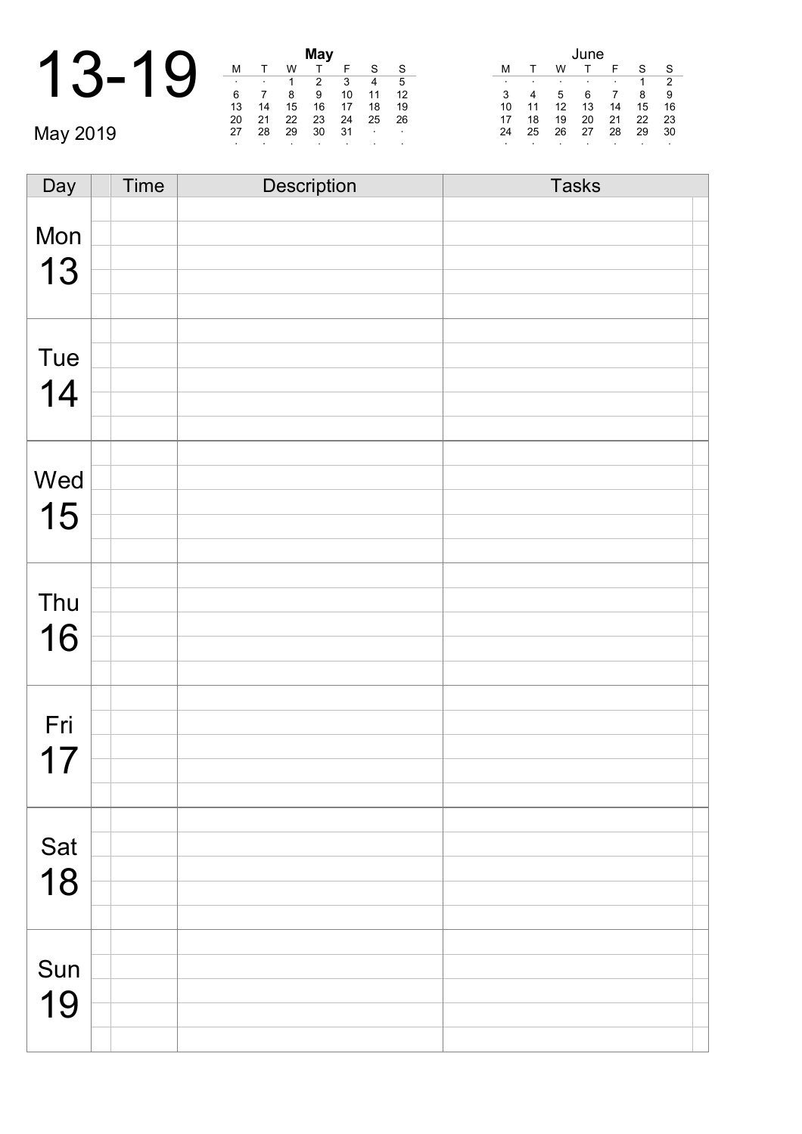|          |    |    | w  | <b>May</b> |
|----------|----|----|----|------------|
|          |    | ٠  |    | 2          |
|          | 6  |    | 8  | 9          |
|          | 13 | 14 | 15 | 16         |
|          | 20 | 21 | 22 | 23         |
| May 2019 | 27 | 28 | 29 | 30         |
|          |    |    |    |            |

|    |    |    | <b>May</b> |    |    |    |  |
|----|----|----|------------|----|----|----|--|
| М  |    | w  |            | F  | S  | S  |  |
| ٠  | ٠  |    | 2          | 3  |    | 5  |  |
| 6  |    | 8  | 9          | 10 | 11 | 12 |  |
| 13 | 14 | 15 | 16         | 17 | 18 | 19 |  |
| 20 | 21 | 22 | 23         | 24 | 25 | 26 |  |
| 27 | 28 | 29 | 30         | 31 | ٠  | ٠  |  |
| ٠  |    |    |            | ٠  |    | ٠  |  |

|    |    |    | June |    |    |    |
|----|----|----|------|----|----|----|
| м  |    | w  |      | F  | S  | S  |
| ٠  | ٠  | ٠  | ٠    | ٠  | 1  | 2  |
| 3  | 4  | 5  | 6    |    | 8  | 9  |
| 10 | 11 | 12 | 13   | 14 | 15 | 16 |
| 17 | 18 | 19 | 20   | 21 | 22 | 23 |
| 24 | 25 | 26 | 27   | 28 | 29 | 30 |
| ٠  |    | ٠  | ٠    | ٠  | ٠  | ٠  |

| Day | Time | <b>Description</b> | <b>Tasks</b> |
|-----|------|--------------------|--------------|
|     |      |                    |              |
| Mon |      |                    |              |
|     |      |                    |              |
| 13  |      |                    |              |
|     |      |                    |              |
|     |      |                    |              |
| Tue |      |                    |              |
|     |      |                    |              |
| 14  |      |                    |              |
|     |      |                    |              |
|     |      |                    |              |
|     |      |                    |              |
| Wed |      |                    |              |
| 15  |      |                    |              |
|     |      |                    |              |
|     |      |                    |              |
|     |      |                    |              |
| Thu |      |                    |              |
| 16  |      |                    |              |
|     |      |                    |              |
|     |      |                    |              |
|     |      |                    |              |
| Fri |      |                    |              |
|     |      |                    |              |
| 17  |      |                    |              |
|     |      |                    |              |
|     |      |                    |              |
| Sat |      |                    |              |
|     |      |                    |              |
| 18  |      |                    |              |
|     |      |                    |              |
|     |      |                    |              |
|     |      |                    |              |
| Sun |      |                    |              |
| 19  |      |                    |              |
|     |      |                    |              |
|     |      |                    |              |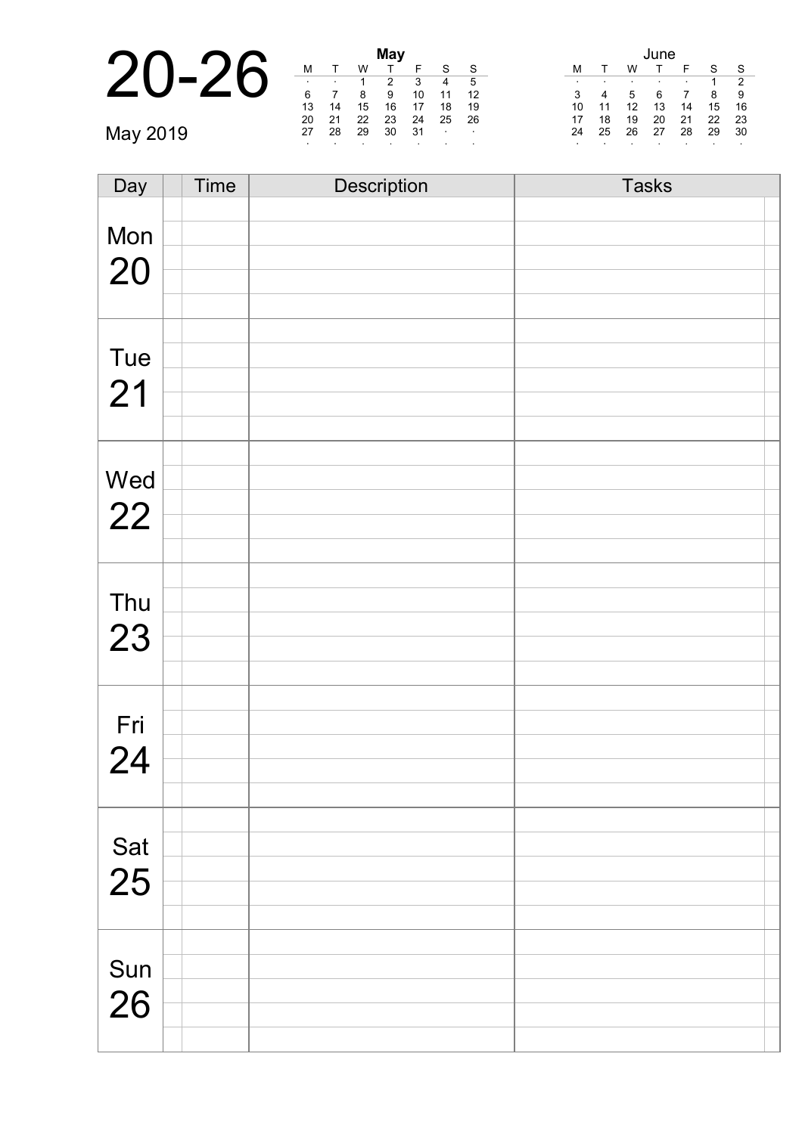|          |                |    |    | May |         |                   |              |    | June |    |    |                          |    |                |  |
|----------|----------------|----|----|-----|---------|-------------------|--------------|----|------|----|----|--------------------------|----|----------------|--|
| 20-26    | M              |    | W  |     |         |                   | $^{\circ}$ S |    |      |    |    |                          | S  | - S            |  |
|          | $\blacksquare$ |    |    |     | 3       | 4                 | - 5          |    |      |    |    | $\overline{\phantom{a}}$ |    | $\overline{2}$ |  |
|          | 6              |    | 8  | 9   | 10      | 11                | -12          |    | 4    | 5  | 6  |                          | 89 |                |  |
|          | 13             | 14 | 15 | 16  | 17      | 18                | 19           | 10 |      | 12 | 13 | 14                       | 15 | - 16           |  |
|          | 20             | 21 | 22 | 23  | 24      | 25                | -26          | 17 | 18   | 19 | 20 | 21                       | 22 | -23            |  |
| May 2019 | 27             | 28 | 29 | 30  | - 31    | <b>Contractor</b> | $\sim$       | 24 | 25   | 26 | 27 | 28                       | 29 | - 30           |  |
|          |                |    |    |     | $\cdot$ |                   |              |    |      |    |    |                          |    |                |  |

| Day       | Time | Description | <b>Tasks</b> |
|-----------|------|-------------|--------------|
|           |      |             |              |
| Mon       |      |             |              |
| 20        |      |             |              |
|           |      |             |              |
|           |      |             |              |
|           |      |             |              |
| Tue       |      |             |              |
|           |      |             |              |
| 21        |      |             |              |
|           |      |             |              |
|           |      |             |              |
| Wed       |      |             |              |
| 22        |      |             |              |
|           |      |             |              |
|           |      |             |              |
|           |      |             |              |
| Thu       |      |             |              |
| 23        |      |             |              |
|           |      |             |              |
|           |      |             |              |
|           |      |             |              |
| Fri       |      |             |              |
| 24        |      |             |              |
|           |      |             |              |
|           |      |             |              |
|           |      |             |              |
| Sat<br>25 |      |             |              |
|           |      |             |              |
|           |      |             |              |
|           |      |             |              |
|           |      |             |              |
| Sun       |      |             |              |
| 26        |      |             |              |
|           |      |             |              |
|           |      |             |              |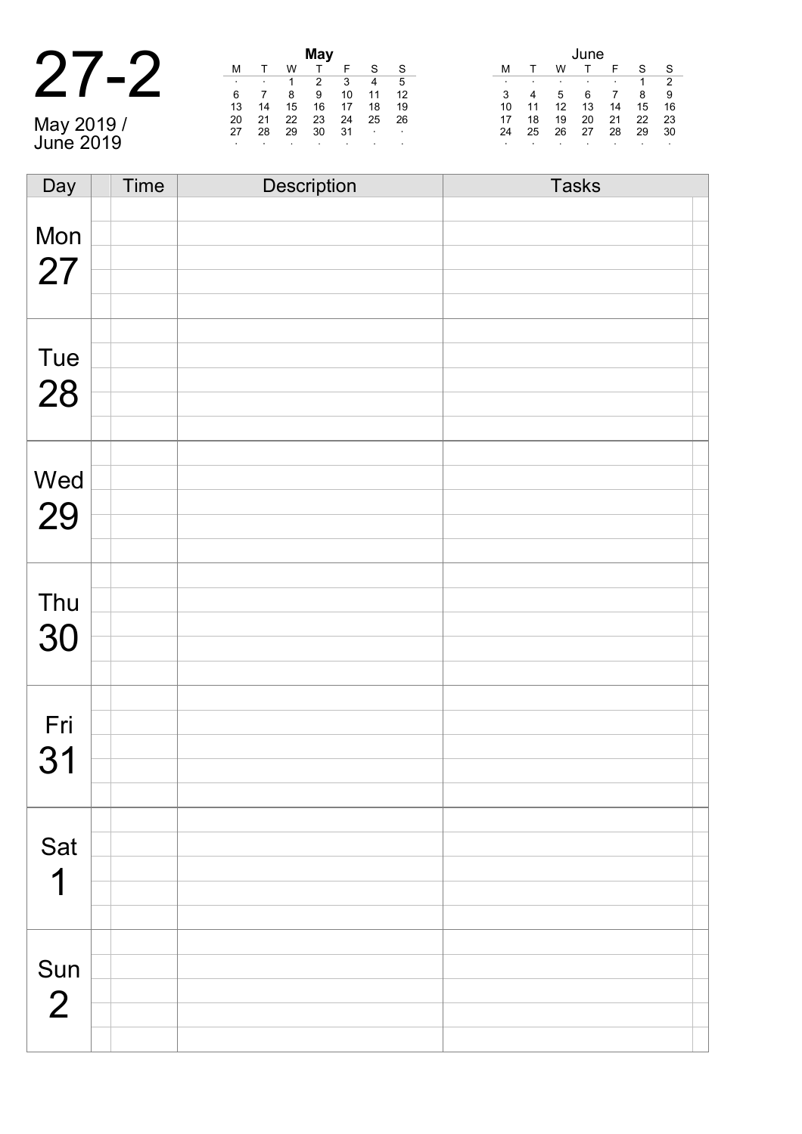|                       |        |    |    | May |         |                   |     | June |    |    |    |    |    |               |
|-----------------------|--------|----|----|-----|---------|-------------------|-----|------|----|----|----|----|----|---------------|
|                       | М      |    | W  |     |         |                   | -S  |      |    | W  |    |    |    | -S            |
|                       | $\sim$ |    |    |     |         | 4                 | 5   |      |    |    |    |    |    | $\mathcal{P}$ |
|                       | 6      |    |    | 9   | 10      | 11                | 12  | 3    | 4  | 5  | 6  |    | 8  | -9            |
|                       | 13     | 14 | 15 | 16  |         | 18                | 19  | 10   | 11 | 12 | 13 | 14 | 15 | - 16          |
|                       | 20     | 21 | 22 | 23  | 24      | 25                | -26 | 17   | 18 | 19 | 20 | 21 | 22 | - 23          |
|                       | 27     | 28 | 29 | 30  | -31     | <b>Contractor</b> |     | 24   | 25 | 26 | 27 | 28 | 29 | - 30          |
| May 2019<br>June 2019 |        |    |    |     | $\cdot$ |                   |     |      |    |    |    |    |    | $\sim$        |

| Day            | <b>Time</b> | Description | <b>Tasks</b> |
|----------------|-------------|-------------|--------------|
|                |             |             |              |
| Mon            |             |             |              |
|                |             |             |              |
| 27             |             |             |              |
|                |             |             |              |
|                |             |             |              |
| Tue            |             |             |              |
|                |             |             |              |
| 28             |             |             |              |
|                |             |             |              |
|                |             |             |              |
|                |             |             |              |
| Wed            |             |             |              |
| 29             |             |             |              |
|                |             |             |              |
|                |             |             |              |
|                |             |             |              |
| Thu            |             |             |              |
| 30             |             |             |              |
|                |             |             |              |
|                |             |             |              |
|                |             |             |              |
| Fri            |             |             |              |
| 31             |             |             |              |
|                |             |             |              |
|                |             |             |              |
|                |             |             |              |
| Sat            |             |             |              |
| 1              |             |             |              |
|                |             |             |              |
|                |             |             |              |
|                |             |             |              |
| Sun            |             |             |              |
|                |             |             |              |
| $\overline{2}$ |             |             |              |
|                |             |             |              |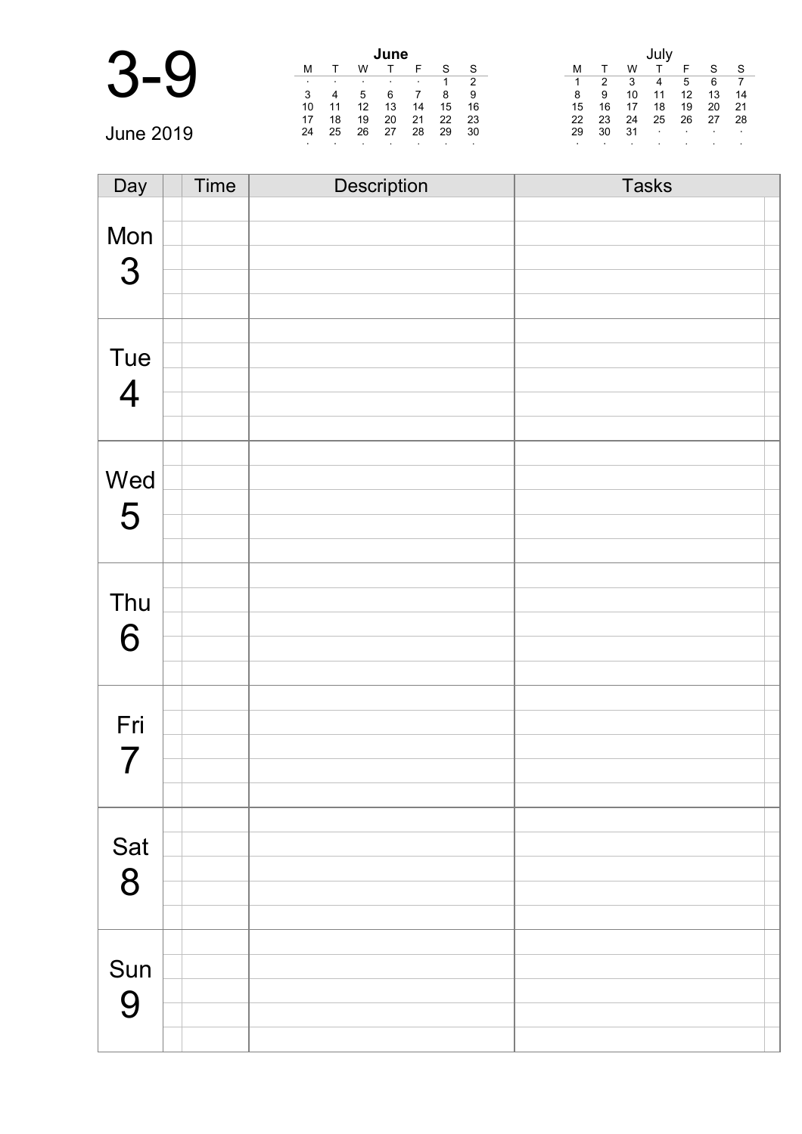| $\sqrt{2}$ |    |    |    | June |         |         |     |    |    |     |                |                  |                     |     |
|------------|----|----|----|------|---------|---------|-----|----|----|-----|----------------|------------------|---------------------|-----|
|            | м  |    |    |      |         | S       | -S  |    |    | W   |                |                  | $\mathbf{C}$        | `S  |
|            |    |    |    |      |         |         | 2   |    |    | 3   | 4              | 5                | 6                   |     |
|            | 3  |    |    |      |         | 8       | 9   | 8  | 9  | 10  | 11             | 12               | 13                  | 14  |
|            | 10 | 11 | 12 | 13   | 14      | 15      | 16  | 15 | 16 | 17  | 18             | 19               | 20                  | -21 |
|            | 17 | 18 | 19 | 20   | 21      | 22      | -23 | 22 | 23 | 24  | 25             | 26               | 27                  | -28 |
| June 2019  | 24 | 25 | 26 | 27   | 28      | 29      | 30  | 29 | 30 | -31 | $\blacksquare$ | $\sim$ 100 $\pm$ | <b>State Street</b> |     |
|            |    |    |    |      | $\cdot$ | $\cdot$ |     |    |    |     |                |                  |                     |     |

| Day            | Time | Description | <b>Tasks</b> |
|----------------|------|-------------|--------------|
|                |      |             |              |
| Mon            |      |             |              |
| 3              |      |             |              |
|                |      |             |              |
|                |      |             |              |
|                |      |             |              |
| Tue            |      |             |              |
| $\overline{4}$ |      |             |              |
|                |      |             |              |
|                |      |             |              |
|                |      |             |              |
| Wed            |      |             |              |
| 5              |      |             |              |
|                |      |             |              |
|                |      |             |              |
|                |      |             |              |
| Thu            |      |             |              |
| 6              |      |             |              |
|                |      |             |              |
|                |      |             |              |
|                |      |             |              |
| Fri            |      |             |              |
| 7              |      |             |              |
|                |      |             |              |
|                |      |             |              |
|                |      |             |              |
| Sat 8          |      |             |              |
|                |      |             |              |
|                |      |             |              |
|                |      |             |              |
|                |      |             |              |
| Sun            |      |             |              |
| 9              |      |             |              |
|                |      |             |              |
|                |      |             |              |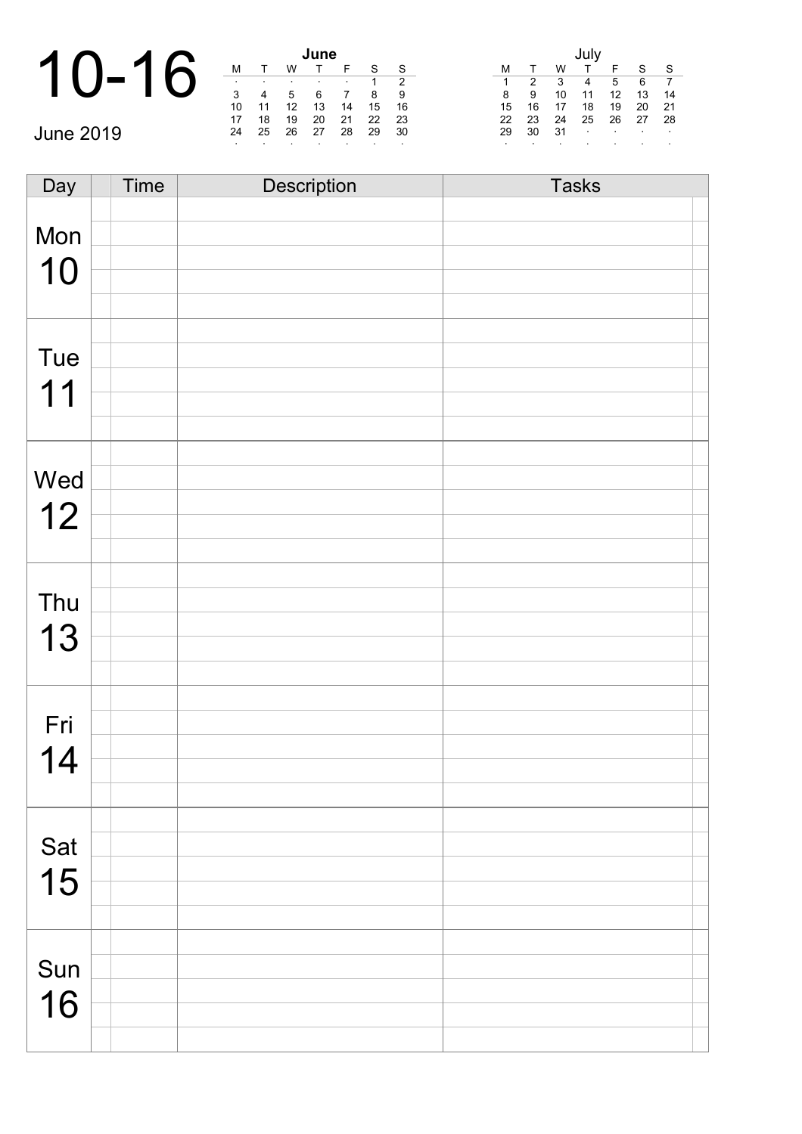|                       |         |    |    | June |    |         |         |    |    |     |        |                          |            |                |  |  |
|-----------------------|---------|----|----|------|----|---------|---------|----|----|-----|--------|--------------------------|------------|----------------|--|--|
| $\blacktriangleright$ | м       |    |    |      |    |         | -S      | м  |    | w   |        |                          | c          | <sub>S</sub>   |  |  |
|                       |         |    |    |      |    |         |         |    |    | 3   | 4      | 5                        | 6          | $\overline{7}$ |  |  |
|                       | 3       |    | 5  |      |    | 8       | 9       | 8  | -9 | 10  | 11     | 12                       | 13         | 14             |  |  |
|                       | 10      | 11 | 12 | 13   | 14 | 15      | 16      | 15 | 16 | 17  | 18     | 19                       | 20         | -21            |  |  |
|                       | 17      | 18 | 19 | 20   | 21 | 22      | 23      | 22 | 23 | 24  | 25     | 26                       | 27         | 28             |  |  |
| <b>June 2019</b>      | 24      | 25 | 26 | 27   | 28 | 29      | 30      | 29 | 30 | -31 | $\sim$ | <b>Contract Contract</b> | $\sim 100$ | $\sim$         |  |  |
|                       | $\cdot$ |    |    |      |    | $\cdot$ | $\cdot$ |    |    |     |        |                          |            | $\bullet$      |  |  |

| Day | Time | Description | <b>Tasks</b> |
|-----|------|-------------|--------------|
|     |      |             |              |
| Mon |      |             |              |
|     |      |             |              |
| 10  |      |             |              |
|     |      |             |              |
|     |      |             |              |
| Tue |      |             |              |
|     |      |             |              |
| 11  |      |             |              |
|     |      |             |              |
|     |      |             |              |
| Wed |      |             |              |
|     |      |             |              |
| 12  |      |             |              |
|     |      |             |              |
|     |      |             |              |
| Thu |      |             |              |
|     |      |             |              |
| 13  |      |             |              |
|     |      |             |              |
|     |      |             |              |
| Fri |      |             |              |
|     |      |             |              |
| 14  |      |             |              |
|     |      |             |              |
|     |      |             |              |
| Sat |      |             |              |
|     |      |             |              |
| 15  |      |             |              |
|     |      |             |              |
|     |      |             |              |
| Sun |      |             |              |
|     |      |             |              |
| 16  |      |             |              |
|     |      |             |              |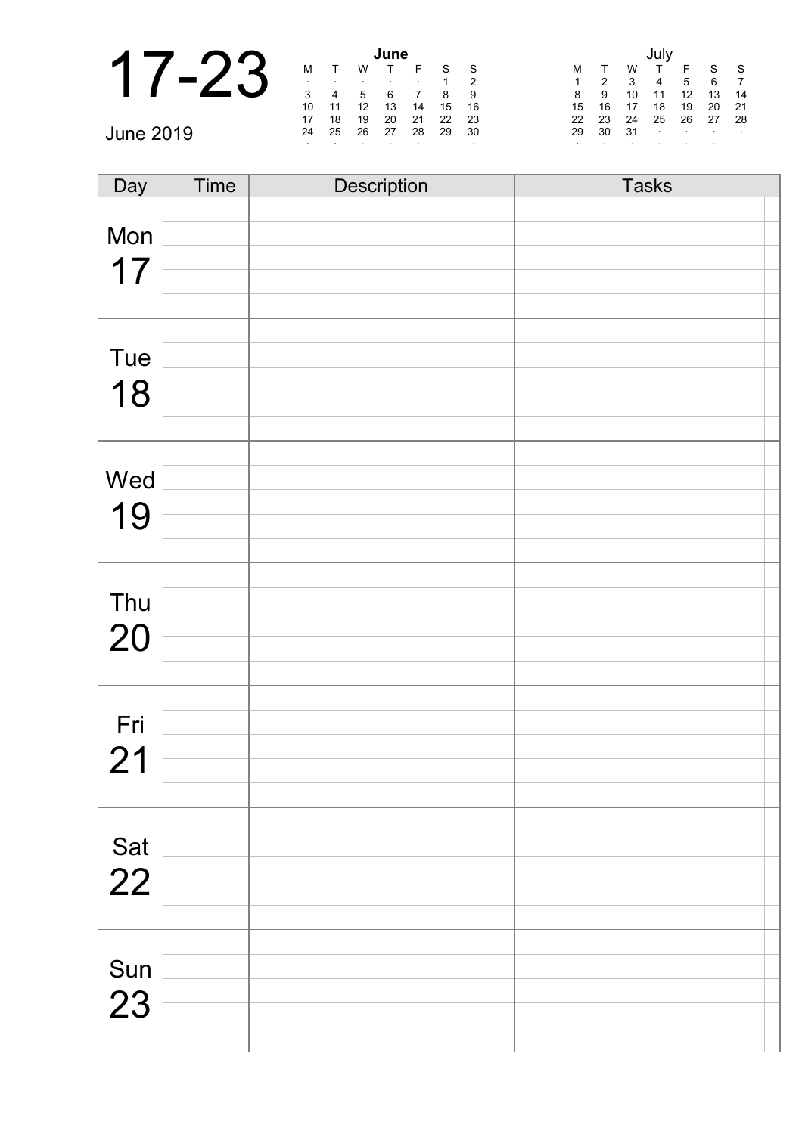|                  |         |    |                   | June |    |    |     |    |    |     |         |        |        |              |  |
|------------------|---------|----|-------------------|------|----|----|-----|----|----|-----|---------|--------|--------|--------------|--|
|                  | M       |    | W                 |      |    |    | S   | м  |    | w   |         |        | $\sim$ | <sub>S</sub> |  |
|                  | $\cdot$ |    |                   |      |    |    |     |    |    |     | 4       | 5      | 6      |              |  |
|                  | 3       |    |                   |      |    | 8  | 9   | 8  | 9  | 10  | 11      | 12     | 13     | 14           |  |
|                  | 10      | 11 | $12 \overline{ }$ | 13   | 14 | 15 | 16  | 15 | 16 | 17  | 18      | 19     | 20     | 21           |  |
|                  | 17      | 18 | 19                | 20   | 21 | 22 | 23  | 22 | 23 | 24  | 25      | 26     | 27     | -28          |  |
| <b>June 2019</b> | 24      | 25 | 26                | 27   | 28 | 29 | 30  | 29 | 30 | -31 | $\cdot$ | $\sim$ | $\sim$ | $\sim$       |  |
|                  |         |    |                   |      |    |    | . . |    |    |     |         |        |        |              |  |

| Day                       | Time | Description | <b>Tasks</b> |
|---------------------------|------|-------------|--------------|
|                           |      |             |              |
| Mon                       |      |             |              |
| 17                        |      |             |              |
|                           |      |             |              |
|                           |      |             |              |
|                           |      |             |              |
| Tue                       |      |             |              |
| 18                        |      |             |              |
|                           |      |             |              |
|                           |      |             |              |
| Wed                       |      |             |              |
|                           |      |             |              |
| 19                        |      |             |              |
|                           |      |             |              |
|                           |      |             |              |
| Thu                       |      |             |              |
| 20                        |      |             |              |
|                           |      |             |              |
|                           |      |             |              |
|                           |      |             |              |
| Fri                       |      |             |              |
| 21                        |      |             |              |
|                           |      |             |              |
|                           |      |             |              |
|                           |      |             |              |
| $\frac{\mathsf{Sat}}{22}$ |      |             |              |
|                           |      |             |              |
|                           |      |             |              |
|                           |      |             |              |
| Sun                       |      |             |              |
| 23                        |      |             |              |
|                           |      |             |              |
|                           |      |             |              |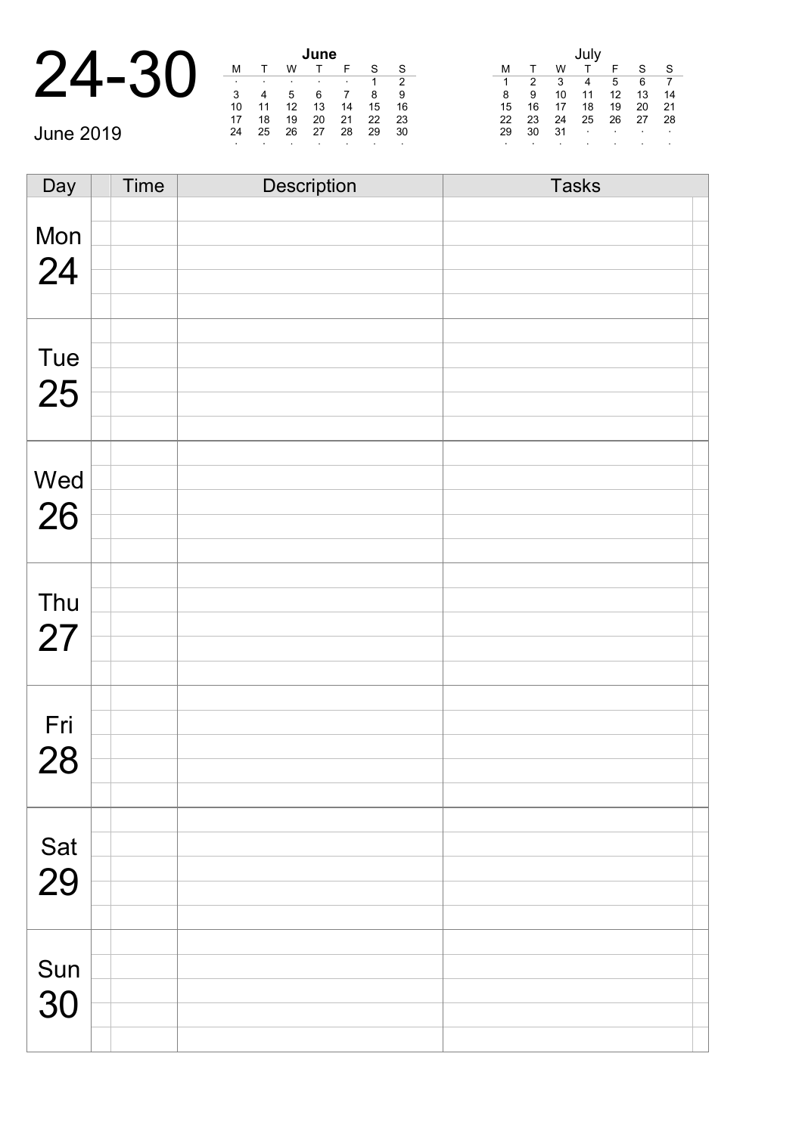|       |    |           | une |  |
|-------|----|-----------|-----|--|
| 24-30 |    |           |     |  |
|       | ٠  | $\bullet$ | ٠   |  |
|       | 2  |           |     |  |
|       | 10 | 12        | 13  |  |
|       |    |           |     |  |

June 2019

| June |    |    |    |    |    |    |  |  |  |  |  |
|------|----|----|----|----|----|----|--|--|--|--|--|
| М    |    | w  |    | F  | S  | S  |  |  |  |  |  |
| ٠    |    | ٠  | ٠  | ٠  |    | 2  |  |  |  |  |  |
| 3    |    | 5  | 6  |    | 8  | 9  |  |  |  |  |  |
| 10   | 11 | 12 | 13 | 14 | 15 | 16 |  |  |  |  |  |
| 17   | 18 | 19 | 20 | 21 | 22 | 23 |  |  |  |  |  |
| 24   | 25 | 26 | 27 | 28 | 29 | 30 |  |  |  |  |  |
| ٠    |    | ٠  | ٠  |    | ٠  | ٠  |  |  |  |  |  |

|    |    |    | July |    |    |    |
|----|----|----|------|----|----|----|
| м  |    | W  |      | F  | S  | S  |
| 1  | 2  | 3  |      | 5  | 6  |    |
| 8  | 9  | 10 | 11   | 12 | 13 | 14 |
| 15 | 16 | 17 | 18   | 19 | 20 | 21 |
| 22 | 23 | 24 | 25   | 26 | 27 | 28 |
| 29 | 30 | 31 | ٠    | ٠  |    | ٠  |
| ٠  |    |    | ٠    |    | ٠  | ٠  |

| Day       | <b>Time</b> | <b>Description</b> | <b>Tasks</b> |  |
|-----------|-------------|--------------------|--------------|--|
|           |             |                    |              |  |
| Mon       |             |                    |              |  |
| 24        |             |                    |              |  |
|           |             |                    |              |  |
|           |             |                    |              |  |
|           |             |                    |              |  |
| Tue       |             |                    |              |  |
| 25        |             |                    |              |  |
|           |             |                    |              |  |
|           |             |                    |              |  |
|           |             |                    |              |  |
| Wed       |             |                    |              |  |
| 26        |             |                    |              |  |
|           |             |                    |              |  |
|           |             |                    |              |  |
| Thu       |             |                    |              |  |
|           |             |                    |              |  |
| 27        |             |                    |              |  |
|           |             |                    |              |  |
|           |             |                    |              |  |
| Fri       |             |                    |              |  |
| 28        |             |                    |              |  |
|           |             |                    |              |  |
|           |             |                    |              |  |
|           |             |                    |              |  |
| Sat       |             |                    |              |  |
| 29        |             |                    |              |  |
|           |             |                    |              |  |
|           |             |                    |              |  |
|           |             |                    |              |  |
| Sun<br>30 |             |                    |              |  |
|           |             |                    |              |  |
|           |             |                    |              |  |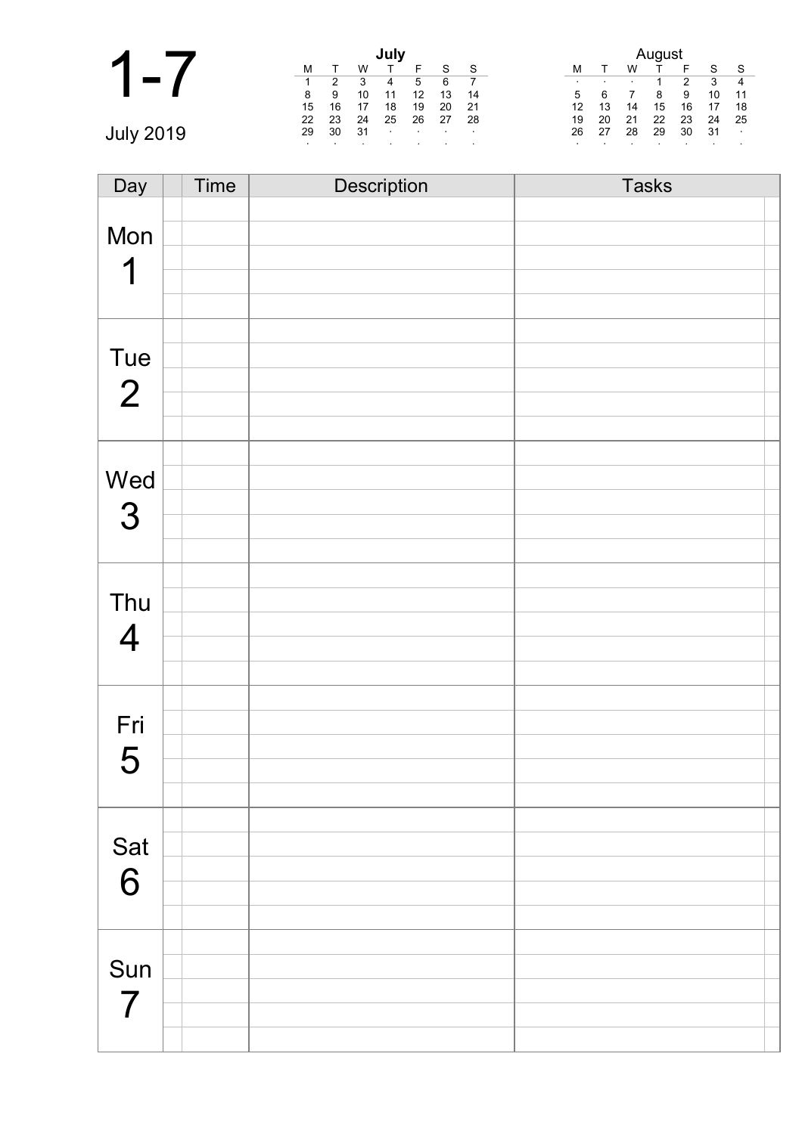|        | July    |    |    |              |                |         |        |         | August |         |    |         |         |                  |
|--------|---------|----|----|--------------|----------------|---------|--------|---------|--------|---------|----|---------|---------|------------------|
|        | M       |    | W  |              |                | S       | S      |         |        | W       |    | F       | c       | S                |
|        |         | っ  | 3  | 4            | 5              | 6       |        | $\cdot$ | . .    | $\cdot$ |    | າ       | 3       | $\overline{4}$   |
|        | 8       | 9  | 10 | 11           | 12             | 13      | 14     | 5       |        |         | 8  | 9       | 10      | 11               |
|        | 15      | 16 | 17 | 18           | 19             | 20      | 21     | 12      | 13     | 14      | 15 | 16      | 17      | -18              |
|        | 22      | 23 | 24 | 25           | 26             | 27      | 28     | 19      | 20     | 21      | 22 | 23      | 24      | - 25             |
| July 2 | 29      | 30 | 31 | $\mathbf{r}$ | $\blacksquare$ | $\cdot$ | $\sim$ | 26      | 27     | 28      | 29 | 30      | 31      | $\sim$ 100 $\pm$ |
|        | $\cdot$ |    |    |              |                |         |        | $\cdot$ |        |         |    | $\cdot$ | $\cdot$ |                  |

| Day            | <b>Time</b> | Description | <b>Tasks</b> |
|----------------|-------------|-------------|--------------|
|                |             |             |              |
| Mon            |             |             |              |
|                |             |             |              |
| 1              |             |             |              |
|                |             |             |              |
|                |             |             |              |
| Tue            |             |             |              |
|                |             |             |              |
| $\overline{2}$ |             |             |              |
|                |             |             |              |
|                |             |             |              |
| Wed            |             |             |              |
|                |             |             |              |
| 3              |             |             |              |
|                |             |             |              |
|                |             |             |              |
| Thu            |             |             |              |
|                |             |             |              |
| $\overline{4}$ |             |             |              |
|                |             |             |              |
|                |             |             |              |
| Fri            |             |             |              |
|                |             |             |              |
| 5              |             |             |              |
|                |             |             |              |
|                |             |             |              |
| Sat            |             |             |              |
| 6              |             |             |              |
|                |             |             |              |
|                |             |             |              |
|                |             |             |              |
| Sun            |             |             |              |
| $\overline{7}$ |             |             |              |
|                |             |             |              |
|                |             |             |              |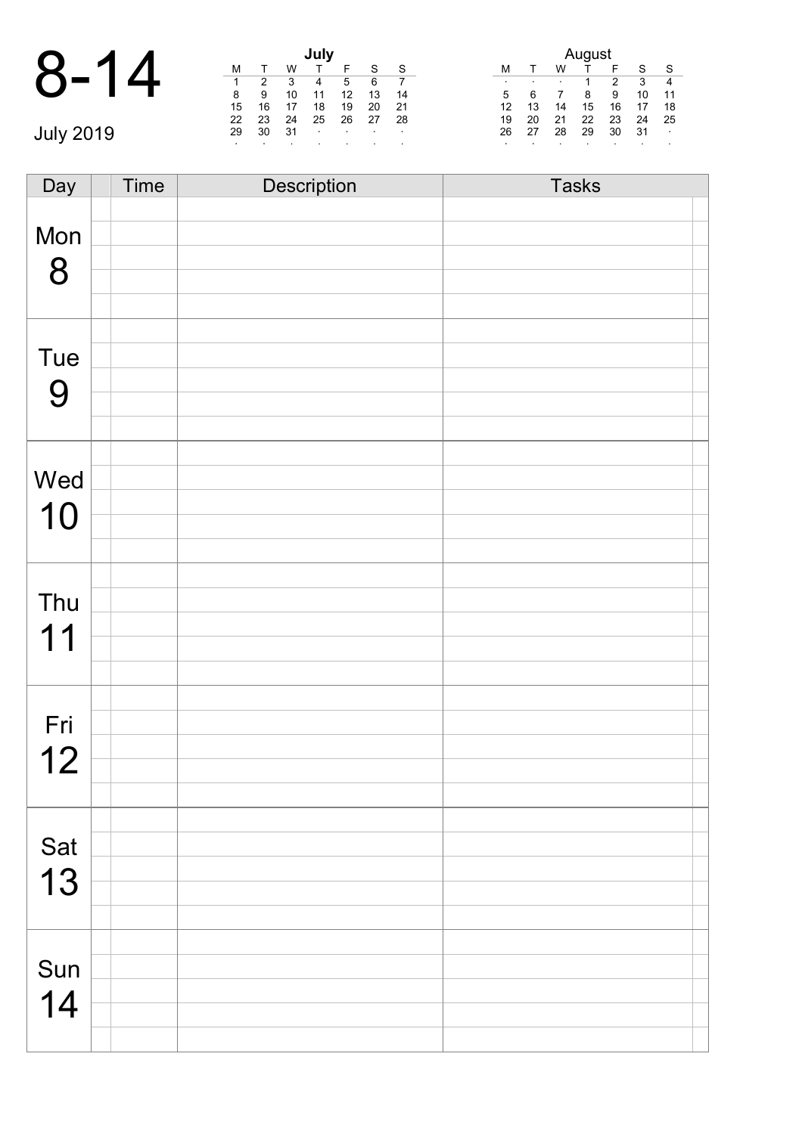|                  |    |    |    | July    |        |        |        | August |    |           |    |    |                          |                         |
|------------------|----|----|----|---------|--------|--------|--------|--------|----|-----------|----|----|--------------------------|-------------------------|
| $8-$             |    |    | W  |         |        | c      | - S    | M      |    | W         |    |    | S                        | -S                      |
|                  | 1  | 2  | 3  | 4       | 5      | 6      |        |        |    | $\bullet$ |    | 2  | 3                        | 4                       |
|                  | 8  | 9  | 10 |         | 12     | 13     | 14     | 5      | 6  |           | 8  | 9  | 10                       | 11                      |
|                  | 15 | 16 |    | 18      | 19     | 20     | -21    | 12     | 13 | 14        | 15 | 16 | 17                       | 18                      |
|                  | 22 | 23 | 24 | 25      | 26     | 27     | -28    | 19     | 20 | 21        | 22 | 23 | 24                       | 25                      |
| <b>July 2019</b> | 29 | 30 | 31 | $\cdot$ | $\sim$ | $\sim$ | $\sim$ | 26     | 27 | 28        | 29 | 30 | 31                       | $\sim 100$ km s $^{-1}$ |
|                  |    |    |    |         |        |        |        |        |    |           |    |    | $\overline{\phantom{a}}$ |                         |

| Day | Time | Description | <b>Tasks</b> |
|-----|------|-------------|--------------|
|     |      |             |              |
| Mon |      |             |              |
|     |      |             |              |
| 8   |      |             |              |
|     |      |             |              |
|     |      |             |              |
| Tue |      |             |              |
|     |      |             |              |
| 9   |      |             |              |
|     |      |             |              |
|     |      |             |              |
| Wed |      |             |              |
|     |      |             |              |
| 10  |      |             |              |
|     |      |             |              |
|     |      |             |              |
| Thu |      |             |              |
|     |      |             |              |
| 11  |      |             |              |
|     |      |             |              |
|     |      |             |              |
| Fri |      |             |              |
|     |      |             |              |
| 12  |      |             |              |
|     |      |             |              |
|     |      |             |              |
| Sat |      |             |              |
|     |      |             |              |
| 13  |      |             |              |
|     |      |             |              |
|     |      |             |              |
| Sun |      |             |              |
|     |      |             |              |
| 14  |      |             |              |
|     |      |             |              |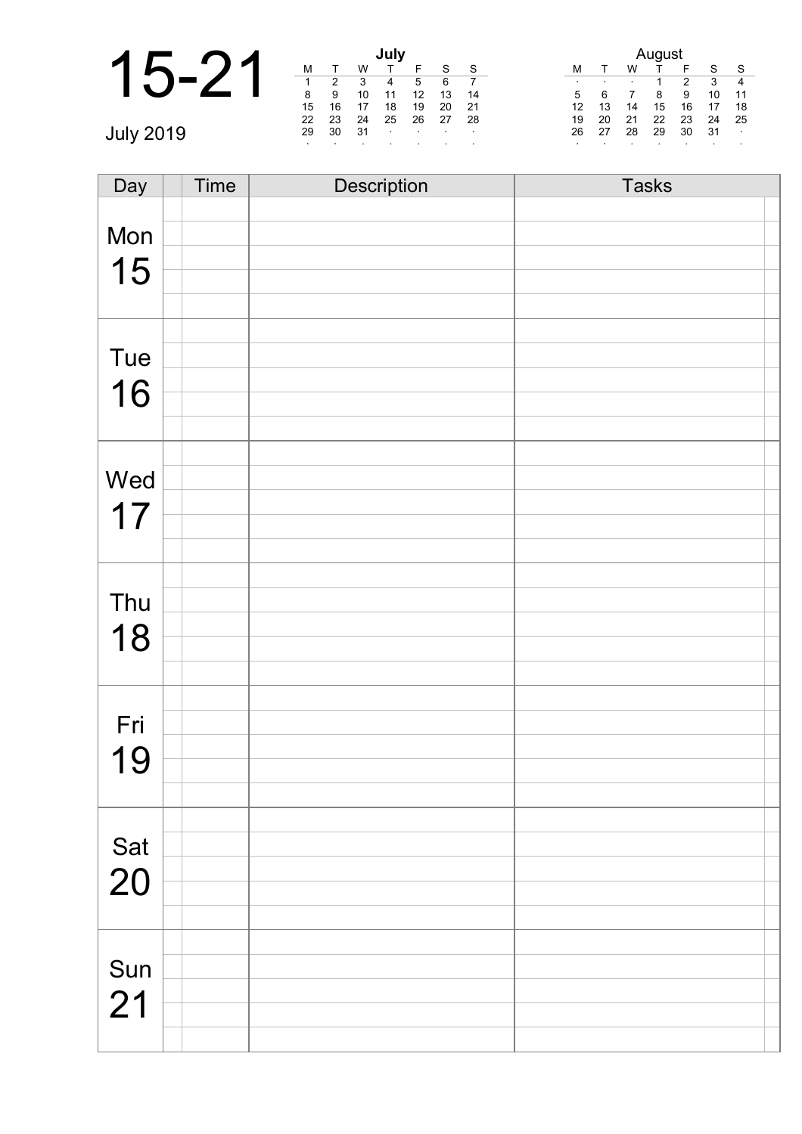|                  |    |    |    | July             |                 |        |        |                                | ugust                    |  |  |  |  |  |
|------------------|----|----|----|------------------|-----------------|--------|--------|--------------------------------|--------------------------|--|--|--|--|--|
|                  | M  |    |    |                  |                 |        | -S     | F<br>W<br>м                    | -S<br>$\mathbf{C}$       |  |  |  |  |  |
|                  |    | 2  | 3  | 4                | 5               | 6      |        | 2<br>$\cdot$<br>$\blacksquare$ | 3<br>-4                  |  |  |  |  |  |
|                  | 8  | 9  | 10 | 11               | 12              | 13     | -14    | 9<br>8<br>5                    | 10<br>-11                |  |  |  |  |  |
|                  | 15 | 16 |    | 18               | 19              | 20     | 21     | 13<br>12<br>16<br>15<br>14     | 17<br>18                 |  |  |  |  |  |
|                  | 22 | 23 | 24 | 25               | 26              | 27     | -28    | 22<br>21<br>23<br>20<br>19     | 24<br>- 25               |  |  |  |  |  |
| <b>July 2014</b> | 29 | 30 | 31 | $\sim$ 100 $\pm$ | <b>Contract</b> | $\sim$ | $\sim$ | 27<br>29<br>28<br>30<br>26     | -31<br><b>Contractor</b> |  |  |  |  |  |
|                  |    |    |    |                  |                 |        |        |                                |                          |  |  |  |  |  |

| Day       | Time | Description | <b>Tasks</b> |
|-----------|------|-------------|--------------|
|           |      |             |              |
| Mon       |      |             |              |
| 15        |      |             |              |
|           |      |             |              |
|           |      |             |              |
|           |      |             |              |
| Tue       |      |             |              |
| 16        |      |             |              |
|           |      |             |              |
|           |      |             |              |
|           |      |             |              |
| Wed       |      |             |              |
| 17        |      |             |              |
|           |      |             |              |
|           |      |             |              |
|           |      |             |              |
| Thu       |      |             |              |
| 18        |      |             |              |
|           |      |             |              |
|           |      |             |              |
|           |      |             |              |
| Fri       |      |             |              |
| 19        |      |             |              |
|           |      |             |              |
|           |      |             |              |
|           |      |             |              |
| Sat<br>20 |      |             |              |
|           |      |             |              |
|           |      |             |              |
|           |      |             |              |
|           |      |             |              |
| Sun       |      |             |              |
| 21        |      |             |              |
|           |      |             |              |
|           |      |             |              |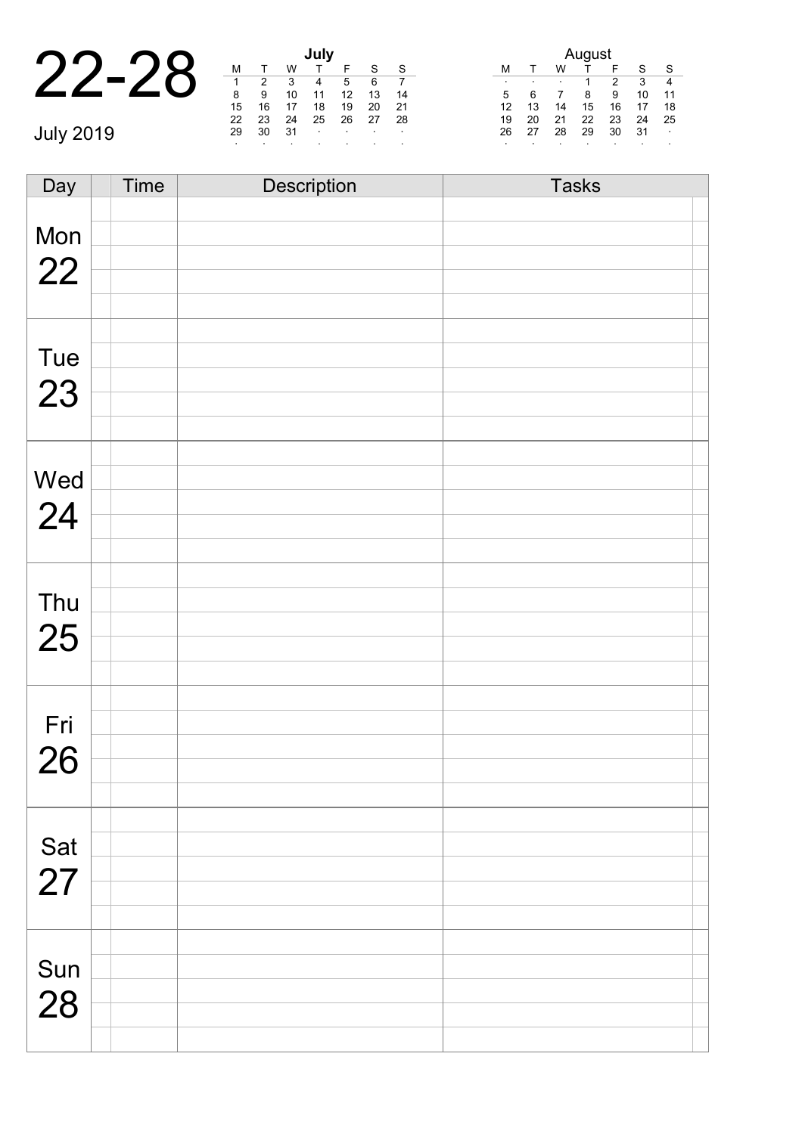| $\bigcap$ |               |               |               | July       |
|-----------|---------------|---------------|---------------|------------|
| 22-28     |               |               |               |            |
|           |               |               |               |            |
|           | 8             | 9             | 10            | 11         |
|           | 15            | 16            |               | 18         |
|           | $\sim$ $\sim$ | $\sim$ $\sim$ | $\sim$ $\sim$ | $\sim$ $-$ |

July 2019

| July |    |    |    |    |    |    |  |  |  |
|------|----|----|----|----|----|----|--|--|--|
| М    |    | w  |    | F  | S  | S  |  |  |  |
| 1    | 2  | 3  |    | 5  | 6  |    |  |  |  |
| 8    | 9  | 10 | 11 | 12 | 13 | 14 |  |  |  |
| 15   | 16 | 17 | 18 | 19 | 20 | 21 |  |  |  |
| 22   | 23 | 24 | 25 | 26 | 27 | 28 |  |  |  |
| 29   | 30 | 31 | ٠  | ٠  | ٠  | ٠  |  |  |  |
| ٠    | ٠  |    | ٠  |    | ٠  | ٠  |  |  |  |

| August |    |    |    |    |    |    |  |  |  |
|--------|----|----|----|----|----|----|--|--|--|
| м      |    | w  |    | F  | S  | S  |  |  |  |
| ٠      | ٠  | ٠  |    | 2  | 3  |    |  |  |  |
| 5      | 6  |    | 8  | 9  | 10 | 11 |  |  |  |
| 12     | 13 | 14 | 15 | 16 | 17 | 18 |  |  |  |
| 19     | 20 | 21 | 22 | 23 | 24 | 25 |  |  |  |
| 26     | 27 | 28 | 29 | 30 | 31 |    |  |  |  |
| ٠      |    | ٠  |    |    |    |    |  |  |  |

Day Time Description Tasks Mon 22 Tue 23 Wed 24 Thu 25 Fri 26 Sat 27 Sun 28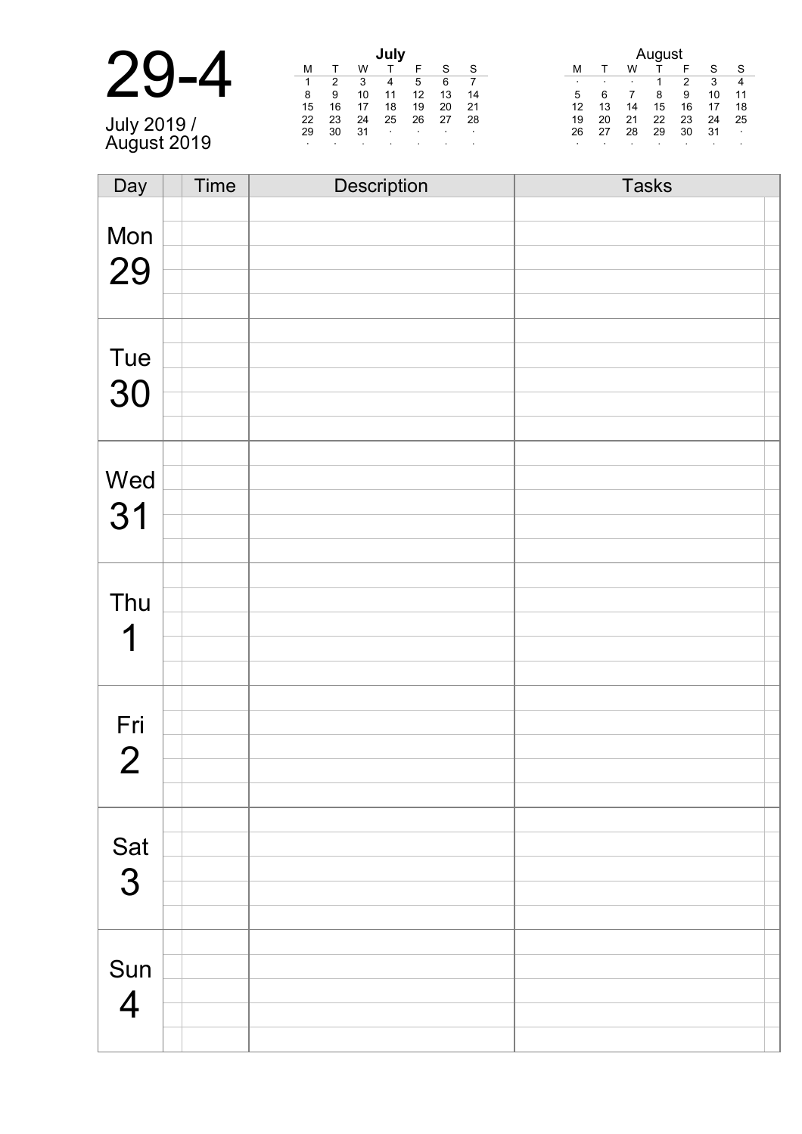| .July 2019 / |  |
|--------------|--|

July 2019 / August 2019

|    |    |    | July |    |    |    |
|----|----|----|------|----|----|----|
| м  |    | w  |      | F  | S  | S  |
| 1  | 2  | 3  |      | 5  | 6  |    |
| 8  | 9  | 10 | 11   | 12 | 13 | 14 |
| 15 | 16 | 17 | 18   | 19 | 20 | 21 |
| 22 | 23 | 24 | 25   | 26 | 27 | 28 |
| 29 | 30 | 31 | ٠    |    |    |    |
| ٠  | ٠  |    |      |    |    |    |

| August |              |    |    |    |    |    |  |  |  |
|--------|--------------|----|----|----|----|----|--|--|--|
| М      | $\mathbf{r}$ | w  |    | F  | S  | S  |  |  |  |
| ٠      |              |    | 1  | 2  | 3  |    |  |  |  |
| 5      | 6            |    | 8  | 9  | 10 | 11 |  |  |  |
| 12     | 13           | 14 | 15 | 16 | 17 | 18 |  |  |  |
| 19     | 20           | 21 | 22 | 23 | 24 | 25 |  |  |  |
| 26     | 27           | 28 | 29 | 30 | 31 |    |  |  |  |
| ٠      |              |    |    | ٠  |    |    |  |  |  |

| Day            | Time | Description | <b>Tasks</b> |
|----------------|------|-------------|--------------|
|                |      |             |              |
| Mon            |      |             |              |
|                |      |             |              |
| 29             |      |             |              |
|                |      |             |              |
|                |      |             |              |
| Tue            |      |             |              |
|                |      |             |              |
| 30             |      |             |              |
|                |      |             |              |
|                |      |             |              |
| Wed            |      |             |              |
|                |      |             |              |
| 31             |      |             |              |
|                |      |             |              |
|                |      |             |              |
| Thu            |      |             |              |
|                |      |             |              |
| 1              |      |             |              |
|                |      |             |              |
|                |      |             |              |
| Fri            |      |             |              |
|                |      |             |              |
| $\overline{2}$ |      |             |              |
|                |      |             |              |
|                |      |             |              |
| Sat 3          |      |             |              |
|                |      |             |              |
|                |      |             |              |
|                |      |             |              |
|                |      |             |              |
| Sun            |      |             |              |
| $\overline{4}$ |      |             |              |
|                |      |             |              |
|                |      |             |              |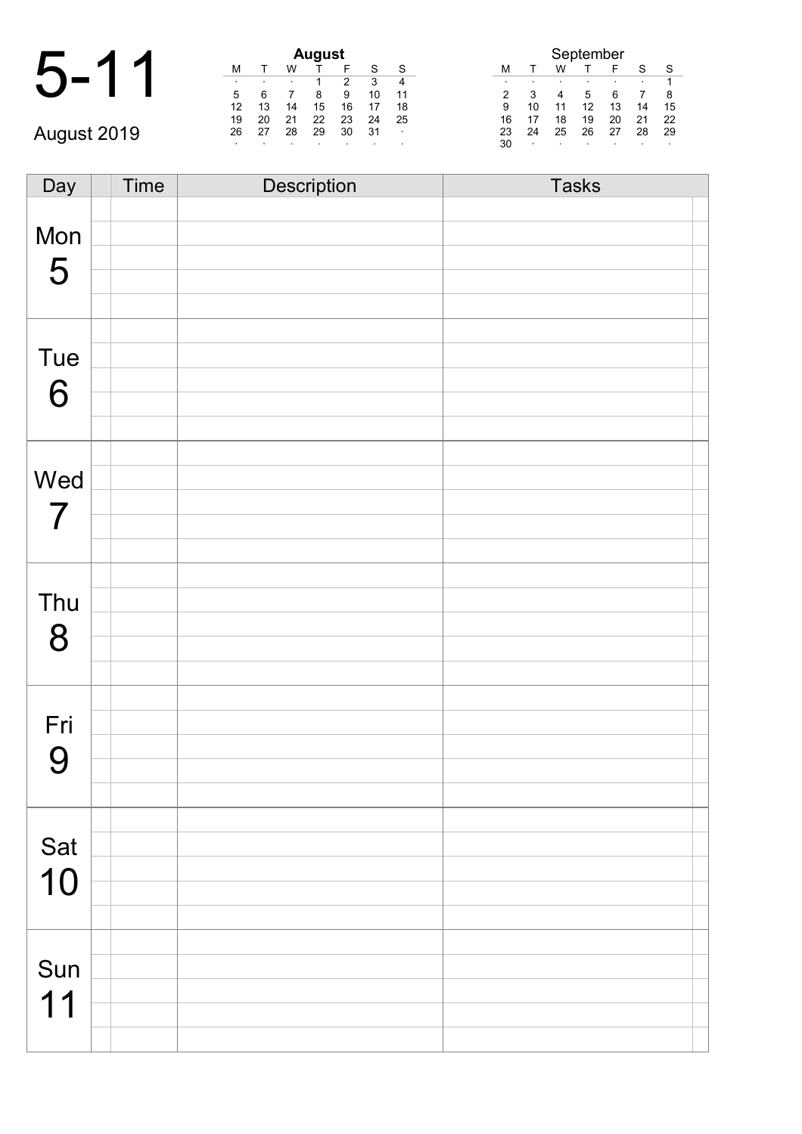|             | <b>August</b> |     |    |    |    |         |         | September |         |    |         |    |         |    |
|-------------|---------------|-----|----|----|----|---------|---------|-----------|---------|----|---------|----|---------|----|
|             | M             |     | W  |    |    |         | S       | м         |         | W  |         |    | S       | S. |
|             | . .           |     |    |    | າ  |         | 4       |           |         |    |         |    | $\cdot$ |    |
|             | 5             | 6   |    |    | 9  | 10      | 11      | 2         | 3       | 4  |         |    |         |    |
|             | 12            | 13  | 14 | 15 | 16 |         | 18      | 9         | 10      |    | 12      | 13 | 14      | 15 |
|             | 19            | 20  | 21 | 22 | 23 | 24      | 25      | 16        |         | 18 | 19      | 20 | 21      | 22 |
| August 2019 | 26            | -27 | 28 | 29 | 30 | 31      | $\sim$  | 23        | 24      | 25 | 26      | 27 | 28      | 29 |
|             |               |     |    |    |    | $\cdot$ | $\cdot$ | 30        | $\cdot$ |    | $\cdot$ |    |         |    |

| Day | <b>Time</b> | Description | <b>Tasks</b> |
|-----|-------------|-------------|--------------|
|     |             |             |              |
| Mon |             |             |              |
|     |             |             |              |
| 5   |             |             |              |
|     |             |             |              |
|     |             |             |              |
| Tue |             |             |              |
|     |             |             |              |
| 6   |             |             |              |
|     |             |             |              |
|     |             |             |              |
| Wed |             |             |              |
|     |             |             |              |
| 7   |             |             |              |
|     |             |             |              |
|     |             |             |              |
| Thu |             |             |              |
|     |             |             |              |
| 8   |             |             |              |
|     |             |             |              |
|     |             |             |              |
| Fri |             |             |              |
|     |             |             |              |
| 9   |             |             |              |
|     |             |             |              |
|     |             |             |              |
| Sat |             |             |              |
| 10  |             |             |              |
|     |             |             |              |
|     |             |             |              |
|     |             |             |              |
| Sun |             |             |              |
| 11  |             |             |              |
|     |             |             |              |
|     |             |             |              |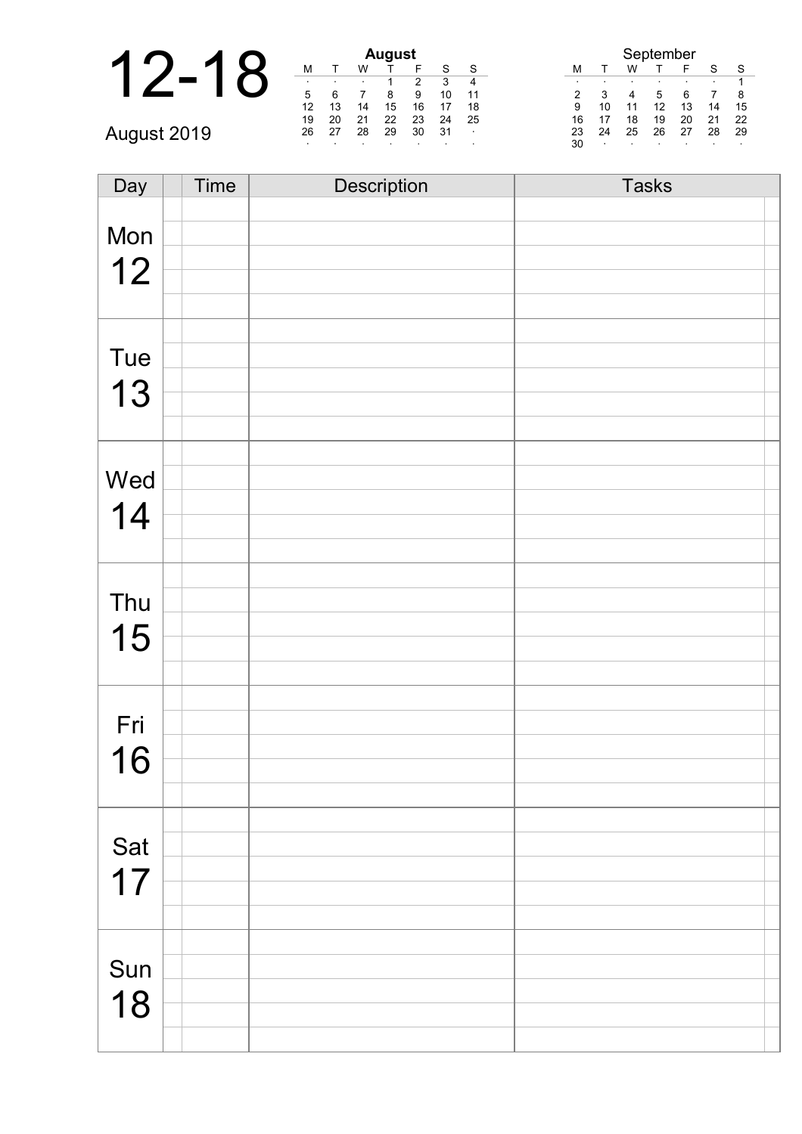|             |    |    |    | <b>August</b> |         |         |          |    |        | September |    |    |    |    |
|-------------|----|----|----|---------------|---------|---------|----------|----|--------|-----------|----|----|----|----|
|             | М  |    | W  |               |         | S       | <b>S</b> |    |        | w         |    | ᄃ  | c  | S  |
|             |    |    |    |               |         | з       | 4        |    |        |           |    |    |    |    |
|             | 5  |    |    | 8             | 9       | 10      | 11       |    |        |           | .5 | 6  |    |    |
|             | 12 | 13 |    | 15            | 16      |         | 18       | 9  |        | 11        |    | 13 | 14 | 15 |
|             | 19 | 20 | 21 | 22            | 23      | 24      | 25       | 16 |        | 18        | 19 | 20 | 21 | 22 |
| August 2019 | 26 | 27 | 28 | 29            | 30      | -31     | $\sim$   | 23 | 24     | 25        | 26 | 27 | 28 | 29 |
|             |    |    |    |               | $\cdot$ | $\cdot$ | $\cdot$  | 30 | $\sim$ | $\cdot$   |    |    |    |    |

| Day | Time | Description | <b>Tasks</b> |
|-----|------|-------------|--------------|
|     |      |             |              |
| Mon |      |             |              |
|     |      |             |              |
| 12  |      |             |              |
|     |      |             |              |
|     |      |             |              |
| Tue |      |             |              |
|     |      |             |              |
| 13  |      |             |              |
|     |      |             |              |
|     |      |             |              |
| Wed |      |             |              |
|     |      |             |              |
| 14  |      |             |              |
|     |      |             |              |
|     |      |             |              |
| Thu |      |             |              |
|     |      |             |              |
| 15  |      |             |              |
|     |      |             |              |
|     |      |             |              |
| Fri |      |             |              |
|     |      |             |              |
| 16  |      |             |              |
|     |      |             |              |
|     |      |             |              |
| Sat |      |             |              |
| 17  |      |             |              |
|     |      |             |              |
|     |      |             |              |
|     |      |             |              |
| Sun |      |             |              |
|     |      |             |              |
| 18  |      |             |              |
|     |      |             |              |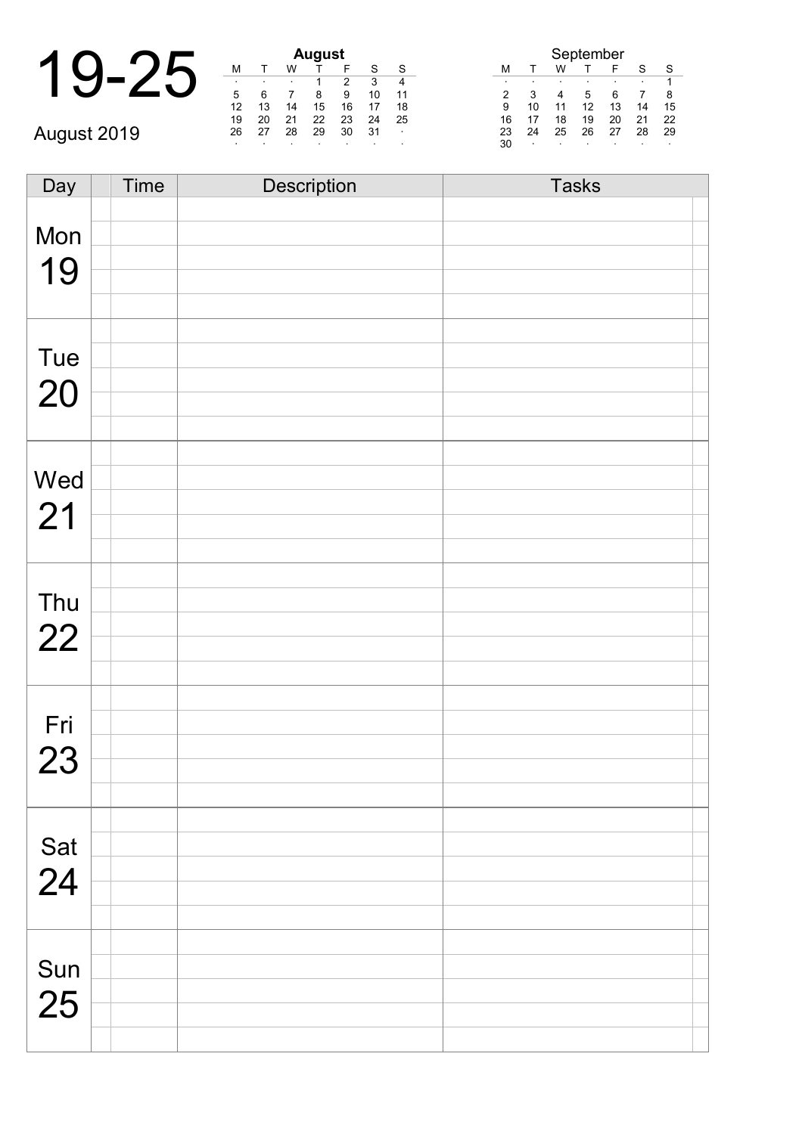|             |    |    |    | <b>August</b> |   |
|-------------|----|----|----|---------------|---|
|             | м  |    | w  |               |   |
|             |    |    |    |               |   |
|             |    |    |    |               |   |
|             | 12 | 13 | 14 | 15            |   |
|             | 19 | 20 | 21 | 22            | r |
| August 2019 | 26 | 27 | 28 | 29            | Ć |
|             |    |    |    |               |   |

| August |    |    |    |    |    |    |  |  |  |
|--------|----|----|----|----|----|----|--|--|--|
| М      |    | w  |    | F  | S  | S  |  |  |  |
| ٠      | ٠  | ٠  |    | 2  | 3  |    |  |  |  |
| 5      | 6  |    | 8  | 9  | 10 | 11 |  |  |  |
| 12     | 13 | 14 | 15 | 16 | 17 | 18 |  |  |  |
| 19     | 20 | 21 | 22 | 23 | 24 | 25 |  |  |  |
| 26     | 27 | 28 | 29 | 30 | 31 | ٠  |  |  |  |
| ٠      | ٠  |    | ٠  | ٠  |    | ٠  |  |  |  |

| September |    |    |    |    |    |    |  |  |  |  |  |
|-----------|----|----|----|----|----|----|--|--|--|--|--|
| м         |    | w  |    | F  | S  | S  |  |  |  |  |  |
| ٠         |    | ٠  |    |    | ٠  |    |  |  |  |  |  |
| 2         | 3  |    | 5  | 6  |    | 8  |  |  |  |  |  |
| 9         | 10 | 11 | 12 | 13 | 14 | 15 |  |  |  |  |  |
| 16        | 17 | 18 | 19 | 20 | 21 | 22 |  |  |  |  |  |
| 23        | 24 | 25 | 26 | 27 | 28 | 29 |  |  |  |  |  |
| 30        | ٠  | ٠  |    |    |    |    |  |  |  |  |  |

| Day | Time | Description | <b>Tasks</b> |
|-----|------|-------------|--------------|
|     |      |             |              |
| Mon |      |             |              |
|     |      |             |              |
| 19  |      |             |              |
|     |      |             |              |
|     |      |             |              |
| Tue |      |             |              |
|     |      |             |              |
| 20  |      |             |              |
|     |      |             |              |
|     |      |             |              |
| Wed |      |             |              |
|     |      |             |              |
| 21  |      |             |              |
|     |      |             |              |
|     |      |             |              |
|     |      |             |              |
| Thu |      |             |              |
| 22  |      |             |              |
|     |      |             |              |
|     |      |             |              |
|     |      |             |              |
| Fri |      |             |              |
| 23  |      |             |              |
|     |      |             |              |
|     |      |             |              |
|     |      |             |              |
| Sat |      |             |              |
| 24  |      |             |              |
|     |      |             |              |
|     |      |             |              |
|     |      |             |              |
| Sun |      |             |              |
| 25  |      |             |              |
|     |      |             |              |
|     |      |             |              |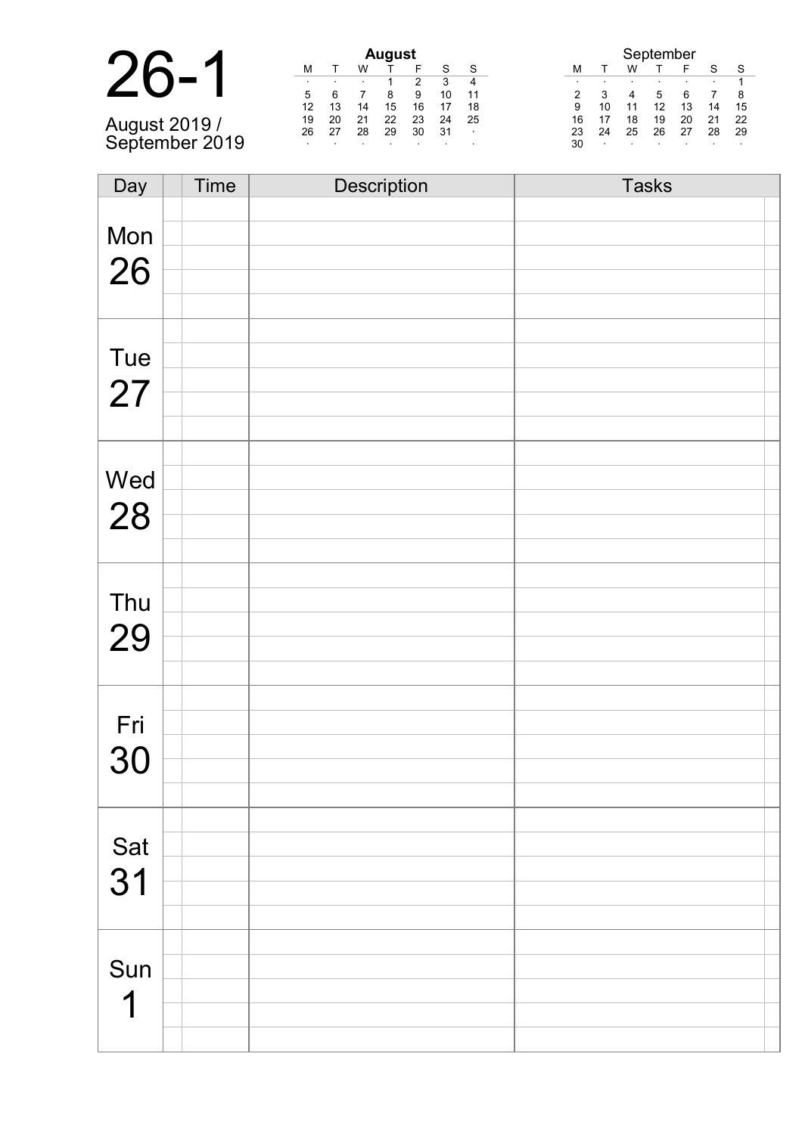| August 2019 /<br>September 2019 |  |
|---------------------------------|--|

| <b>August</b> |    |    |    |    |    |    |  |  |  |  |  |
|---------------|----|----|----|----|----|----|--|--|--|--|--|
| м             |    | w  |    | F  | S  | S  |  |  |  |  |  |
| ٠             | ٠  |    | 1  | 2  | 3  | 4  |  |  |  |  |  |
| 5             | 6  |    | 8  | 9  | 10 | 11 |  |  |  |  |  |
| 12            | 13 | 14 | 15 | 16 | 17 | 18 |  |  |  |  |  |
| 19            | 20 | 21 | 22 | 23 | 24 | 25 |  |  |  |  |  |
| 26            | 27 | 28 | 29 | 30 | 31 |    |  |  |  |  |  |
|               |    |    | ٠  |    |    |    |  |  |  |  |  |
|               |    |    |    |    |    |    |  |  |  |  |  |

|    | September |    |    |    |    |    |  |  |  |  |  |
|----|-----------|----|----|----|----|----|--|--|--|--|--|
| M  |           | w  |    | F  | S  |    |  |  |  |  |  |
| ٠  |           |    |    | ٠  |    |    |  |  |  |  |  |
| 2  | З         |    | 5  | ห  |    | 8  |  |  |  |  |  |
| 9  | 10        | 11 | 12 | 13 | 14 | 15 |  |  |  |  |  |
| 16 | 17        | 18 | 19 | 20 | 21 | 22 |  |  |  |  |  |
| 23 | 24        | 25 | 26 | 27 | 28 | 29 |  |  |  |  |  |
| 30 | ٠         | ٠  | ٠  | ٠  |    | ۰  |  |  |  |  |  |

| Day                  | Time | Description | <b>Tasks</b> |
|----------------------|------|-------------|--------------|
|                      |      |             |              |
| Mon                  |      |             |              |
|                      |      |             |              |
| 26                   |      |             |              |
|                      |      |             |              |
|                      |      |             |              |
| Tue                  |      |             |              |
|                      |      |             |              |
| 27                   |      |             |              |
|                      |      |             |              |
|                      |      |             |              |
| Wed                  |      |             |              |
|                      |      |             |              |
| 28                   |      |             |              |
|                      |      |             |              |
|                      |      |             |              |
| Thu                  |      |             |              |
|                      |      |             |              |
| 29                   |      |             |              |
|                      |      |             |              |
|                      |      |             |              |
| Fri                  |      |             |              |
|                      |      |             |              |
| 30                   |      |             |              |
|                      |      |             |              |
|                      |      |             |              |
| Sat                  |      |             |              |
|                      |      |             |              |
| 31                   |      |             |              |
|                      |      |             |              |
|                      |      |             |              |
| Sun                  |      |             |              |
|                      |      |             |              |
| $\blacktriangleleft$ |      |             |              |
|                      |      |             |              |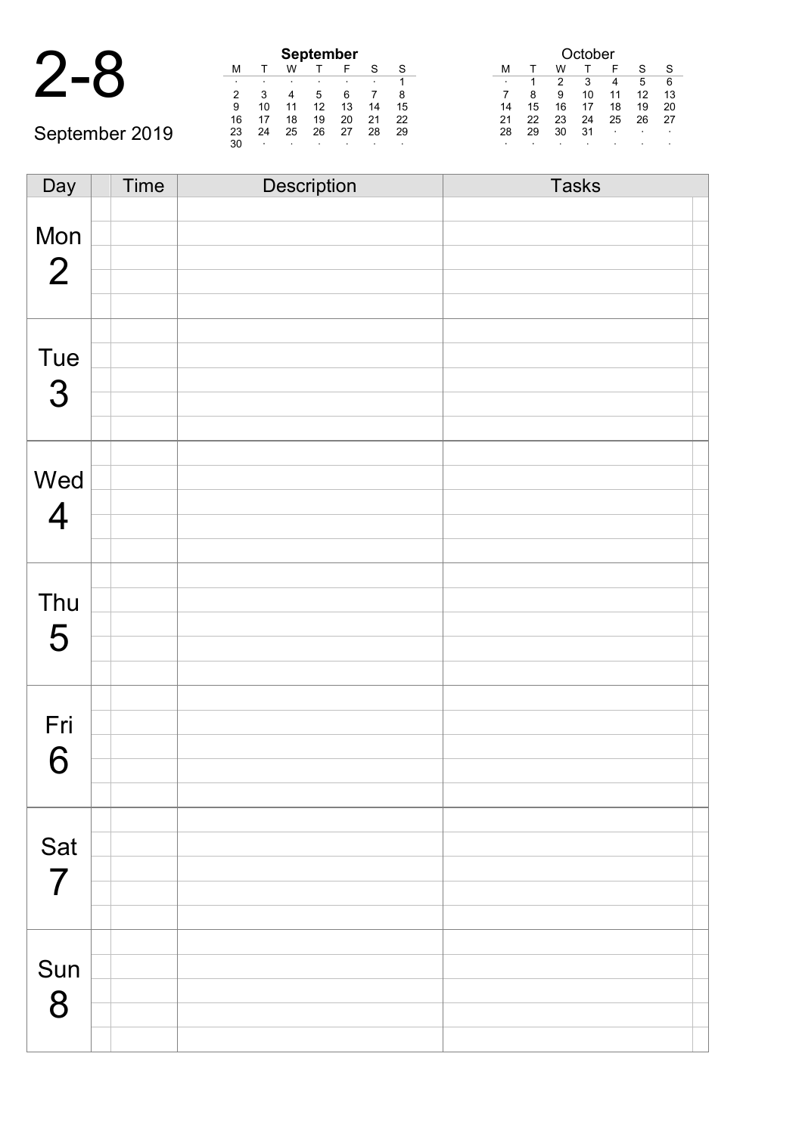| 4 |   |   |
|---|---|---|
|   | ٠ | ٦ |

September 2019

|    | <b>September</b> |    |    |    |    |    |  |  |  |  |  |  |
|----|------------------|----|----|----|----|----|--|--|--|--|--|--|
| М  |                  | w  |    |    | S  | S  |  |  |  |  |  |  |
|    |                  |    | ٠  | ٠  |    |    |  |  |  |  |  |  |
| 2  | з                |    | 5  | 6  |    | 8  |  |  |  |  |  |  |
| 9  | 10               | 11 | 12 | 13 | 14 | 15 |  |  |  |  |  |  |
| 16 | 17               | 18 | 19 | 20 | 21 | 22 |  |  |  |  |  |  |
| 23 | 24               | 25 | 26 | 27 | 28 | 29 |  |  |  |  |  |  |
| 30 |                  | ٠  |    |    |    |    |  |  |  |  |  |  |

| October |    |    |    |    |    |    |  |  |  |  |
|---------|----|----|----|----|----|----|--|--|--|--|
| м       |    | w  |    | F  | S  | S  |  |  |  |  |
| ٠       | 1  | 2  | 3  | 4  | 5  | 6  |  |  |  |  |
|         | 8  | 9  | 10 | 11 | 12 | 13 |  |  |  |  |
| 14      | 15 | 16 | 17 | 18 | 19 | 20 |  |  |  |  |
| 21      | 22 | 23 | 24 | 25 | 26 | 27 |  |  |  |  |
| 28      | 29 | 30 | 31 | ۰  |    |    |  |  |  |  |
| ٠       |    |    |    | ٠  |    | ٠  |  |  |  |  |

Day Time Description Tasks Mon 2 Tue 3 Wed 4 Thu 5 Fri 6 Sat 7 Sun 8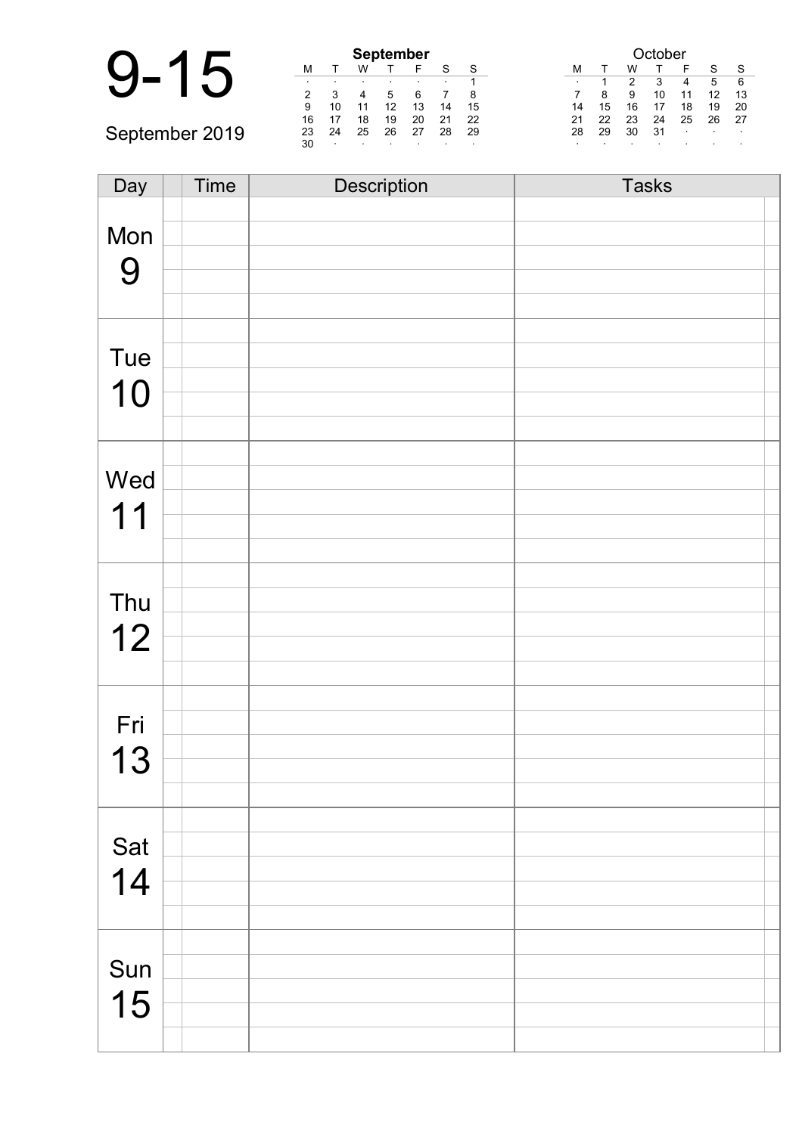|                |    |        |    | <b>September</b> |    |         |         |    |    |    | tober |        |    |              |  |
|----------------|----|--------|----|------------------|----|---------|---------|----|----|----|-------|--------|----|--------------|--|
|                | м  |        | w  |                  |    | c       | S       | М  |    |    |       |        |    | $\mathbf{C}$ |  |
|                |    |        |    |                  |    |         |         |    |    |    |       |        |    | 6            |  |
|                | ົ  |        |    | 5                |    |         |         |    | 8  | 9  | 10    | 11     | 12 | 13           |  |
|                | 9  | 10     | 11 | 12               | 13 | 14      | 15      | 14 | 15 | 16 |       | 18     | 19 | 20           |  |
|                | 16 | 17     | 18 | 19               | 20 | 21      | 22      | 21 | 22 | 23 | 24    | 25     | 26 | -27          |  |
| September 2019 | 23 | 24     | 25 | 26               | 27 | 28      | 29      | 28 | 29 | 30 | 31    | $\sim$ |    | $\sim$       |  |
|                | 30 | $\sim$ |    |                  |    | $\cdot$ | $\cdot$ |    |    |    |       |        |    |              |  |

| Day | Time | Description | <b>Tasks</b> |
|-----|------|-------------|--------------|
|     |      |             |              |
| Mon |      |             |              |
| 9   |      |             |              |
|     |      |             |              |
|     |      |             |              |
|     |      |             |              |
| Tue |      |             |              |
| 10  |      |             |              |
|     |      |             |              |
|     |      |             |              |
|     |      |             |              |
| Wed |      |             |              |
| 11  |      |             |              |
|     |      |             |              |
|     |      |             |              |
| Thu |      |             |              |
|     |      |             |              |
| 12  |      |             |              |
|     |      |             |              |
|     |      |             |              |
| Fri |      |             |              |
| 13  |      |             |              |
|     |      |             |              |
|     |      |             |              |
|     |      |             |              |
| Sat |      |             |              |
| 14  |      |             |              |
|     |      |             |              |
|     |      |             |              |
|     |      |             |              |
| Sun |      |             |              |
| 15  |      |             |              |
|     |      |             |              |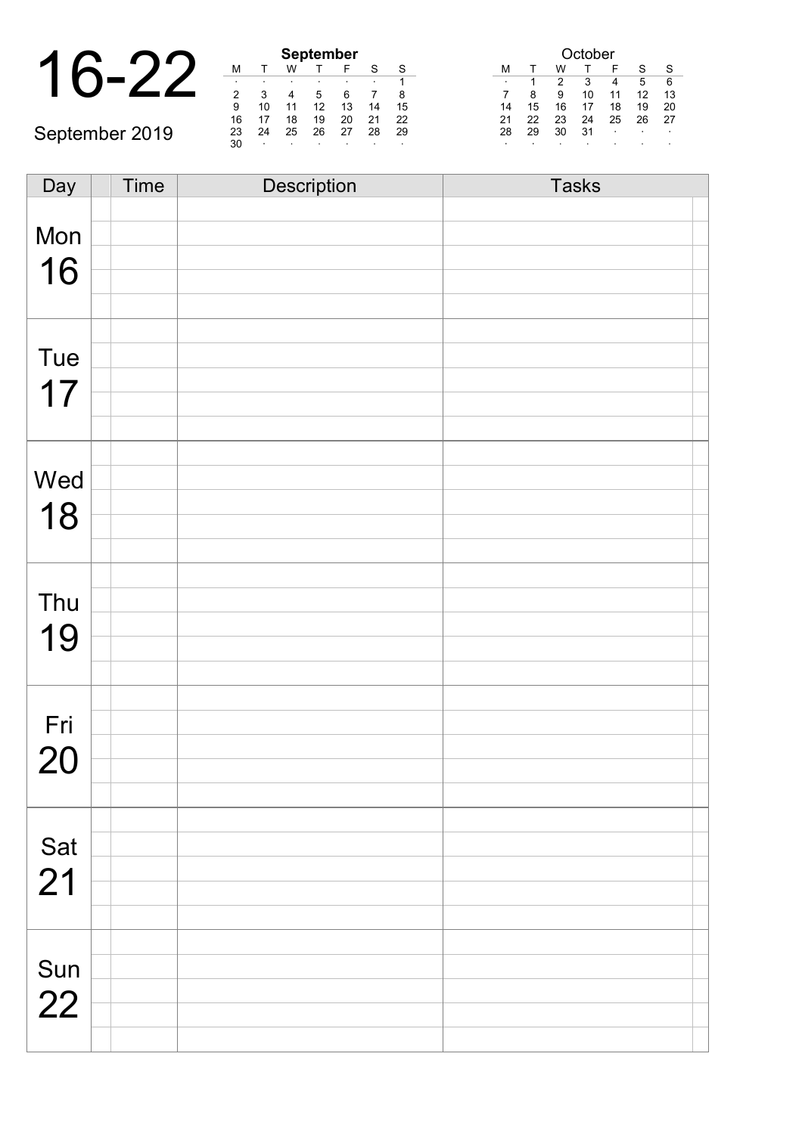|                |    |    |    | <b>September</b> |    |
|----------------|----|----|----|------------------|----|
|                | м  |    | w  |                  |    |
|                |    |    |    |                  |    |
|                |    |    |    |                  |    |
|                | 9  | 10 |    | 12               | 13 |
|                | 16 |    | 18 | 19               | 20 |
| September 2019 | 23 | 24 | 25 | 26               | 27 |
|                | 30 |    |    |                  |    |

| <b>September</b> |    |    |    |    |    |    |  |  |  |  |  |  |  |
|------------------|----|----|----|----|----|----|--|--|--|--|--|--|--|
| М                |    | w  |    | F  | S  | S  |  |  |  |  |  |  |  |
| ٠                | ٠  |    |    |    |    |    |  |  |  |  |  |  |  |
| 2                | 3  |    | 5  | 6  |    | 8  |  |  |  |  |  |  |  |
| 9                | 10 | 11 | 12 | 13 | 14 | 15 |  |  |  |  |  |  |  |
| 16               | 17 | 18 | 19 | 20 | 21 | 22 |  |  |  |  |  |  |  |
| 23               | 24 | 25 | 26 | 27 | 28 | 29 |  |  |  |  |  |  |  |
| 30               | ٠  |    |    |    |    |    |  |  |  |  |  |  |  |

|    | October |    |    |    |    |    |  |  |  |  |  |  |
|----|---------|----|----|----|----|----|--|--|--|--|--|--|
| м  |         | w  |    | F  | S  | S  |  |  |  |  |  |  |
| ٠  |         | 2  | 3  | 4  | 5  | 6  |  |  |  |  |  |  |
|    | 8       | 9  | 10 | 11 | 12 | 13 |  |  |  |  |  |  |
| 14 | 15      | 16 | 17 | 18 | 19 | 20 |  |  |  |  |  |  |
| 21 | 22      | 23 | 24 | 25 | 26 | 27 |  |  |  |  |  |  |
| 28 | 29      | 30 | 31 | ٠  |    |    |  |  |  |  |  |  |
| ٠  |         |    |    |    | ٠  | ٠  |  |  |  |  |  |  |

| Day | Time | Description | <b>Tasks</b> |
|-----|------|-------------|--------------|
|     |      |             |              |
| Mon |      |             |              |
|     |      |             |              |
| 16  |      |             |              |
|     |      |             |              |
|     |      |             |              |
| Tue |      |             |              |
|     |      |             |              |
| 17  |      |             |              |
|     |      |             |              |
|     |      |             |              |
| Wed |      |             |              |
|     |      |             |              |
| 18  |      |             |              |
|     |      |             |              |
|     |      |             |              |
| Thu |      |             |              |
|     |      |             |              |
| 19  |      |             |              |
|     |      |             |              |
|     |      |             |              |
| Fri |      |             |              |
|     |      |             |              |
| 20  |      |             |              |
|     |      |             |              |
|     |      |             |              |
| Sat |      |             |              |
| 21  |      |             |              |
|     |      |             |              |
|     |      |             |              |
|     |      |             |              |
| Sun |      |             |              |
| 22  |      |             |              |
|     |      |             |              |
|     |      |             |              |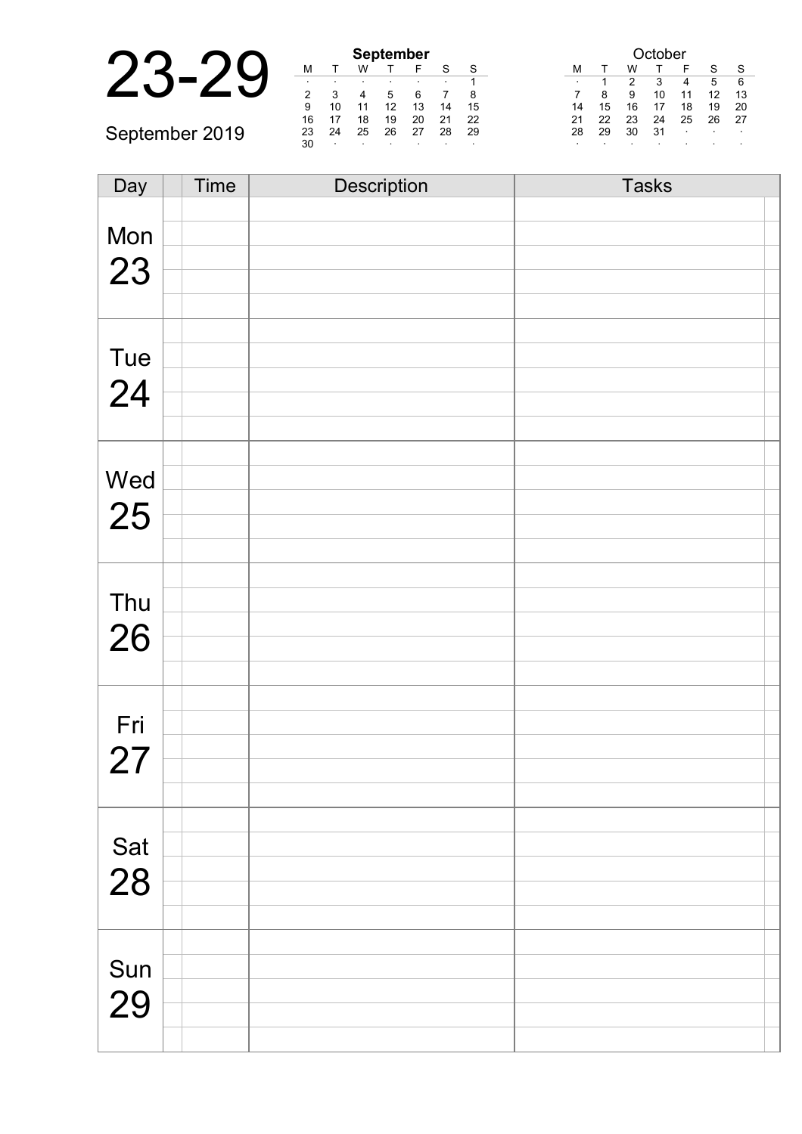|                | <b>September</b> |         |    |         |    |         |         | )ctober |           |    |    |    |        |         |                          |
|----------------|------------------|---------|----|---------|----|---------|---------|---------|-----------|----|----|----|--------|---------|--------------------------|
|                | M                |         | W  |         |    | $\sim$  | S       |         | М         |    | W  |    |        |         | S                        |
|                |                  |         |    |         |    |         |         |         | $\bullet$ |    |    |    |        |         | -6                       |
|                |                  |         |    |         |    |         | 8       |         |           |    | 9  |    |        |         | 13                       |
|                | 9                | 10      |    |         | 13 | 14      | 15      |         | 14        | 15 | 16 |    | 18     | 19      | 20                       |
|                | 16               | 17      | 18 | 19      | 20 | 21      | 22      |         | 21        | 22 | 23 | 24 | 25     | 26      | -27                      |
| September 2019 |                  | 24      | 25 | 26      | 27 | 28      | -29     |         | 28        | 29 | 30 | 31 | $\sim$ | $\cdot$ | $\overline{\phantom{a}}$ |
|                | 30               | $\cdot$ |    | $\cdot$ |    | $\cdot$ | $\cdot$ |         |           |    |    |    |        |         |                          |

| Day       | Time | Description | <b>Tasks</b> |
|-----------|------|-------------|--------------|
|           |      |             |              |
| Mon       |      |             |              |
| 23        |      |             |              |
|           |      |             |              |
|           |      |             |              |
|           |      |             |              |
| Tue       |      |             |              |
| 24        |      |             |              |
|           |      |             |              |
|           |      |             |              |
|           |      |             |              |
| Wed       |      |             |              |
| 25        |      |             |              |
|           |      |             |              |
|           |      |             |              |
|           |      |             |              |
| Thu       |      |             |              |
|           |      |             |              |
| 26        |      |             |              |
|           |      |             |              |
|           |      |             |              |
| Fri       |      |             |              |
|           |      |             |              |
| 27        |      |             |              |
|           |      |             |              |
|           |      |             |              |
| Sat<br>28 |      |             |              |
|           |      |             |              |
|           |      |             |              |
|           |      |             |              |
|           |      |             |              |
| Sun       |      |             |              |
| 29        |      |             |              |
|           |      |             |              |
|           |      |             |              |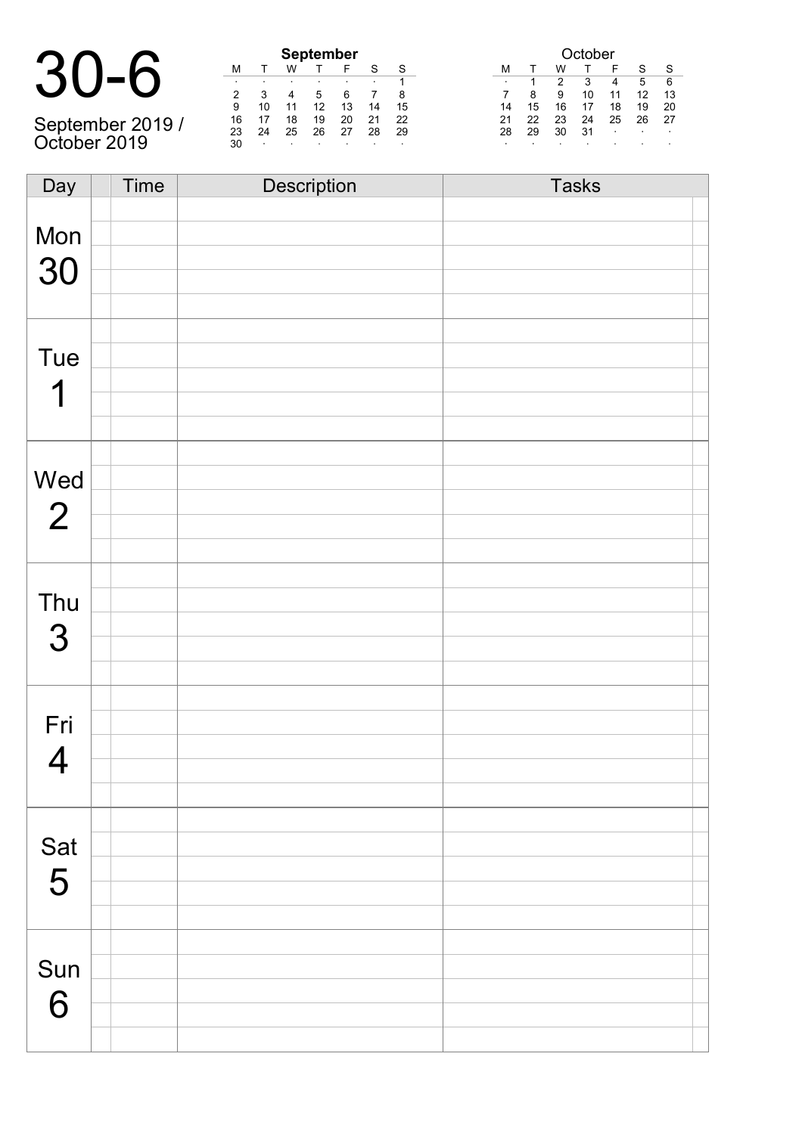| $30 - 6$        |  |
|-----------------|--|
| Cantanahan 0040 |  |

September 2019 / October 2019

|    | <b>September</b> |    |    |    |    |    |  |  |  |  |  |  |  |  |
|----|------------------|----|----|----|----|----|--|--|--|--|--|--|--|--|
| М  |                  | W  |    | F  | S  | S  |  |  |  |  |  |  |  |  |
| ٠  |                  |    |    | ٠  |    |    |  |  |  |  |  |  |  |  |
| 2  | 3                |    | 5  | 6  |    | 8  |  |  |  |  |  |  |  |  |
| 9  | 10               | 11 | 12 | 13 | 14 | 15 |  |  |  |  |  |  |  |  |
| 16 | 17               | 18 | 19 | 20 | 21 | 22 |  |  |  |  |  |  |  |  |
| 23 | 24               | 25 | 26 | 27 | 28 | 29 |  |  |  |  |  |  |  |  |
| 30 |                  |    |    |    |    |    |  |  |  |  |  |  |  |  |

| <b>September</b> |         |    |    |    | October   |         |    |    |    |         |    |    |         |
|------------------|---------|----|----|----|-----------|---------|----|----|----|---------|----|----|---------|
| Л                |         | W  |    | F  |           |         | М  |    | w  |         |    |    |         |
|                  | $\cdot$ |    |    |    | $\bullet$ |         |    |    |    | 3       | 4  | 5  | 6       |
|                  | 3       | 4  | 5  | 6  |           | 8       | 7  | 8  | 9  | 10      |    |    | 13      |
|                  | 10      |    | 12 | 13 | 14        | 15      | 14 | 15 | 16 |         | 18 | 19 | 20      |
| 6                |         | 18 | 19 | 20 |           | 22      | 21 |    | 23 | 24      | 25 | 26 | 27      |
| :3               | 24      | 25 | 26 | 27 | 28        | 29      | 28 | 29 | 30 | 31      | ٠  | ٠  |         |
| ۱Ο               |         | ٠  |    |    |           | $\cdot$ | ٠  |    |    | $\cdot$ |    | ٠  | $\cdot$ |

| Day            | Time | Description | <b>Tasks</b> |
|----------------|------|-------------|--------------|
|                |      |             |              |
| Mon            |      |             |              |
|                |      |             |              |
| 30             |      |             |              |
|                |      |             |              |
|                |      |             |              |
| Tue            |      |             |              |
|                |      |             |              |
| 1              |      |             |              |
|                |      |             |              |
|                |      |             |              |
|                |      |             |              |
| Wed            |      |             |              |
| $\overline{2}$ |      |             |              |
|                |      |             |              |
|                |      |             |              |
|                |      |             |              |
| Thu            |      |             |              |
| 3              |      |             |              |
|                |      |             |              |
|                |      |             |              |
|                |      |             |              |
| Fri            |      |             |              |
| $\overline{4}$ |      |             |              |
|                |      |             |              |
|                |      |             |              |
|                |      |             |              |
| Sat            |      |             |              |
| 5              |      |             |              |
|                |      |             |              |
|                |      |             |              |
|                |      |             |              |
| Sun            |      |             |              |
| 6              |      |             |              |
|                |      |             |              |
|                |      |             |              |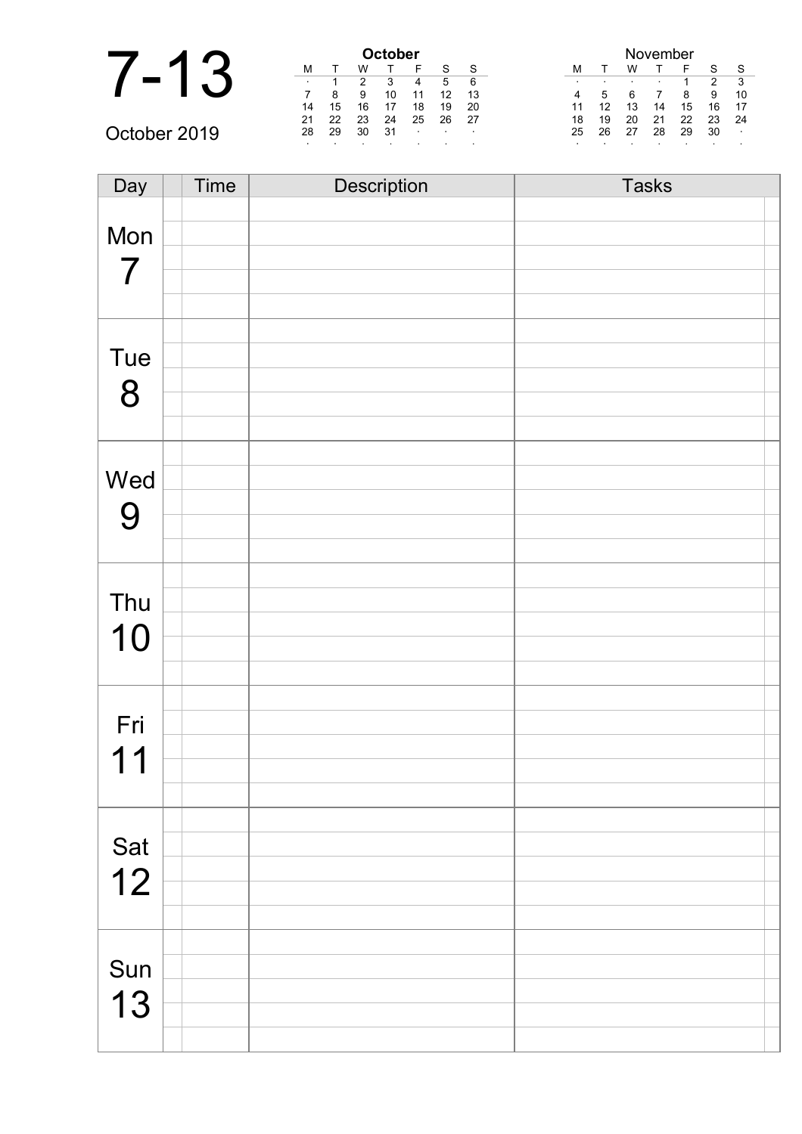| ◢                        |    | October |    |          |   |  |  |  |  |
|--------------------------|----|---------|----|----------|---|--|--|--|--|
|                          |    |         |    |          |   |  |  |  |  |
|                          | ٠  |         |    | 3        |   |  |  |  |  |
| $\overline{\phantom{a}}$ |    |         | 9  | 10       | 1 |  |  |  |  |
|                          | 14 | 15      | 16 | 17       | 1 |  |  |  |  |
|                          | 24 | າາ      | າາ | $\Omega$ | ◠ |  |  |  |  |

| October 2019 |
|--------------|
|--------------|

|              | <b>Dctober</b> |    |    |    |              |              |     |  | <b>November</b> |    |    |    |    |    |                |
|--------------|----------------|----|----|----|--------------|--------------|-----|--|-----------------|----|----|----|----|----|----------------|
|              |                |    | w  |    |              | $\mathbf{C}$ | S   |  | M               |    | W  |    |    | S  | ŗ.             |
|              |                |    |    |    | 4            | 5            | 6   |  |                 |    |    |    |    | າ  | r.             |
|              |                |    | 9  |    |              | 12           | 13  |  | 4               | ۰. |    |    |    | 9  | $\mathbf{1}$   |
|              | 14             | 15 | 16 |    | 18           | 19           | 20  |  |                 |    | 13 | 14 | 15 | 16 | $\mathbf{1}$   |
|              | 21             | 22 | 23 | 24 | 25           | 26           | -27 |  | 18              | 19 | 20 | 21 | 22 | 23 | $\overline{2}$ |
| October 2019 | 28             | 29 | 30 | 31 | $\mathbf{r}$ | $\cdot$      |     |  | 25              | 26 | 27 | 28 | 29 | 30 | ٠.             |
|              |                |    |    |    |              |              |     |  |                 |    |    |    |    |    |                |

| November |    |    |    |    |    |    |  |
|----------|----|----|----|----|----|----|--|
| М        | T. | W  |    | F  | S  | S  |  |
| ٠        | ٠  |    |    | 1  | 2  | 3  |  |
| 4        | 5  | 6  |    | 8  | 9  | 10 |  |
| 11       | 12 | 13 | 14 | 15 | 16 | 17 |  |
| 18       | 19 | 20 | 21 | 22 | 23 | 24 |  |
| 25       | 26 | 27 | 28 | 29 | 30 | ٠  |  |
|          |    |    |    |    |    |    |  |

| Day            | <b>Time</b> | Description | <b>Tasks</b> |
|----------------|-------------|-------------|--------------|
|                |             |             |              |
| Mon            |             |             |              |
|                |             |             |              |
| $\overline{7}$ |             |             |              |
|                |             |             |              |
|                |             |             |              |
| Tue            |             |             |              |
|                |             |             |              |
| 8              |             |             |              |
|                |             |             |              |
|                |             |             |              |
| Wed            |             |             |              |
|                |             |             |              |
| 9              |             |             |              |
|                |             |             |              |
|                |             |             |              |
| Thu            |             |             |              |
|                |             |             |              |
| 10             |             |             |              |
|                |             |             |              |
|                |             |             |              |
| Fri            |             |             |              |
|                |             |             |              |
| 11             |             |             |              |
|                |             |             |              |
|                |             |             |              |
| Sat            |             |             |              |
|                |             |             |              |
| 12             |             |             |              |
|                |             |             |              |
|                |             |             |              |
| Sun            |             |             |              |
|                |             |             |              |
| 13             |             |             |              |
|                |             |             |              |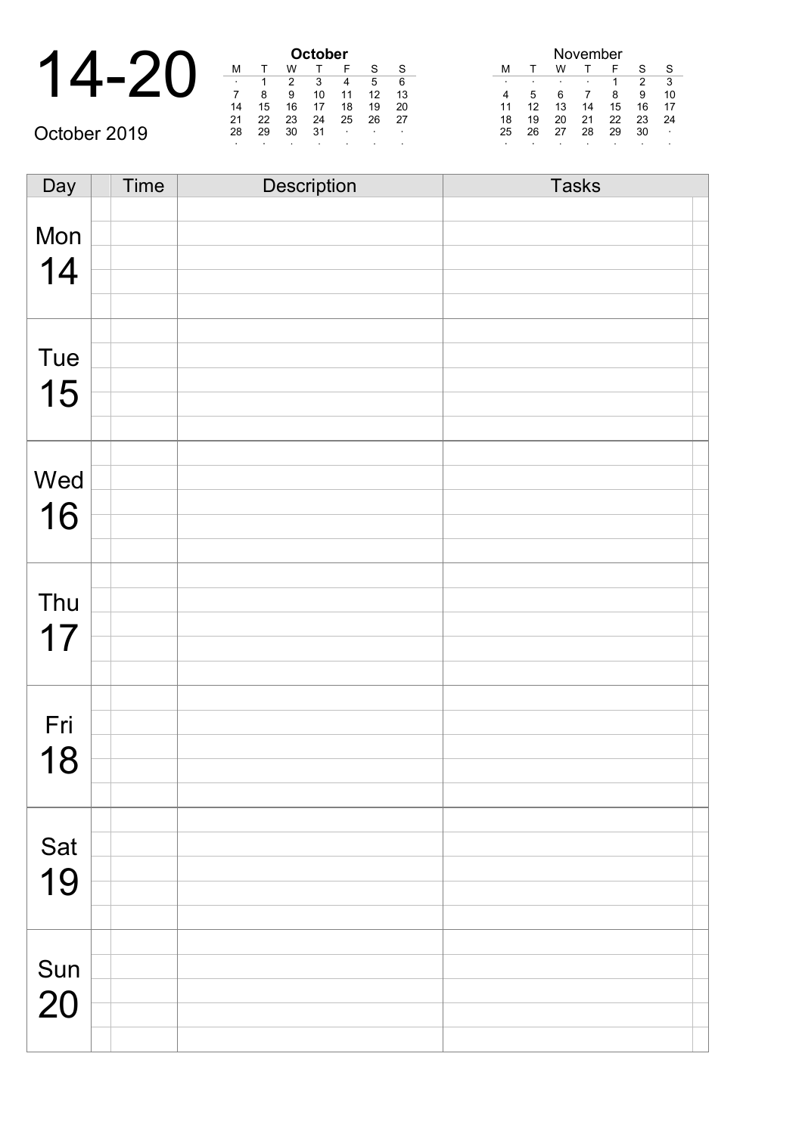|              |         | October |    |    |                   |  |
|--------------|---------|---------|----|----|-------------------|--|
|              | М       |         | w  |    |                   |  |
|              | $\cdot$ |         |    | 3  |                   |  |
|              |         |         | 9  | 10 | 1                 |  |
|              | 14      | 15      | 16 | 17 | 1                 |  |
|              | 21      | 22      | 23 | 24 | $\mathcal{P}_{1}$ |  |
| October 2019 | 28      | 29      | 30 | 31 |                   |  |
|              |         |         |    |    |                   |  |

Ē

| <b>October</b> |    |    |    |    |    |    |  |  |
|----------------|----|----|----|----|----|----|--|--|
| М              |    | w  |    | F  | S  | S  |  |  |
| ٠              |    | 2  | 3  | 4  | 5  | 6  |  |  |
|                | 8  | 9  | 10 | 11 | 12 | 13 |  |  |
| 14             | 15 | 16 | 17 | 18 | 19 | 20 |  |  |
| 21             | 22 | 23 | 24 | 25 | 26 | 27 |  |  |
| 28             | 29 | 30 | 31 |    |    | ٠  |  |  |
|                | ٠  |    | ٠  |    |    | ٠  |  |  |

| November |    |    |    |    |    |    |  |
|----------|----|----|----|----|----|----|--|
| м        |    | w  |    | F  | S  | S  |  |
| ٠        | ٠  |    | ٠  |    | 2  | 3  |  |
|          | 5  | 6  |    | 8  | 9  | 10 |  |
| 11       | 12 | 13 | 14 | 15 | 16 | 17 |  |
| 18       | 19 | 20 | 21 | 22 | 23 | 24 |  |
| 25       | 26 | 27 | 28 | 29 | 30 |    |  |
|          |    |    | ٠  |    |    |    |  |

| Day              | Time | <b>Description</b> | <b>Tasks</b> |
|------------------|------|--------------------|--------------|
|                  |      |                    |              |
| Mon              |      |                    |              |
|                  |      |                    |              |
| 14               |      |                    |              |
|                  |      |                    |              |
|                  |      |                    |              |
|                  |      |                    |              |
| Tue              |      |                    |              |
| 15               |      |                    |              |
|                  |      |                    |              |
|                  |      |                    |              |
|                  |      |                    |              |
| Wed              |      |                    |              |
| 16               |      |                    |              |
|                  |      |                    |              |
|                  |      |                    |              |
|                  |      |                    |              |
| Thu              |      |                    |              |
|                  |      |                    |              |
| 17               |      |                    |              |
|                  |      |                    |              |
|                  |      |                    |              |
| Fri              |      |                    |              |
|                  |      |                    |              |
| 18               |      |                    |              |
|                  |      |                    |              |
|                  |      |                    |              |
|                  |      |                    |              |
| Sat              |      |                    |              |
| 19               |      |                    |              |
|                  |      |                    |              |
|                  |      |                    |              |
|                  |      |                    |              |
| $\frac{Sun}{20}$ |      |                    |              |
|                  |      |                    |              |
|                  |      |                    |              |
|                  |      |                    |              |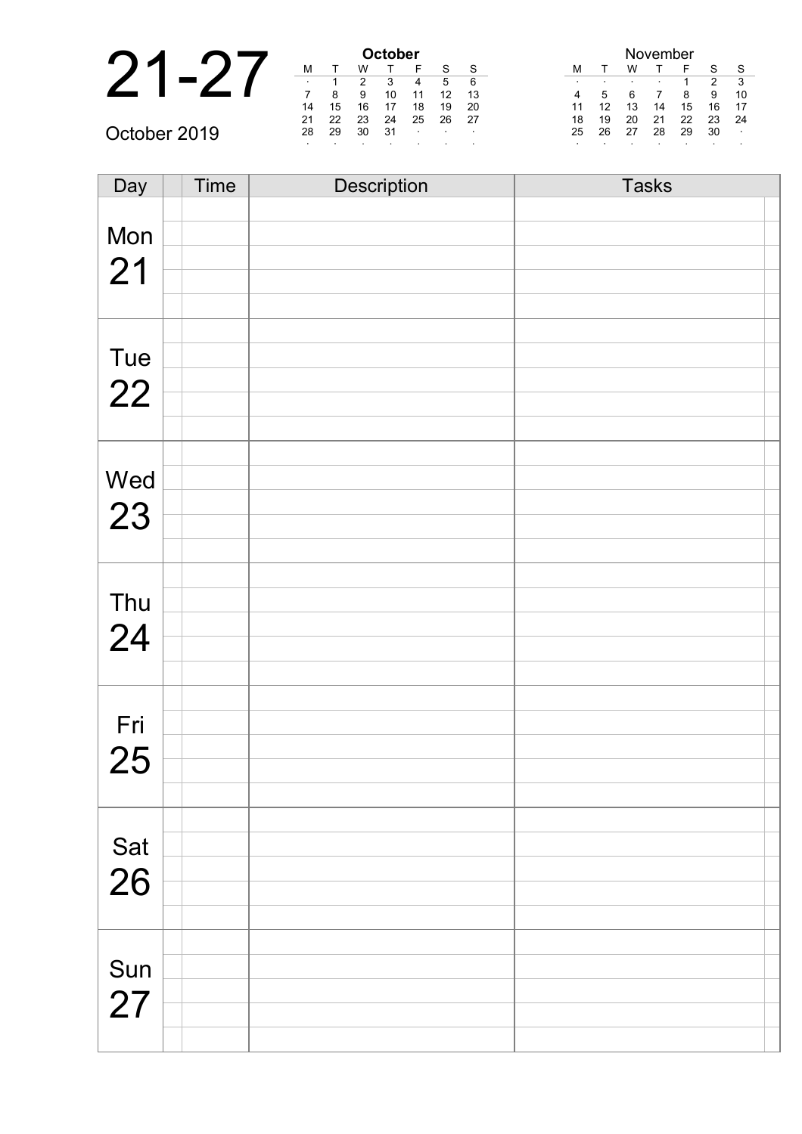|                |         |    |    | October |         |    |              |
|----------------|---------|----|----|---------|---------|----|--------------|
| $\blacksquare$ | M       |    |    |         |         |    | <sub>S</sub> |
|                | $\cdot$ |    |    |         |         | 5  | 6            |
|                |         | 8  | 9  | 10      |         | 1つ | 13           |
|                | 14      | 15 | 16 |         | 18      | 19 | 20           |
|                | 21      | 22 | 23 | 24      | 25      | 26 | 27           |
| October 2019   | 28      | 29 | 30 | 31      | $\cdot$ |    | $\sim$       |
|                |         |    |    |         |         |    |              |

| Day       | Time | Description | <b>Tasks</b> |
|-----------|------|-------------|--------------|
|           |      |             |              |
| Mon       |      |             |              |
| 21        |      |             |              |
|           |      |             |              |
|           |      |             |              |
|           |      |             |              |
| Tue       |      |             |              |
| 22        |      |             |              |
|           |      |             |              |
|           |      |             |              |
|           |      |             |              |
| Wed       |      |             |              |
| 23        |      |             |              |
|           |      |             |              |
|           |      |             |              |
|           |      |             |              |
| Thu       |      |             |              |
| 24        |      |             |              |
|           |      |             |              |
|           |      |             |              |
|           |      |             |              |
| Fri       |      |             |              |
| 25        |      |             |              |
|           |      |             |              |
|           |      |             |              |
|           |      |             |              |
| Sat<br>26 |      |             |              |
|           |      |             |              |
|           |      |             |              |
|           |      |             |              |
|           |      |             |              |
| Sun       |      |             |              |
| 27        |      |             |              |
|           |      |             |              |
|           |      |             |              |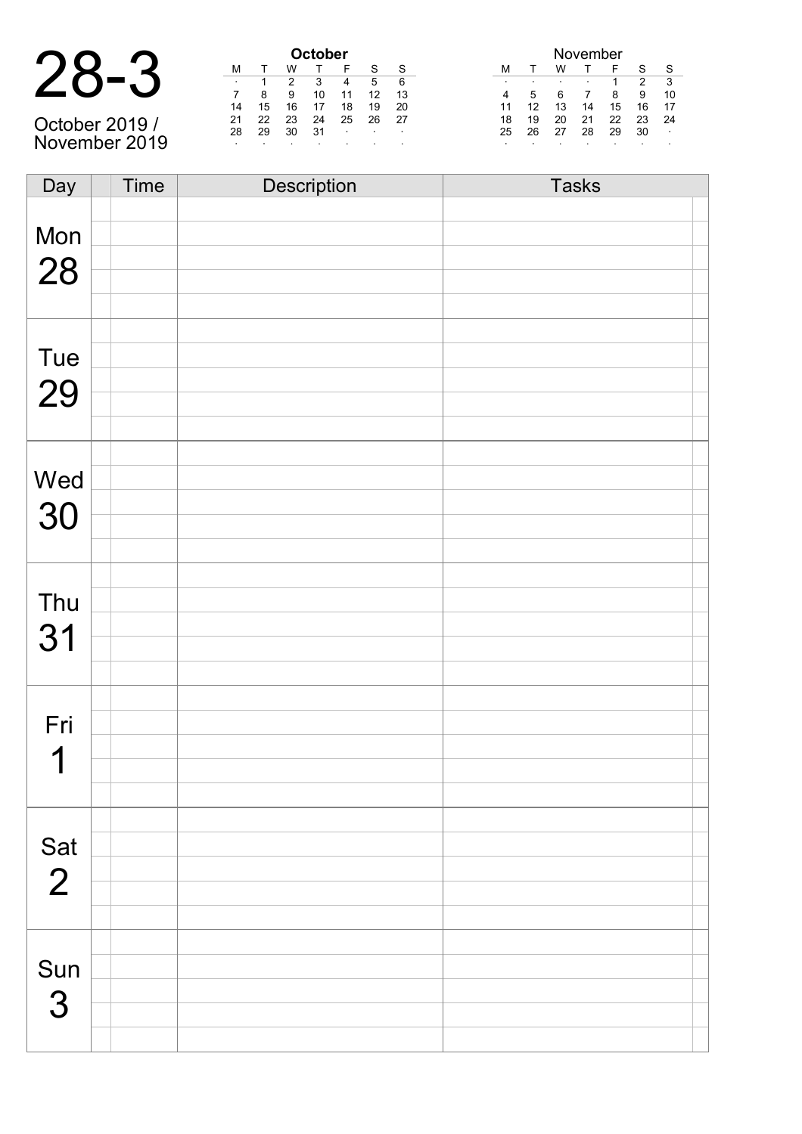| 28-   | $\mathbf{D}$     |
|-------|------------------|
| $O -$ | $\blacktriangle$ |

October 2019 / November 2019

| <b>October</b> |    |    |    |    |    |    |  |
|----------------|----|----|----|----|----|----|--|
| м              |    | w  |    | F  | S  | S  |  |
| ٠              | 1  | 2  | 3  |    | 5  | 6  |  |
|                | 8  | 9  | 10 | 11 | 12 | 13 |  |
| 14             | 15 | 16 | 17 | 18 | 19 | 20 |  |
| 21             | 22 | 23 | 24 | 25 | 26 | 27 |  |
| 28             | 29 | 30 | 31 | ٠  | ٠  | ٠  |  |
| ٠              | ٠  |    | ٠  |    | ٠  |    |  |

| November |    |    |    |    |    |    |  |
|----------|----|----|----|----|----|----|--|
| м        |    | w  |    |    | S  | S  |  |
| ٠        |    |    | ٠  |    | 2  | 3  |  |
|          | 5  | 6  |    | 8  | 9  | 10 |  |
| 11       | 12 | 13 | 14 | 15 | 16 | 17 |  |
| 18       | 19 | 20 | 21 | 22 | 23 | 24 |  |
| 25       | 26 | 27 | 28 | 29 | 30 |    |  |
| ٠        |    |    |    |    |    |    |  |

| Day            | Time | Description | <b>Tasks</b> |
|----------------|------|-------------|--------------|
|                |      |             |              |
| Mon            |      |             |              |
|                |      |             |              |
| 28             |      |             |              |
|                |      |             |              |
|                |      |             |              |
|                |      |             |              |
| Tue            |      |             |              |
| 29             |      |             |              |
|                |      |             |              |
|                |      |             |              |
|                |      |             |              |
| Wed            |      |             |              |
|                |      |             |              |
| 30             |      |             |              |
|                |      |             |              |
|                |      |             |              |
|                |      |             |              |
| Thu            |      |             |              |
| 31             |      |             |              |
|                |      |             |              |
|                |      |             |              |
|                |      |             |              |
| Fri            |      |             |              |
|                |      |             |              |
| 1              |      |             |              |
|                |      |             |              |
|                |      |             |              |
|                |      |             |              |
| Sat            |      |             |              |
| $\overline{2}$ |      |             |              |
|                |      |             |              |
|                |      |             |              |
|                |      |             |              |
| Sun            |      |             |              |
|                |      |             |              |
| 3              |      |             |              |
|                |      |             |              |
|                |      |             |              |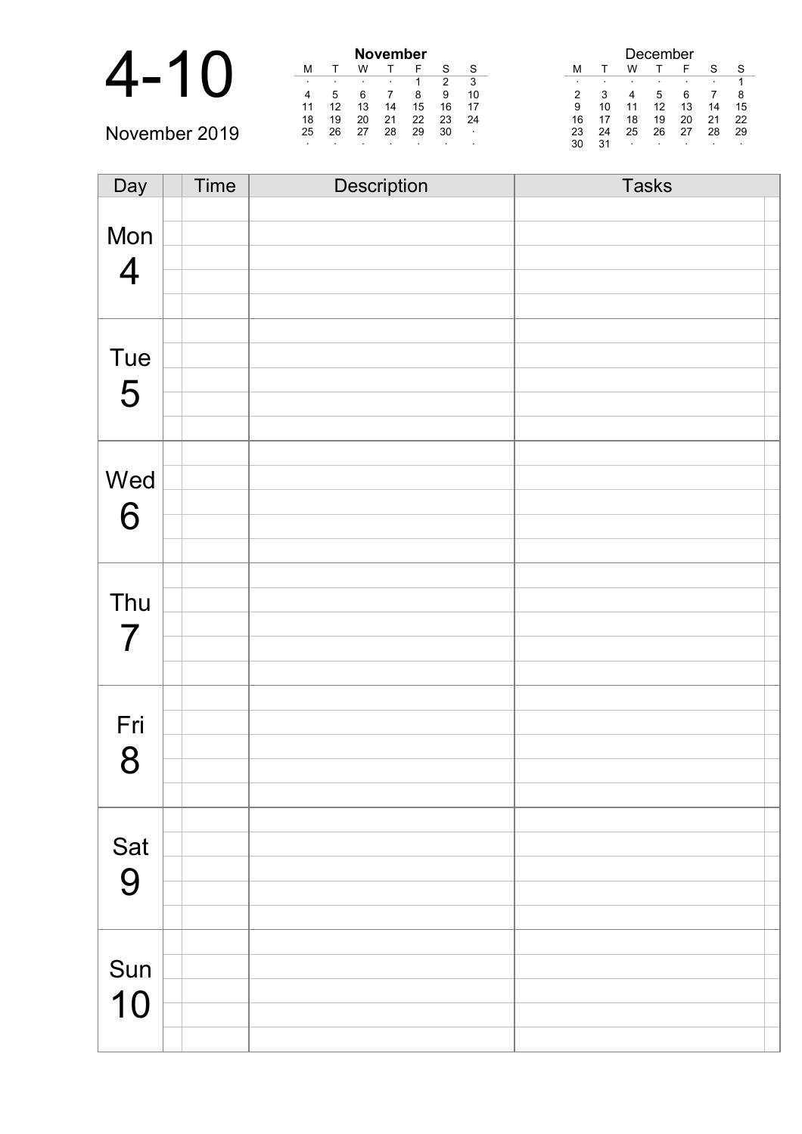|               |    |    |    | <b>November</b> |    |         |                |
|---------------|----|----|----|-----------------|----|---------|----------------|
|               | М  |    | W  |                 |    | S       | S              |
|               |    |    |    |                 |    | ົ       | 3              |
|               | 4  | 5  |    |                 | 8  | 9       | 10             |
|               | 11 | 12 |    | 14              | 15 | 16      | 17             |
|               | 18 | 19 | 20 | 21              | 22 | 23      | -24            |
| November 2019 | 25 | 26 | 27 | 28              | 29 | 30      | $\blacksquare$ |
|               |    |    |    |                 |    | $\cdot$ | $\cdot$        |

| Day            | Time | Description | <b>Tasks</b> |
|----------------|------|-------------|--------------|
|                |      |             |              |
| Mon            |      |             |              |
| $\overline{4}$ |      |             |              |
|                |      |             |              |
|                |      |             |              |
|                |      |             |              |
| Tue            |      |             |              |
| 5              |      |             |              |
|                |      |             |              |
|                |      |             |              |
|                |      |             |              |
| Wed            |      |             |              |
| 6              |      |             |              |
|                |      |             |              |
|                |      |             |              |
|                |      |             |              |
| Thu            |      |             |              |
| $\overline{7}$ |      |             |              |
|                |      |             |              |
|                |      |             |              |
|                |      |             |              |
| Fri            |      |             |              |
| 8              |      |             |              |
|                |      |             |              |
|                |      |             |              |
|                |      |             |              |
| Sat            |      |             |              |
| 9              |      |             |              |
|                |      |             |              |
|                |      |             |              |
|                |      |             |              |
| Sun            |      |             |              |
| 10             |      |             |              |
|                |      |             |              |
|                |      |             |              |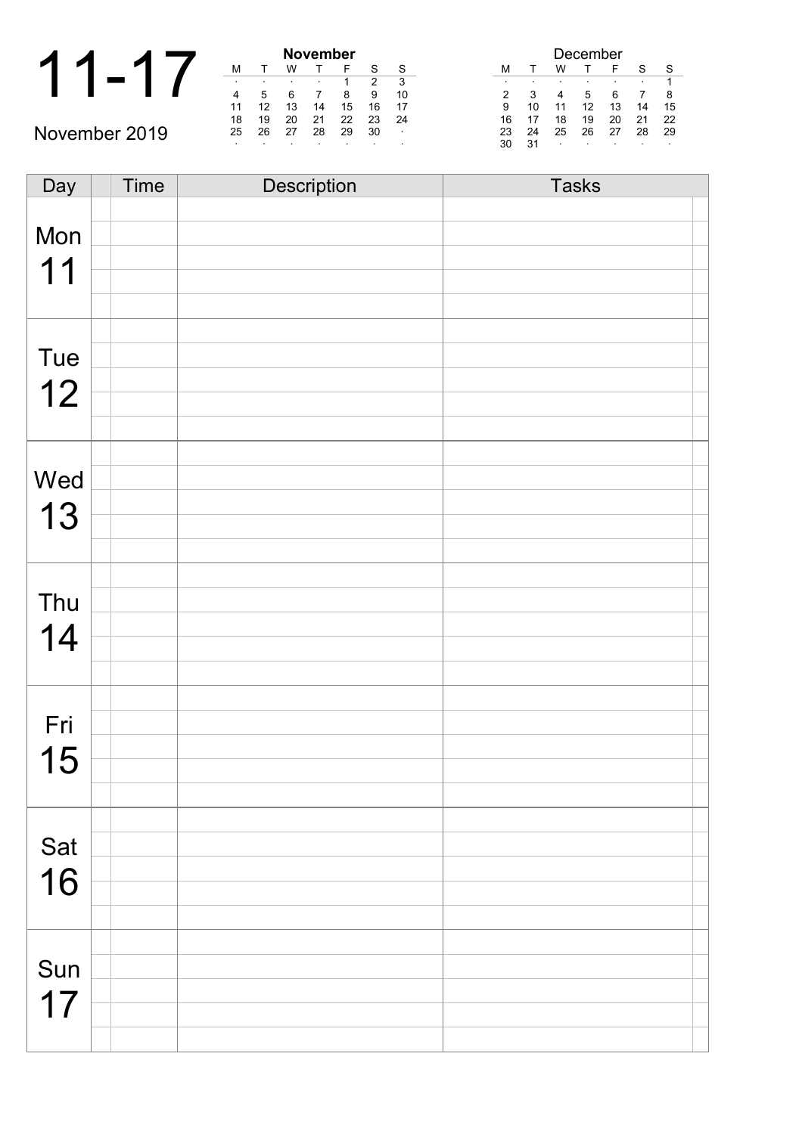|               |    | <b>November</b> |    |    |    |  |  |
|---------------|----|-----------------|----|----|----|--|--|
|               | м  |                 | w  |    |    |  |  |
|               |    |                 |    |    |    |  |  |
|               |    |                 | 6  |    |    |  |  |
|               | 11 | 12              | 13 | 14 | 15 |  |  |
|               | 18 | 19              | 20 | 21 | 22 |  |  |
| November 2019 | 25 | 26              | 27 | 28 | 29 |  |  |
|               |    |                 |    |    |    |  |  |

| November |    |    |    |    |    |    |  |
|----------|----|----|----|----|----|----|--|
| М        |    | W  |    | F  | S  | S  |  |
|          | ٠  |    |    | 1  | 2  | 3  |  |
| 4        | 5  | 6  |    | 8  | 9  | 10 |  |
| 11       | 12 | 13 | 14 | 15 | 16 | 17 |  |
| 18       | 19 | 20 | 21 | 22 | 23 | 24 |  |
| 25       | 26 | 27 | 28 | 29 | 30 |    |  |
|          |    |    |    |    |    |    |  |

|    |    |    | December |    |    |    |
|----|----|----|----------|----|----|----|
| м  |    | w  |          | F  | S  | S  |
| ٠  |    | ٠  |          |    | ٠  |    |
| 2  | 3  |    | 5        | 6  |    | 8  |
| 9  | 10 | 11 | 12       | 13 | 14 | 15 |
| 16 | 17 | 18 | 19       | 20 | 21 | 22 |
| 23 | 24 | 25 | 26       | 27 | 28 | 29 |
| 30 | 31 | ٠  | ٠        |    | ٠  | ٠  |

| Day | Time | <b>Description</b> | <b>Tasks</b> |  |
|-----|------|--------------------|--------------|--|
|     |      |                    |              |  |
| Mon |      |                    |              |  |
| 11  |      |                    |              |  |
|     |      |                    |              |  |
|     |      |                    |              |  |
|     |      |                    |              |  |
| Tue |      |                    |              |  |
| 12  |      |                    |              |  |
|     |      |                    |              |  |
|     |      |                    |              |  |
|     |      |                    |              |  |
| Wed |      |                    |              |  |
| 13  |      |                    |              |  |
|     |      |                    |              |  |
|     |      |                    |              |  |
|     |      |                    |              |  |
| Thu |      |                    |              |  |
| 14  |      |                    |              |  |
|     |      |                    |              |  |
|     |      |                    |              |  |
|     |      |                    |              |  |
| Fri |      |                    |              |  |
| 15  |      |                    |              |  |
|     |      |                    |              |  |
|     |      |                    |              |  |
| Sat |      |                    |              |  |
|     |      |                    |              |  |
| 16  |      |                    |              |  |
|     |      |                    |              |  |
|     |      |                    |              |  |
| Sun |      |                    |              |  |
|     |      |                    |              |  |
| 17  |      |                    |              |  |
|     |      |                    |              |  |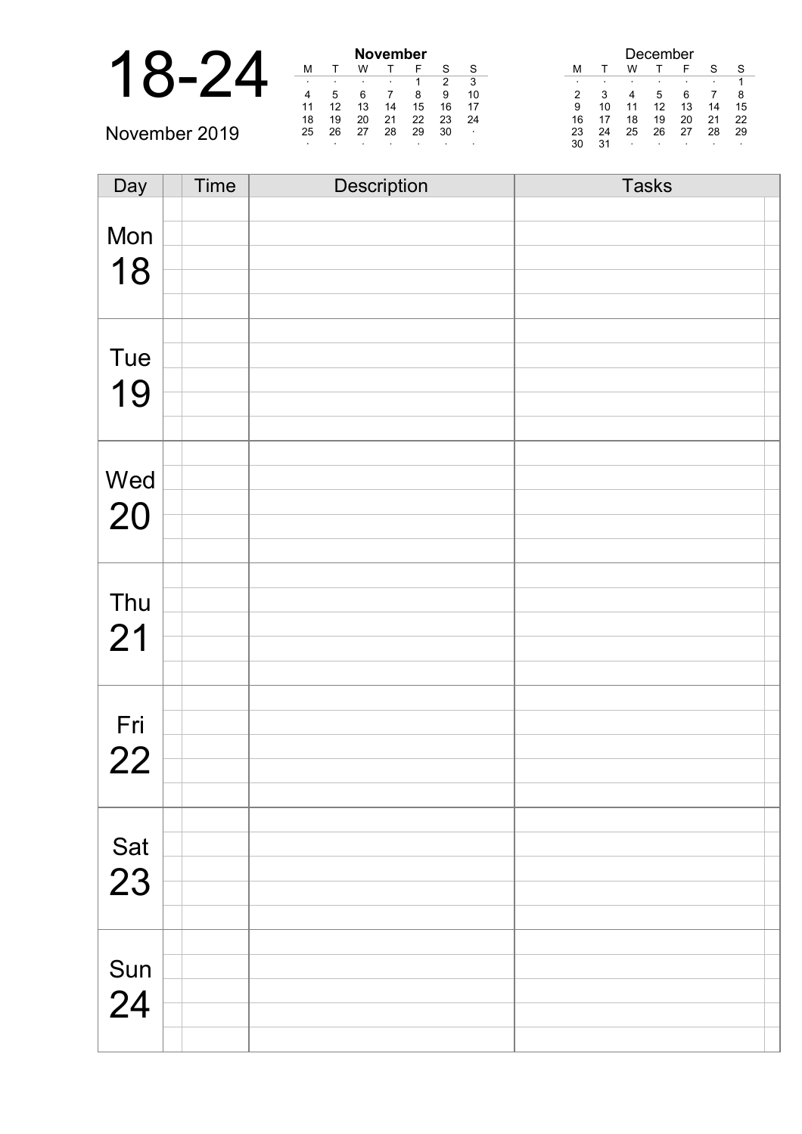|               |    |    |    | <b>November</b> |    |         |        | December |    |         |    |         |         |         |
|---------------|----|----|----|-----------------|----|---------|--------|----------|----|---------|----|---------|---------|---------|
|               | M  |    |    |                 |    | c       | S      | M        |    | w       |    |         | c       | S       |
|               |    |    |    |                 |    |         | વ      |          |    |         |    |         |         |         |
|               |    |    |    |                 | 8  | 9       | 10     |          |    |         | :C |         |         |         |
|               | 11 | 12 | 13 | 14              | 15 | 16      | 17     | 9        |    |         |    | 13      | 14      | 15      |
|               | 18 | 19 | 20 | 21              | 22 | 23      | 24     | 16       |    | 18      | 19 | 20      | 21      | 22      |
| November 2019 | 25 | 26 | 27 | 28              | 29 | 30      | $\sim$ | 23       | 24 | 25      | 26 | 27      | 28      | -29     |
|               |    |    |    |                 |    | $\cdot$ |        | 30       | 31 | $\cdot$ |    | $\cdot$ | $\cdot$ | $\cdot$ |

| Day       | Time | Description | <b>Tasks</b> |
|-----------|------|-------------|--------------|
|           |      |             |              |
| Mon       |      |             |              |
| 18        |      |             |              |
|           |      |             |              |
|           |      |             |              |
|           |      |             |              |
| Tue       |      |             |              |
| 19        |      |             |              |
|           |      |             |              |
|           |      |             |              |
| Wed       |      |             |              |
|           |      |             |              |
| 20        |      |             |              |
|           |      |             |              |
|           |      |             |              |
| Thu       |      |             |              |
| 21        |      |             |              |
|           |      |             |              |
|           |      |             |              |
|           |      |             |              |
| Fri       |      |             |              |
| 22        |      |             |              |
|           |      |             |              |
|           |      |             |              |
|           |      |             |              |
| Sat<br>23 |      |             |              |
|           |      |             |              |
|           |      |             |              |
|           |      |             |              |
| Sun       |      |             |              |
| 24        |      |             |              |
|           |      |             |              |
|           |      |             |              |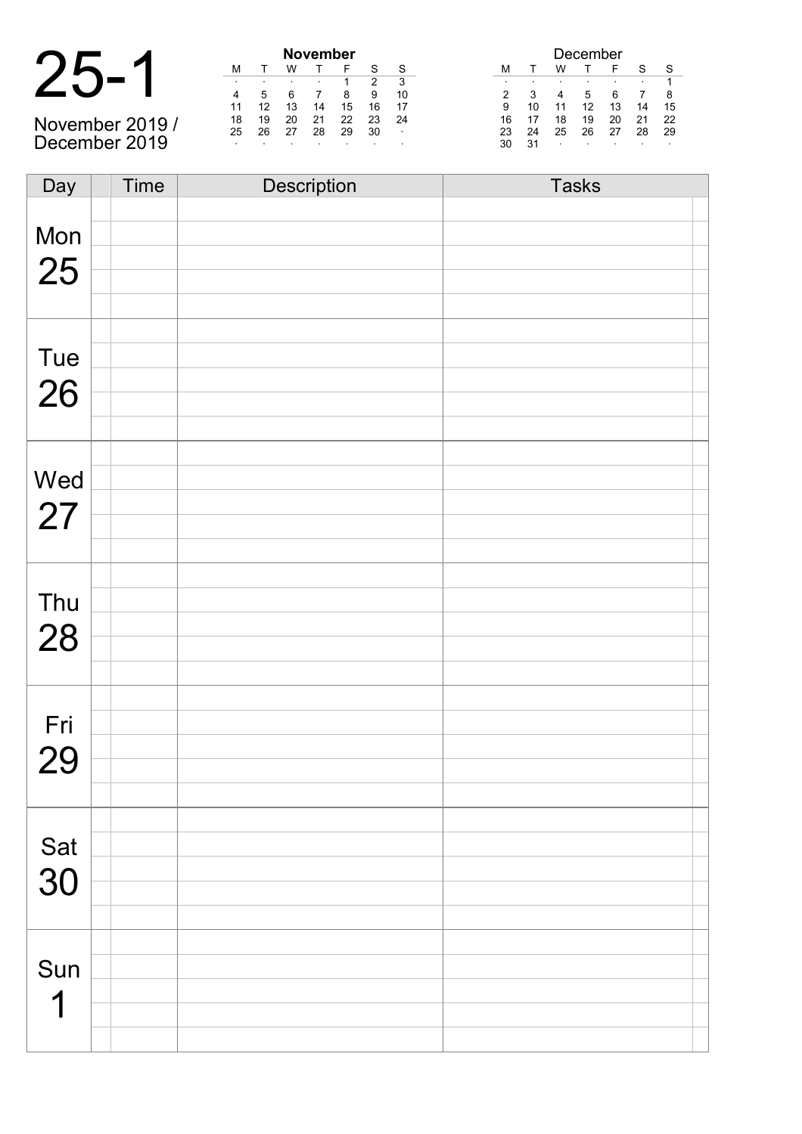| 25-<br>1 |
|----------|
|----------|

November 2019 / December 2019

| November |    |    |    |    |    |    |
|----------|----|----|----|----|----|----|
| М        |    | w  |    | F  | S  | S  |
| ٠        | ٠  | ٠  | ٠  | 1  | 2  | 3  |
|          | 5  | 6  |    | 8  | 9  | 10 |
| 11       | 12 | 13 | 14 | 15 | 16 | 17 |
| 18       | 19 | 20 | 21 | 22 | 23 | 24 |
| 25       | 26 | 27 | 28 | 29 | 30 | ٠  |
| ٠        | ۰  | ٠  |    |    |    | ٠  |

| December |    |    |    |    |    |    |
|----------|----|----|----|----|----|----|
| м        |    | w  |    | F  | S  | S  |
| ٠        | ٠  | ٠  | ٠  |    | ٠  | 1  |
| 2        | 3  |    | 5  | 6  |    | 8  |
| 9        | 10 | 11 | 12 | 13 | 14 | 15 |
| 16       | 17 | 18 | 19 | 20 | 21 | 22 |
| 23       | 24 | 25 | 26 | 27 | 28 | 29 |
| 30       | 31 | ٠  | ٠  |    |    | ٠  |

| Day       | <b>Time</b> | Description | <b>Tasks</b> |
|-----------|-------------|-------------|--------------|
|           |             |             |              |
| Mon       |             |             |              |
|           |             |             |              |
| 25        |             |             |              |
|           |             |             |              |
|           |             |             |              |
|           |             |             |              |
| Tue       |             |             |              |
| 26        |             |             |              |
|           |             |             |              |
|           |             |             |              |
|           |             |             |              |
| Wed       |             |             |              |
|           |             |             |              |
| 27        |             |             |              |
|           |             |             |              |
|           |             |             |              |
| Thu       |             |             |              |
|           |             |             |              |
| 28        |             |             |              |
|           |             |             |              |
|           |             |             |              |
|           |             |             |              |
| Fri       |             |             |              |
| 29        |             |             |              |
|           |             |             |              |
|           |             |             |              |
|           |             |             |              |
| Sat<br>30 |             |             |              |
|           |             |             |              |
|           |             |             |              |
|           |             |             |              |
|           |             |             |              |
| Sun       |             |             |              |
|           |             |             |              |
| 1         |             |             |              |
|           |             |             |              |
|           |             |             |              |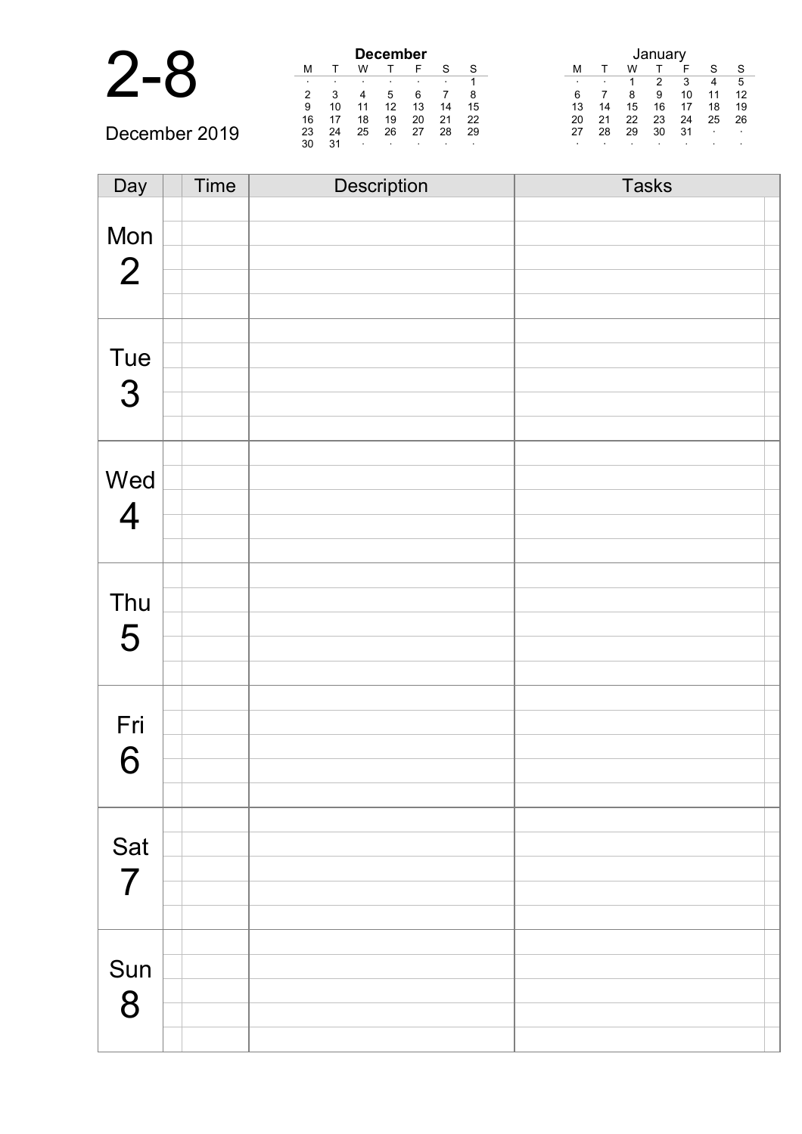| $\blacksquare$ | <b>December</b> |    |         |    |    |              |    |         |     |    |    |    |                    |        |
|----------------|-----------------|----|---------|----|----|--------------|----|---------|-----|----|----|----|--------------------|--------|
|                |                 |    | W       |    |    | $\mathbf{C}$ | S  |         |     | W  |    |    | $\mathbf{\hat{c}}$ | S.     |
|                |                 |    |         |    |    |              |    | $\cdot$ | . . |    | າ  | ີ  | 4                  | -5     |
|                | $\mathcal{P}$   |    |         |    |    |              | 8  | 6       |     |    | 9  | 10 | 11                 | 12     |
|                | 9               | 10 |         | 12 | 13 | 14           | 15 | 13      | 14  | 15 | 16 |    | 18                 | 19     |
|                | 16              |    | 18      | 19 | 20 | 21           | 22 | 20      | 21  | 22 | 23 | 24 | 25                 | 26     |
| December 2019  | 23              | 24 | 25      | 26 | 27 | 28           | 29 | 27      | 28  | 29 | 30 | 31 |                    | $\sim$ |
|                | 30              | 31 | $\cdot$ |    |    |              |    |         |     |    |    |    |                    |        |

| Day            | Time | Description | <b>Tasks</b> |
|----------------|------|-------------|--------------|
|                |      |             |              |
| Mon            |      |             |              |
|                |      |             |              |
| $\overline{2}$ |      |             |              |
|                |      |             |              |
|                |      |             |              |
| Tue            |      |             |              |
|                |      |             |              |
| 3              |      |             |              |
|                |      |             |              |
|                |      |             |              |
| Wed            |      |             |              |
|                |      |             |              |
| $\overline{4}$ |      |             |              |
|                |      |             |              |
|                |      |             |              |
| Thu            |      |             |              |
| 5              |      |             |              |
|                |      |             |              |
|                |      |             |              |
|                |      |             |              |
| Fri            |      |             |              |
|                |      |             |              |
| 6              |      |             |              |
|                |      |             |              |
|                |      |             |              |
| Sat            |      |             |              |
| $\overline{7}$ |      |             |              |
|                |      |             |              |
|                |      |             |              |
|                |      |             |              |
| Sun            |      |             |              |
| 8              |      |             |              |
|                |      |             |              |
|                |      |             |              |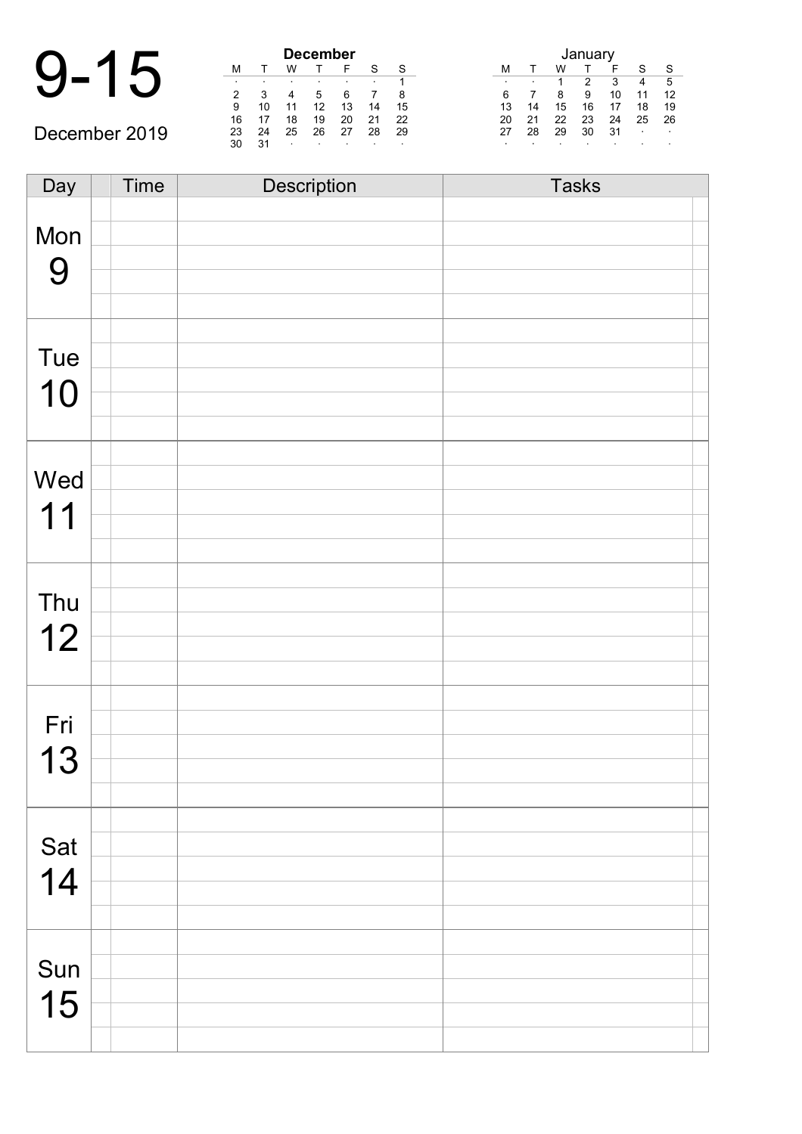| ٠ | ٠  | $\bullet$ | ٠  |                 |
|---|----|-----------|----|-----------------|
|   |    |           |    |                 |
| a | 10 |           | 12 | 13              |
|   |    |           |    | <b>December</b> |

December 2019

| <b>December</b> |    |    |    |    |    |    |  |
|-----------------|----|----|----|----|----|----|--|
| М               |    | w  |    | F  | S  | S  |  |
| ٠               |    | ٠  | ٠  | ٠  |    |    |  |
| 2               | 3  |    | 5  | 6  |    | 8  |  |
| 9               | 10 | 11 | 12 | 13 | 14 | 15 |  |
| 16              | 17 | 18 | 19 | 20 | 21 | 22 |  |
| 23              | 24 | 25 | 26 | 27 | 28 | 29 |  |
| 30              | 31 | ٠  | ٠  |    |    | ٠  |  |

| January |    |    |    |    |    |    |  |  |
|---------|----|----|----|----|----|----|--|--|
| м       |    | w  |    | F  | S  | S  |  |  |
| ٠       |    |    | 2  | 3  |    | 5  |  |  |
| 6       |    | 8  | 9  | 10 | 11 | 12 |  |  |
| 13      | 14 | 15 | 16 | 17 | 18 | 19 |  |  |
| 20      | 21 | 22 | 23 | 24 | 25 | 26 |  |  |
| 27      | 28 | 29 | 30 | 31 |    |    |  |  |
| ٠       |    |    |    |    |    |    |  |  |

Day Time Description Tasks Mon 9 Tue 10 Wed 11 Thu 12 Fri 13 Sat 14 Sun 15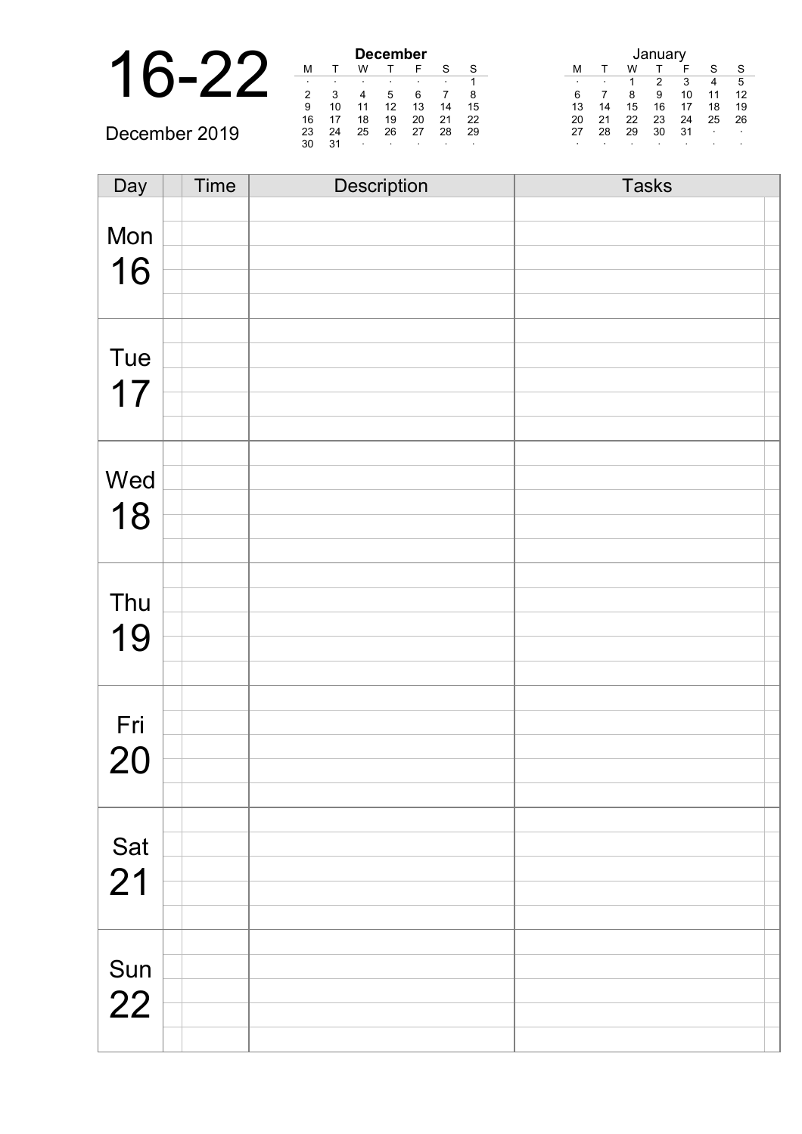|               | <b>December</b> |    |         |    | Januar |         |         |         |    |    |    |    |                |              |
|---------------|-----------------|----|---------|----|--------|---------|---------|---------|----|----|----|----|----------------|--------------|
|               | M               |    | W       |    |        | c       | S       | M       |    | W  |    |    | $\sim$         | $\mathbf{C}$ |
|               |                 |    |         |    |        |         |         | $\cdot$ |    |    |    | າ  |                | 5            |
|               |                 |    |         |    |        |         | 8       |         |    |    |    | 10 |                | 12           |
|               | 9               | 10 |         |    | 13     | 14      | 15      | 13      | 14 | 15 | 16 |    | 18             | 19           |
|               | 16              | 17 | 18      | 19 | 20     | 21      | 22      | 20      | 21 | 22 | 23 | 24 | 25             | 26           |
| December 2019 | 23              | 24 | 25      | 26 | 27     | 28      | 29      | 27      | 28 | 29 | 30 | 31 | $\blacksquare$ |              |
|               | 30              | 31 | $\cdot$ |    |        | $\cdot$ | $\cdot$ |         |    |    |    |    |                |              |

| Day         | Time | Description | <b>Tasks</b> |
|-------------|------|-------------|--------------|
|             |      |             |              |
| Mon         |      |             |              |
| 16          |      |             |              |
|             |      |             |              |
|             |      |             |              |
|             |      |             |              |
| Tue         |      |             |              |
| 17          |      |             |              |
|             |      |             |              |
|             |      |             |              |
|             |      |             |              |
| Wed         |      |             |              |
| 18          |      |             |              |
|             |      |             |              |
|             |      |             |              |
|             |      |             |              |
| Thu         |      |             |              |
| 19          |      |             |              |
|             |      |             |              |
|             |      |             |              |
|             |      |             |              |
| Fri         |      |             |              |
| <u>20</u>   |      |             |              |
|             |      |             |              |
|             |      |             |              |
|             |      |             |              |
| Sat<br>21   |      |             |              |
|             |      |             |              |
|             |      |             |              |
|             |      |             |              |
|             |      |             |              |
| Sun<br>$22$ |      |             |              |
|             |      |             |              |
|             |      |             |              |
|             |      |             |              |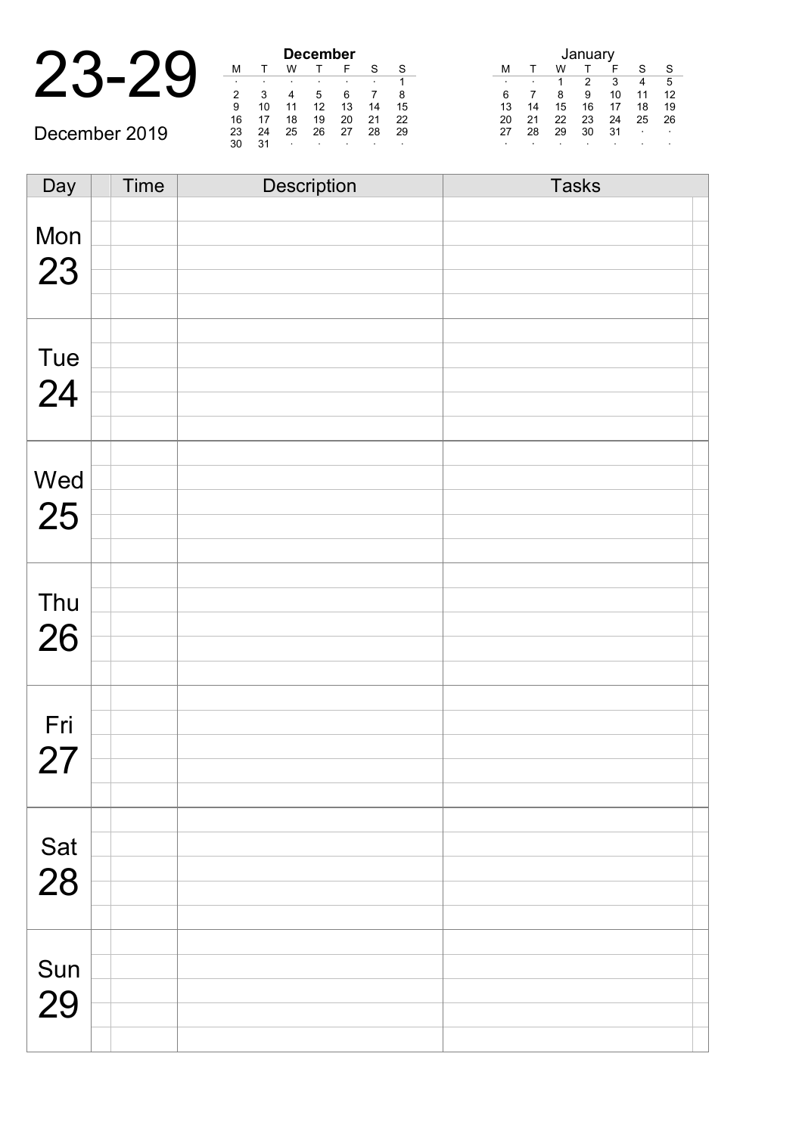|    |    |    | <b>December</b> |    |
|----|----|----|-----------------|----|
|    |    |    |                 |    |
| ٠  |    |    | ٠               |    |
|    |    |    |                 |    |
| 9  | 10 |    | 12              | 13 |
| 16 | 17 | 10 | 10              | ∩∩ |

| December 2019 |  |
|---------------|--|
|               |  |

| December |    |    |    |    |    |    |  |  |
|----------|----|----|----|----|----|----|--|--|
| М        |    | w  |    | F  | S  | S  |  |  |
| ٠        | ٠  |    | ٠  |    | ٠  | 1  |  |  |
| 2        | 3  |    | 5  | 6  |    | 8  |  |  |
| 9        | 10 | 11 | 12 | 13 | 14 | 15 |  |  |
| 16       | 17 | 18 | 19 | 20 | 21 | 22 |  |  |
| 23       | 24 | 25 | 26 | 27 | 28 | 29 |  |  |
| 30       | 31 | ٠  |    |    | ٠  | ٠  |  |  |

| January |    |    |    |    |    |    |  |  |
|---------|----|----|----|----|----|----|--|--|
| м       |    | w  |    | F  | S  | S  |  |  |
| ٠       |    | 1  | 2  | 3  |    | 5  |  |  |
| 6       |    | 8  | 9  | 10 | 11 | 12 |  |  |
| 13      | 14 | 15 | 16 | 17 | 18 | 19 |  |  |
| 20      | 21 | 22 | 23 | 24 | 25 | 26 |  |  |
| 27      | 28 | 29 | 30 | 31 |    |    |  |  |
| ٠       |    |    |    |    |    |    |  |  |

| Day | <b>Time</b> | Description | <b>Tasks</b> |
|-----|-------------|-------------|--------------|
|     |             |             |              |
| Mon |             |             |              |
|     |             |             |              |
| 23  |             |             |              |
|     |             |             |              |
|     |             |             |              |
| Tue |             |             |              |
|     |             |             |              |
| 24  |             |             |              |
|     |             |             |              |
|     |             |             |              |
|     |             |             |              |
| Wed |             |             |              |
| 25  |             |             |              |
|     |             |             |              |
|     |             |             |              |
|     |             |             |              |
| Thu |             |             |              |
| 26  |             |             |              |
|     |             |             |              |
|     |             |             |              |
|     |             |             |              |
| Fri |             |             |              |
| 27  |             |             |              |
|     |             |             |              |
|     |             |             |              |
|     |             |             |              |
| Sat |             |             |              |
| 28  |             |             |              |
|     |             |             |              |
|     |             |             |              |
|     |             |             |              |
| Sun |             |             |              |
|     |             |             |              |
| 29  |             |             |              |
|     |             |             |              |